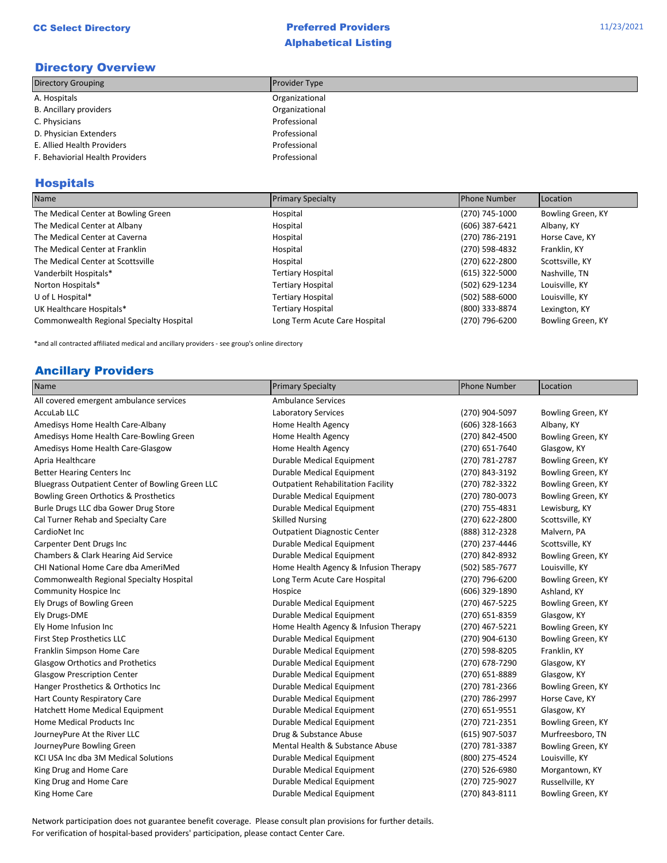# Directory Overview

| <b>Directory Grouping</b>       | <b>Provider Type</b> |
|---------------------------------|----------------------|
| A. Hospitals                    | Organizational       |
| <b>B.</b> Ancillary providers   | Organizational       |
| C. Physicians                   | Professional         |
| D. Physician Extenders          | Professional         |
| E. Allied Health Providers      | Professional         |
| F. Behaviorial Health Providers | Professional         |

# Hospitals

| Name                                     | <b>Primary Specialty</b>      | <b>Phone Number</b> | Location          |
|------------------------------------------|-------------------------------|---------------------|-------------------|
| The Medical Center at Bowling Green      | Hospital                      | (270) 745-1000      | Bowling Green, KY |
| The Medical Center at Albany             | Hospital                      | (606) 387-6421      | Albany, KY        |
| The Medical Center at Caverna            | Hospital                      | (270) 786-2191      | Horse Cave, KY    |
| The Medical Center at Franklin           | Hospital                      | (270) 598-4832      | Franklin, KY      |
| The Medical Center at Scottsville        | Hospital                      | (270) 622-2800      | Scottsville, KY   |
| Vanderbilt Hospitals*                    | <b>Tertiary Hospital</b>      | (615) 322-5000      | Nashville, TN     |
| Norton Hospitals*                        | <b>Tertiary Hospital</b>      | (502) 629-1234      | Louisville, KY    |
| U of L Hospital*                         | <b>Tertiary Hospital</b>      | (502) 588-6000      | Louisville, KY    |
| UK Healthcare Hospitals*                 | Tertiary Hospital             | (800) 333-8874      | Lexington, KY     |
| Commonwealth Regional Specialty Hospital | Long Term Acute Care Hospital | (270) 796-6200      | Bowling Green, KY |

\*and all contracted affiliated medical and ancillary providers - see group's online directory

# Ancillary Providers

| <b>Name</b>                                      | <b>Primary Specialty</b>                  | Phone Number     | Location          |
|--------------------------------------------------|-------------------------------------------|------------------|-------------------|
| All covered emergent ambulance services          | <b>Ambulance Services</b>                 |                  |                   |
| AccuLab LLC                                      | Laboratory Services                       | (270) 904-5097   | Bowling Green, KY |
| Amedisys Home Health Care-Albany                 | Home Health Agency                        | $(606)$ 328-1663 | Albany, KY        |
| Amedisys Home Health Care-Bowling Green          | Home Health Agency                        | (270) 842-4500   | Bowling Green, KY |
| Amedisys Home Health Care-Glasgow                | Home Health Agency                        | (270) 651-7640   | Glasgow, KY       |
| Apria Healthcare                                 | Durable Medical Equipment                 | (270) 781-2787   | Bowling Green, KY |
| <b>Better Hearing Centers Inc</b>                | Durable Medical Equipment                 | (270) 843-3192   | Bowling Green, KY |
| Bluegrass Outpatient Center of Bowling Green LLC | <b>Outpatient Rehabilitation Facility</b> | (270) 782-3322   | Bowling Green, KY |
| Bowling Green Orthotics & Prosthetics            | Durable Medical Equipment                 | (270) 780-0073   | Bowling Green, KY |
| Burle Drugs LLC dba Gower Drug Store             | Durable Medical Equipment                 | (270) 755-4831   | Lewisburg, KY     |
| Cal Turner Rehab and Specialty Care              | <b>Skilled Nursing</b>                    | (270) 622-2800   | Scottsville, KY   |
| CardioNet Inc                                    | <b>Outpatient Diagnostic Center</b>       | (888) 312-2328   | Malvern, PA       |
| Carpenter Dent Drugs Inc                         | Durable Medical Equipment                 | (270) 237-4446   | Scottsville, KY   |
| Chambers & Clark Hearing Aid Service             | Durable Medical Equipment                 | (270) 842-8932   | Bowling Green, KY |
| CHI National Home Care dba AmeriMed              | Home Health Agency & Infusion Therapy     | (502) 585-7677   | Louisville, KY    |
| Commonwealth Regional Specialty Hospital         | Long Term Acute Care Hospital             | (270) 796-6200   | Bowling Green, KY |
| Community Hospice Inc                            | Hospice                                   | (606) 329-1890   | Ashland, KY       |
| Ely Drugs of Bowling Green                       | Durable Medical Equipment                 | (270) 467-5225   | Bowling Green, KY |
| Ely Drugs-DME                                    | Durable Medical Equipment                 | (270) 651-8359   | Glasgow, KY       |
| Ely Home Infusion Inc                            | Home Health Agency & Infusion Therapy     | (270) 467-5221   | Bowling Green, KY |
| First Step Prosthetics LLC                       | Durable Medical Equipment                 | (270) 904-6130   | Bowling Green, KY |
| Franklin Simpson Home Care                       | Durable Medical Equipment                 | (270) 598-8205   | Franklin, KY      |
| <b>Glasgow Orthotics and Prothetics</b>          | Durable Medical Equipment                 | (270) 678-7290   | Glasgow, KY       |
| <b>Glasgow Prescription Center</b>               | Durable Medical Equipment                 | (270) 651-8889   | Glasgow, KY       |
| Hanger Prosthetics & Orthotics Inc               | Durable Medical Equipment                 | (270) 781-2366   | Bowling Green, KY |
| Hart County Respiratory Care                     | Durable Medical Equipment                 | (270) 786-2997   | Horse Cave, KY    |
| Hatchett Home Medical Equipment                  | Durable Medical Equipment                 | (270) 651-9551   | Glasgow, KY       |
| Home Medical Products Inc                        | Durable Medical Equipment                 | (270) 721-2351   | Bowling Green, KY |
| JourneyPure At the River LLC                     | Drug & Substance Abuse                    | (615) 907-5037   | Murfreesboro, TN  |
| JourneyPure Bowling Green                        | Mental Health & Substance Abuse           | (270) 781-3387   | Bowling Green, KY |
| KCI USA Inc dba 3M Medical Solutions             | Durable Medical Equipment                 | (800) 275-4524   | Louisville, KY    |
| King Drug and Home Care                          | Durable Medical Equipment                 | (270) 526-6980   | Morgantown, KY    |
| King Drug and Home Care                          | Durable Medical Equipment                 | (270) 725-9027   | Russellville, KY  |
| King Home Care                                   | Durable Medical Equipment                 | (270) 843-8111   | Bowling Green, KY |

Network participation does not guarantee benefit coverage. Please consult plan provisions for further details. For verification of hospital-based providers' participation, please contact Center Care.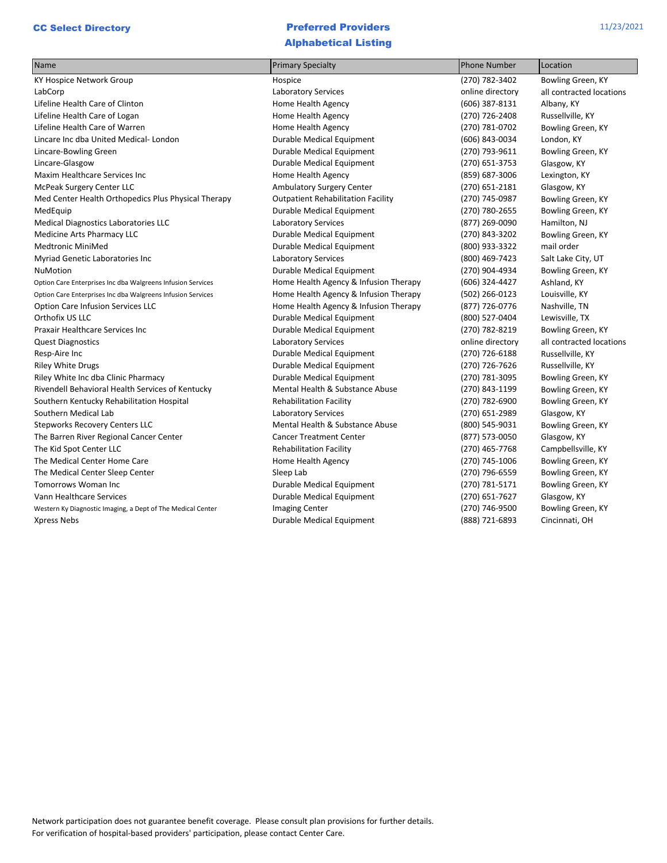| Name                                                        | <b>Primary Specialty</b>                  | <b>Phone Number</b> | Location                 |
|-------------------------------------------------------------|-------------------------------------------|---------------------|--------------------------|
| KY Hospice Network Group                                    | Hospice                                   | (270) 782-3402      | Bowling Green, KY        |
| LabCorp                                                     | Laboratory Services                       | online directory    | all contracted locations |
| Lifeline Health Care of Clinton                             | Home Health Agency                        | (606) 387-8131      | Albany, KY               |
| Lifeline Health Care of Logan                               | Home Health Agency                        | (270) 726-2408      | Russellville, KY         |
| Lifeline Health Care of Warren                              | Home Health Agency                        | (270) 781-0702      | Bowling Green, KY        |
| Lincare Inc dba United Medical-London                       | Durable Medical Equipment                 | (606) 843-0034      | London, KY               |
| Lincare-Bowling Green                                       | Durable Medical Equipment                 | (270) 793-9611      | Bowling Green, KY        |
| Lincare-Glasgow                                             | Durable Medical Equipment                 | (270) 651-3753      | Glasgow, KY              |
| Maxim Healthcare Services Inc                               | Home Health Agency                        | (859) 687-3006      | Lexington, KY            |
| <b>McPeak Surgery Center LLC</b>                            | Ambulatory Surgery Center                 | (270) 651-2181      | Glasgow, KY              |
| Med Center Health Orthopedics Plus Physical Therapy         | <b>Outpatient Rehabilitation Facility</b> | (270) 745-0987      | Bowling Green, KY        |
| MedEquip                                                    | Durable Medical Equipment                 | (270) 780-2655      | Bowling Green, KY        |
| Medical Diagnostics Laboratories LLC                        | Laboratory Services                       | (877) 269-0090      | Hamilton, NJ             |
| <b>Medicine Arts Pharmacy LLC</b>                           | Durable Medical Equipment                 | (270) 843-3202      | Bowling Green, KY        |
| <b>Medtronic MiniMed</b>                                    | Durable Medical Equipment                 | (800) 933-3322      | mail order               |
| Myriad Genetic Laboratories Inc                             | Laboratory Services                       | (800) 469-7423      | Salt Lake City, UT       |
| <b>NuMotion</b>                                             | Durable Medical Equipment                 | (270) 904-4934      | Bowling Green, KY        |
| Option Care Enterprises Inc dba Walgreens Infusion Services | Home Health Agency & Infusion Therapy     | (606) 324-4427      | Ashland, KY              |
| Option Care Enterprises Inc dba Walgreens Infusion Services | Home Health Agency & Infusion Therapy     | (502) 266-0123      | Louisville, KY           |
| <b>Option Care Infusion Services LLC</b>                    | Home Health Agency & Infusion Therapy     | (877) 726-0776      | Nashville, TN            |
| Orthofix US LLC                                             | Durable Medical Equipment                 | (800) 527-0404      | Lewisville, TX           |
| <b>Praxair Healthcare Services Inc</b>                      | Durable Medical Equipment                 | (270) 782-8219      | Bowling Green, KY        |
| <b>Quest Diagnostics</b>                                    | Laboratory Services                       | online directory    | all contracted locations |
| Resp-Aire Inc                                               | Durable Medical Equipment                 | (270) 726-6188      | Russellville, KY         |
| <b>Riley White Drugs</b>                                    | Durable Medical Equipment                 | (270) 726-7626      | Russellville, KY         |
| Riley White Inc dba Clinic Pharmacy                         | Durable Medical Equipment                 | (270) 781-3095      | Bowling Green, KY        |
| Rivendell Behavioral Health Services of Kentucky            | Mental Health & Substance Abuse           | (270) 843-1199      | Bowling Green, KY        |
| Southern Kentucky Rehabilitation Hospital                   | <b>Rehabilitation Facility</b>            | (270) 782-6900      | Bowling Green, KY        |
| Southern Medical Lab                                        | <b>Laboratory Services</b>                | (270) 651-2989      | Glasgow, KY              |
| <b>Stepworks Recovery Centers LLC</b>                       | Mental Health & Substance Abuse           | (800) 545-9031      | Bowling Green, KY        |
| The Barren River Regional Cancer Center                     | <b>Cancer Treatment Center</b>            | (877) 573-0050      | Glasgow, KY              |
| The Kid Spot Center LLC                                     | <b>Rehabilitation Facility</b>            | (270) 465-7768      | Campbellsville, KY       |
| The Medical Center Home Care                                | Home Health Agency                        | (270) 745-1006      | Bowling Green, KY        |
| The Medical Center Sleep Center                             | Sleep Lab                                 | (270) 796-6559      | Bowling Green, KY        |
| <b>Tomorrows Woman Inc</b>                                  | Durable Medical Equipment                 | (270) 781-5171      | Bowling Green, KY        |
| Vann Healthcare Services                                    | Durable Medical Equipment                 | (270) 651-7627      | Glasgow, KY              |
| Western Ky Diagnostic Imaging, a Dept of The Medical Center | <b>Imaging Center</b>                     | (270) 746-9500      | Bowling Green, KY        |
| <b>Xpress Nebs</b>                                          | Durable Medical Equipment                 | (888) 721-6893      | Cincinnati, OH           |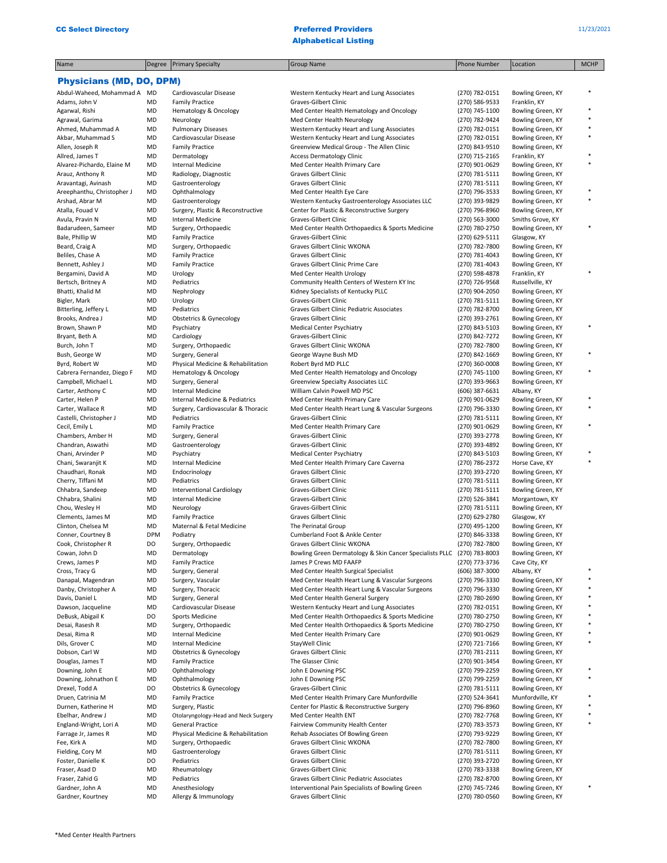## **CC Select Directory CC Select Directory** Alphabetical Listing

Name **Degree Primary Specialty** Group Name Group Name Phone Number Location MCHP

### Physicians (MD, DO, DPM)

|                                               | .,         | ,                                                 |
|-----------------------------------------------|------------|---------------------------------------------------|
| Abdul-Waheed, Mohammad A                      | MD         | Cardiovascular Disease                            |
| Adams, John V                                 | MD         | <b>Family Practice</b>                            |
| Agarwal, Rishi                                | MD         | Hematology & Oncolo                               |
| Agrawal, Garima                               | MD         | Neurology                                         |
| Ahmed, Muhammad A                             | MD         | <b>Pulmonary Diseases</b>                         |
| Akbar, Muhammad S                             | MD         | Cardiovascular Disease                            |
| Allen, Joseph R                               | MD         | <b>Family Practice</b>                            |
| Allred, James T                               | MD         | Dermatology                                       |
| Alvarez-Pichardo, Elaine M                    | MD         | Internal Medicine                                 |
| Arauz, Anthony R                              | MD         | Radiology, Diagnostic                             |
| Aravantagi, Avinash                           | MD         | Gastroenterology                                  |
| Areephanthu, Christopher J                    | MD         | Ophthalmology                                     |
| Arshad, Abrar M                               | MD         | Gastroenterology                                  |
| Atalla, Fouad V                               | MD         | Surgery, Plastic & Reco                           |
| Avula, Pravin N                               | MD         | Internal Medicine                                 |
| Badarudeen, Sameer                            | MD         | Surgery, Orthopaedic                              |
| Bale, Phillip W                               | MD         | <b>Family Practice</b>                            |
| Beard, Craig A                                | MD         | Surgery, Orthopaedic                              |
| Beliles, Chase A                              | MD         | <b>Family Practice</b>                            |
| Bennett, Ashley J                             | MD         | <b>Family Practice</b>                            |
| Bergamini, David A                            | MD         | Urology                                           |
| Bertsch, Britney A                            | MD         | Pediatrics                                        |
| Bhatti, Khalid M                              | MD         | Nephrology                                        |
| Bigler, Mark                                  | MD         | Urology                                           |
| Bitterling, Jeffery L                         | MD         | Pediatrics                                        |
| Brooks, Andrea J                              | MD         | Obstetrics & Gynecolo                             |
| Brown, Shawn P                                | MD         | Psychiatry                                        |
| Bryant, Beth A                                | MD         | Cardiology                                        |
| Burch, John T                                 | MD         | Surgery, Orthopaedic                              |
| Bush, George W                                | MD         | Surgery, General                                  |
| Byrd, Robert W                                | MD         | Physical Medicine & R                             |
| Cabrera Fernandez, Diego F                    | MD         | Hematology & Oncolo                               |
| Campbell, Michael L                           | MD         | Surgery, General                                  |
| Carter, Anthony C                             | MD         | <b>Internal Medicine</b>                          |
| Carter, Helen P                               | MD         | Internal Medicine & Po                            |
| Carter, Wallace R                             | MD         | Surgery, Cardiovascula                            |
| Castelli, Christopher J                       | MD         | Pediatrics                                        |
| Cecil, Emily L                                | MD         | <b>Family Practice</b>                            |
| Chambers, Amber H                             | MD         | Surgery, General                                  |
| Chandran, Aswathi                             | MD         | Gastroenterology                                  |
| Chani, Arvinder P                             | MD         | Psychiatry                                        |
| Chani, Swaranjit K                            | MD         | Internal Medicine                                 |
| Chaudhari, Ronak                              | MD         | Endocrinology                                     |
| Cherry, Tiffani M                             | MD         | Pediatrics                                        |
| Chhabra, Sandeep                              | MD         | Interventional Cardiol                            |
| Chhabra, Shalini                              | MD         | Internal Medicine                                 |
| Chou, Wesley H                                | MD         | Neurology                                         |
| Clements, James M                             | <b>MD</b>  | <b>Family Practice</b>                            |
| Clinton, Chelsea M                            | MD         | Maternal & Fetal Med                              |
| Conner, Courtney B                            | <b>DPM</b> | Podiatry                                          |
| Cook, Christopher R                           | DO         | Surgery, Orthopaedic                              |
| Cowan, John D                                 | MD         | Dermatology                                       |
| Crews, James P                                | MD         | <b>Family Practice</b>                            |
| Cross, Tracy G                                | MD<br>MD   | Surgery, General                                  |
| Danapal, Magendran                            |            | Surgery, Vascular                                 |
| Danby, Christopher A<br>Davis, Daniel L       | MD         | Surgery, Thoracic                                 |
|                                               | MD<br>MD   | Surgery, General<br>Cardiovascular Disease        |
| Dawson, Jacqueline                            | DO         | <b>Sports Medicine</b>                            |
| DeBusk, Abigail K                             | MD         | Surgery, Orthopaedic                              |
| Desai, Rasesh R                               | MD         |                                                   |
| Desai, Rima R<br>Dils, Grover C               | MD         | Internal Medicine<br>Internal Medicine            |
| Dobson, Carl W                                | MD         | Obstetrics & Gynecolo                             |
| Douglas, James T                              | MD         |                                                   |
| Downing, John E                               | MD         | <b>Family Practice</b><br>Ophthalmology           |
| Downing, Johnathon E                          | MD         | Ophthalmology                                     |
|                                               | DO         |                                                   |
| Drexel, Todd A<br>Druen, Catrinia M           | MD         | Obstetrics & Gynecolo<br><b>Family Practice</b>   |
| Durnen, Katherine H                           | MD         | Surgery, Plastic                                  |
|                                               | MD         |                                                   |
| Ebelhar, Andrew J                             | MD         | Otolaryngology-Head ar<br><b>General Practice</b> |
| England-Wright, Lori A<br>Farrage Jr, James R | MD         |                                                   |
| Fee, Kirk A                                   | MD         | Physical Medicine & R                             |
| Fielding, Cory M                              | MD         | Surgery, Orthopaedic<br>Gastroenterology          |
| Foster, Danielle K                            | DO         | Pediatrics                                        |
| Fraser, Asad D                                | MD         |                                                   |
| Fraser, Zahid G                               | MD         | Rheumatology                                      |
| Gardner, John A                               | MD         | Pediatrics<br>Anesthesiology                      |
| Gardner, Kourtney                             | MD         | Allergy & Immunology                              |
|                                               |            |                                                   |

| <b>Physicians (MD, DO, DPM)</b>         |            |                                                     |                                                                                          |                                  |                                        |        |
|-----------------------------------------|------------|-----------------------------------------------------|------------------------------------------------------------------------------------------|----------------------------------|----------------------------------------|--------|
| Abdul-Waheed, Mohammad A                | MD         | Cardiovascular Disease                              | Western Kentucky Heart and Lung Associates                                               | (270) 782-0151                   | Bowling Green, KY                      | *      |
| Adams, John V                           | MD         | <b>Family Practice</b>                              | Graves-Gilbert Clinic                                                                    | (270) 586-9533                   | Franklin, KY                           |        |
| Agarwal, Rishi                          | MD         | Hematology & Oncology                               | Med Center Health Hematology and Oncology                                                | (270) 745-1100                   | Bowling Green, KY                      |        |
| Agrawal, Garima                         | MD         | Neurology                                           | Med Center Health Neurology                                                              | (270) 782-9424                   | Bowling Green, KY                      | *      |
| Ahmed, Muhammad A<br>Akbar, Muhammad S  | MD<br>MD   | <b>Pulmonary Diseases</b><br>Cardiovascular Disease | Western Kentucky Heart and Lung Associates<br>Western Kentucky Heart and Lung Associates | (270) 782-0151<br>(270) 782-0151 | Bowling Green, KY<br>Bowling Green, KY | *      |
| Allen, Joseph R                         | MD         | <b>Family Practice</b>                              | Greenview Medical Group - The Allen Clinic                                               | (270) 843-9510                   | Bowling Green, KY                      |        |
| Allred, James T                         | MD         | Dermatology                                         | <b>Access Dermatology Clinic</b>                                                         | (270) 715-2165                   | Franklin, KY                           |        |
| Alvarez-Pichardo, Elaine M              | MD         | Internal Medicine                                   | Med Center Health Primary Care                                                           | (270) 901-0629                   | Bowling Green, KY                      | *      |
| Arauz, Anthony R                        | MD         | Radiology, Diagnostic                               | Graves Gilbert Clinic                                                                    | (270) 781-5111                   | Bowling Green, KY                      |        |
| Aravantagi, Avinash                     | MD         | Gastroenterology                                    | Graves Gilbert Clinic                                                                    | (270) 781-5111                   | Bowling Green, KY                      |        |
| Areephanthu, Christopher J              | MD         | Ophthalmology                                       | Med Center Health Eye Care                                                               | (270) 796-3533                   | Bowling Green, KY                      | $\ast$ |
| Arshad, Abrar M                         | MD         | Gastroenterology                                    | Western Kentucky Gastroenterology Associates LLC                                         | (270) 393-9829                   | Bowling Green, KY                      | $\ast$ |
| Atalla, Fouad V                         | MD         | Surgery, Plastic & Reconstructive                   | Center for Plastic & Reconstructive Surgery                                              | (270) 796-8960                   | Bowling Green, KY                      |        |
| Avula, Pravin N                         | MD         | <b>Internal Medicine</b>                            | Graves-Gilbert Clinic                                                                    | (270) 563-3000                   | Smiths Grove, KY                       |        |
| Badarudeen, Sameer                      | MD         | Surgery, Orthopaedic                                | Med Center Health Orthopaedics & Sports Medicine                                         | (270) 780-2750                   | Bowling Green, KY                      |        |
| Bale, Phillip W                         | MD         | <b>Family Practice</b>                              | Graves-Gilbert Clinic                                                                    | (270) 629-5111                   | Glasgow, KY                            |        |
| Beard, Craig A                          | MD<br>MD   | Surgery, Orthopaedic                                | Graves Gilbert Clinic WKONA<br>Graves Gilbert Clinic                                     | (270) 782-7800                   | Bowling Green, KY                      |        |
| Beliles, Chase A<br>Bennett, Ashley J   | MD         | <b>Family Practice</b><br><b>Family Practice</b>    | Graves Gilbert Clinic Prime Care                                                         | (270) 781-4043<br>(270) 781-4043 | Bowling Green, KY<br>Bowling Green, KY |        |
| Bergamini, David A                      | MD         | Urology                                             | Med Center Health Urology                                                                | (270) 598-4878                   | Franklin, KY                           |        |
| Bertsch, Britney A                      | MD         | Pediatrics                                          | Community Health Centers of Western KY Inc                                               | (270) 726-9568                   | Russellville, KY                       |        |
| Bhatti, Khalid M                        | MD         | Nephrology                                          | Kidney Specialists of Kentucky PLLC                                                      | (270) 904-2050                   | Bowling Green, KY                      |        |
| Bigler, Mark                            | MD         | Urology                                             | Graves-Gilbert Clinic                                                                    | (270) 781-5111                   | Bowling Green, KY                      |        |
| Bitterling, Jeffery L                   | MD         | Pediatrics                                          | Graves Gilbert Clinic Pediatric Associates                                               | (270) 782-8700                   | Bowling Green, KY                      |        |
| Brooks, Andrea J                        | MD         | Obstetrics & Gynecology                             | Graves Gilbert Clinic                                                                    | (270) 393-2761                   | Bowling Green, KY                      |        |
| Brown, Shawn P                          | MD         | Psychiatry                                          | <b>Medical Center Psychiatry</b>                                                         | (270) 843-5103                   | Bowling Green, KY                      | *      |
| Bryant, Beth A                          | MD         | Cardiology                                          | <b>Graves-Gilbert Clinic</b>                                                             | (270) 842-7272                   | Bowling Green, KY                      |        |
| Burch, John T                           | MD         | Surgery, Orthopaedic                                | Graves Gilbert Clinic WKONA                                                              | (270) 782-7800                   | Bowling Green, KY                      |        |
| Bush, George W                          | MD         | Surgery, General                                    | George Wayne Bush MD                                                                     | (270) 842-1669                   | Bowling Green, KY                      | ŧ      |
| Byrd, Robert W                          | MD         | Physical Medicine & Rehabilitation                  | Robert Byrd MD PLLC                                                                      | (270) 360-0008                   | Bowling Green, KY                      |        |
| Cabrera Fernandez, Diego F              | MD         | Hematology & Oncology                               | Med Center Health Hematology and Oncology                                                | (270) 745-1100                   | Bowling Green, KY                      | *      |
| Campbell, Michael L                     | MD         | Surgery, General                                    | Greenview Specialty Associates LLC                                                       | (270) 393-9663                   | Bowling Green, KY                      |        |
| Carter, Anthony C<br>Carter, Helen P    | MD<br>MD   | Internal Medicine<br>Internal Medicine & Pediatrics | William Calvin Powell MD PSC<br>Med Center Health Primary Care                           | (606) 387-6631<br>(270) 901-0629 | Albany, KY<br>Bowling Green, KY        | *      |
| Carter, Wallace R                       | MD         | Surgery, Cardiovascular & Thoracic                  | Med Center Health Heart Lung & Vascular Surgeons                                         | (270) 796-3330                   | Bowling Green, KY                      | *      |
| Castelli, Christopher J                 | MD         | Pediatrics                                          | Graves-Gilbert Clinic                                                                    | (270) 781-5111                   | Bowling Green, KY                      |        |
| Cecil, Emily L                          | MD         | <b>Family Practice</b>                              | Med Center Health Primary Care                                                           | (270) 901-0629                   | Bowling Green, KY                      | *      |
| Chambers, Amber H                       | MD         | Surgery, General                                    | Graves-Gilbert Clinic                                                                    | (270) 393-2778                   | Bowling Green, KY                      |        |
| Chandran, Aswathi                       | MD         | Gastroenterology                                    | Graves-Gilbert Clinic                                                                    | (270) 393-4892                   | Bowling Green, KY                      |        |
| Chani, Arvinder P                       | MD         | Psychiatry                                          | Medical Center Psychiatry                                                                | (270) 843-5103                   | Bowling Green, KY                      |        |
| Chani, Swaranjit K                      | MD         | Internal Medicine                                   | Med Center Health Primary Care Caverna                                                   | (270) 786-2372                   | Horse Cave, KY                         |        |
| Chaudhari, Ronak                        | MD         | Endocrinology                                       | <b>Graves Gilbert Clinic</b>                                                             | (270) 393-2720                   | Bowling Green, KY                      |        |
| Cherry, Tiffani M                       | MD         | Pediatrics                                          | Graves Gilbert Clinic                                                                    | (270) 781-5111                   | Bowling Green, KY                      |        |
| Chhabra, Sandeep                        | MD         | <b>Interventional Cardiology</b>                    | Graves-Gilbert Clinic                                                                    | (270) 781-5111                   | Bowling Green, KY                      |        |
| Chhabra, Shalini                        | MD         | <b>Internal Medicine</b>                            | Graves-Gilbert Clinic                                                                    | (270) 526-3841                   | Morgantown, KY                         |        |
| Chou, Wesley H                          | MD<br>MD   | Neurology                                           | Graves-Gilbert Clinic<br><b>Graves Gilbert Clinic</b>                                    | (270) 781-5111                   | Bowling Green, KY                      |        |
| Clements, James M<br>Clinton, Chelsea M | MD         | <b>Family Practice</b><br>Maternal & Fetal Medicine | The Perinatal Group                                                                      | (270) 629-2780<br>(270) 495-1200 | Glasgow, KY<br>Bowling Green, KY       |        |
| Conner, Courtney B                      | <b>DPM</b> | Podiatry                                            | Cumberland Foot & Ankle Center                                                           | (270) 846-3338                   | Bowling Green, KY                      |        |
| Cook, Christopher R                     | DO         | Surgery, Orthopaedic                                | Graves Gilbert Clinic WKONA                                                              | (270) 782-7800                   | Bowling Green, KY                      |        |
| Cowan, John D                           | MD         | Dermatology                                         | Bowling Green Dermatology & Skin Cancer Specialists PLLC (270) 783-8003                  |                                  | Bowling Green, KY                      |        |
| Crews, James P                          | <b>MD</b>  | <b>Family Practice</b>                              | James P Crews MD FAAFP                                                                   | (270) 773-3736                   | Cave City, KY                          |        |
| Cross, Tracy G                          | MD         | Surgery, General                                    | Med Center Health Surgical Specialist                                                    | (606) 387-3000                   | Albany, KY                             |        |
| Danapal, Magendran                      | MD         | Surgery, Vascular                                   | Med Center Health Heart Lung & Vascular Surgeons                                         | (270) 796-3330                   | Bowling Green, KY                      |        |
| Danby, Christopher A                    | MD         | Surgery, Thoracic                                   | Med Center Health Heart Lung & Vascular Surgeons                                         | (270) 796-3330                   | Bowling Green, KY                      |        |
| Davis, Daniel L                         | MD         | Surgery, General                                    | Med Center Health General Surgery                                                        | (270) 780-2690                   | Bowling Green, KY                      |        |
| Dawson, Jacqueline                      | MD         | Cardiovascular Disease                              | Western Kentucky Heart and Lung Associates                                               | (270) 782-0151                   | Bowling Green, KY                      | $\ast$ |
| DeBusk, Abigail K                       | DO         | <b>Sports Medicine</b>                              | Med Center Health Orthopaedics & Sports Medicine                                         | (270) 780-2750                   | Bowling Green, KY                      | $\ast$ |
| Desai, Rasesh R<br>Desai, Rima R        | MD<br>MD   | Surgery, Orthopaedic<br>Internal Medicine           | Med Center Health Orthopaedics & Sports Medicine<br>Med Center Health Primary Care       | (270) 780-2750                   | Bowling Green, KY<br>Bowling Green, KY |        |
| Dils, Grover C                          | MD         | <b>Internal Medicine</b>                            | StayWell Clinic                                                                          | (270) 901-0629<br>(270) 721-7166 | Bowling Green, KY                      | $\ast$ |
| Dobson, Carl W                          | MD         | <b>Obstetrics &amp; Gynecology</b>                  | Graves Gilbert Clinic                                                                    | (270) 781-2111                   | Bowling Green, KY                      |        |
| Douglas, James T                        | MD         | <b>Family Practice</b>                              | The Glasser Clinic                                                                       | (270) 901-3454                   | Bowling Green, KY                      |        |
| Downing, John E                         | MD         | Ophthalmology                                       | John E Downing PSC                                                                       | (270) 799-2259                   | Bowling Green, KY                      |        |
| Downing, Johnathon E                    | MD         | Ophthalmology                                       | John E Downing PSC                                                                       | (270) 799-2259                   | Bowling Green, KY                      |        |
| Drexel, Todd A                          | DO         | <b>Obstetrics &amp; Gynecology</b>                  | Graves-Gilbert Clinic                                                                    | (270) 781-5111                   | Bowling Green, KY                      |        |
| Druen, Catrinia M                       | MD         | <b>Family Practice</b>                              | Med Center Health Primary Care Munfordville                                              | (270) 524-3641                   | Munfordville, KY                       |        |
| Durnen, Katherine H                     | MD         | Surgery, Plastic                                    | Center for Plastic & Reconstructive Surgery                                              | (270) 796-8960                   | Bowling Green, KY                      |        |
| Ebelhar, Andrew J                       | MD         | Otolaryngology-Head and Neck Surgery                | Med Center Health ENT                                                                    | (270) 782-7768                   | Bowling Green, KY                      |        |
| England-Wright, Lori A                  | MD         | <b>General Practice</b>                             | Fairview Community Health Center                                                         | (270) 783-3573                   | Bowling Green, KY                      |        |
| Farrage Jr, James R                     | MD         | Physical Medicine & Rehabilitation                  | Rehab Associates Of Bowling Green                                                        | (270) 793-9229                   | Bowling Green, KY                      |        |
| Fee, Kirk A                             | MD         | Surgery, Orthopaedic                                | Graves Gilbert Clinic WKONA                                                              | (270) 782-7800                   | Bowling Green, KY                      |        |
| Fielding, Cory M                        | MD         | Gastroenterology                                    | <b>Graves Gilbert Clinic</b>                                                             | (270) 781-5111                   | Bowling Green, KY                      |        |
| Foster, Danielle K<br>Fraser, Asad D    | DO<br>MD   | Pediatrics<br>Rheumatology                          | Graves Gilbert Clinic<br>Graves-Gilbert Clinic                                           | (270) 393-2720<br>(270) 783-3338 | Bowling Green, KY<br>Bowling Green, KY |        |
| Fraser, Zahid G                         | MD         | Pediatrics                                          | Graves Gilbert Clinic Pediatric Associates                                               | (270) 782-8700                   | Bowling Green, KY                      |        |
| Gardner, John A                         | MD         | Anesthesiology                                      | Interventional Pain Specialists of Bowling Green                                         | (270) 745-7246                   | Bowling Green, KY                      | *      |
| Gardner, Kourtney                       | MD         | Allergy & Immunology                                | Graves Gilbert Clinic                                                                    | (270) 780-0560                   | Bowling Green, KY                      |        |

| 270) 782-0151                  | Bowling Green, KY                      |  |
|--------------------------------|----------------------------------------|--|
| 270) 586-9533                  | Franklin, KY                           |  |
| 270) 745-1100<br>270) 782-9424 | Bowling Green, KY<br>Bowling Green, KY |  |
| 270) 782-0151                  | Bowling Green, KY                      |  |
| 270) 782-0151                  | Bowling Green, KY                      |  |
| 270) 843-9510<br>270) 715-2165 | Bowling Green, KY<br>Franklin, KY      |  |
| 270) 901-0629                  | Bowling Green, KY                      |  |
| 270) 781-5111                  | Bowling Green, KY                      |  |
| 270) 781-5111<br>270) 796-3533 | Bowling Green, KY                      |  |
| 270) 393-9829                  | Bowling Green, KY<br>Bowling Green, KY |  |
| 270) 796-8960                  | Bowling Green, KY                      |  |
| 270) 563-3000                  | Smiths Grove, KY                       |  |
| 270) 780-2750<br>270) 629-5111 | Bowling Green, KY<br>Glasgow, KY       |  |
| 270) 782-7800                  | Bowling Green, KY                      |  |
| 270) 781-4043                  | Bowling Green, KY                      |  |
| 270) 781-4043<br>270) 598-4878 | Bowling Green, KY<br>Franklin, KY      |  |
| 270) 726-9568                  | Russellville, KY                       |  |
| 270) 904-2050                  | Bowling Green, KY                      |  |
| 270) 781-5111<br>270) 782-8700 | Bowling Green, KY<br>Bowling Green, KY |  |
| 270) 393-2761                  | Bowling Green, KY                      |  |
| 270) 843-5103                  | Bowling Green, KY                      |  |
| 270) 842-7272                  | Bowling Green, KY                      |  |
| 270) 782-7800<br>270) 842-1669 | Bowling Green, KY<br>Bowling Green, KY |  |
| 270) 360-0008                  | Bowling Green, KY                      |  |
| 270) 745-1100                  | Bowling Green, KY                      |  |
| 270) 393-9663<br>606) 387-6631 | Bowling Green, KY<br>Albany, KY        |  |
| 270) 901-0629                  | Bowling Green, KY                      |  |
| 270) 796-3330                  | Bowling Green, KY                      |  |
| 270) 781-5111                  | Bowling Green, KY                      |  |
| 270) 901-0629<br>270) 393-2778 | Bowling Green, KY<br>Bowling Green, KY |  |
| 270) 393-4892                  | Bowling Green, KY                      |  |
| 270) 843-5103                  | Bowling Green, KY                      |  |
| 270) 786-2372<br>270) 393-2720 | Horse Cave, KY<br>Bowling Green, KY    |  |
| 270) 781-5111                  | Bowling Green, KY                      |  |
| 270) 781-5111                  | Bowling Green, KY                      |  |
| 270) 526-3841<br>270) 781-5111 | Morgantown, KY<br>Bowling Green, KY    |  |
| 270) 629-2780                  | Glasgow, KY                            |  |
| 270) 495-1200                  | Bowling Green, KY                      |  |
| 270) 846-3338<br>270) 782-7800 | Bowling Green, KY<br>Bowling Green, KY |  |
| 270) 783-8003                  | Bowling Green, KY                      |  |
| 270) 773-3736                  | Cave City, KY                          |  |
| 606) 387-3000                  | Albany, KY                             |  |
| 270) 796-3330<br>270) 796-3330 | Bowling Green, KY<br>Bowling Green, KY |  |
| 270) 780-2690                  | Bowling Green, KY                      |  |
| 270) 782-0151                  | Bowling Green, KY                      |  |
| 270) 780-2750<br>270) 780-2750 | Bowling Green, KY<br>Bowling Green, KY |  |
| 270) 901-0629                  | Bowling Green, KY                      |  |
| 270) 721-7166                  | Bowling Green, KY                      |  |
| 270) 781-2111<br>270) 901-3454 | Bowling Green, KY<br>Bowling Green, KY |  |
| 270) 799-2259                  | Bowling Green, KY                      |  |
| 270) 799-2259                  | Bowling Green, KY                      |  |
| 270) 781-5111                  | Bowling Green, KY                      |  |
| 270) 524-3641<br>270) 796-8960 | Munfordville, KY<br>Bowling Green, KY  |  |
| 270) 782-7768                  | Bowling Green, KY                      |  |
| 270) 783-3573                  | Bowling Green, KY                      |  |
| 270) 793-9229<br>270) 782-7800 | Bowling Green, KY<br>Bowling Green, KY |  |
| 270) 781-5111                  | Bowling Green, KY                      |  |
| 270) 393-2720                  | Bowling Green, KY                      |  |
| 270) 783-3338<br>270) 782-8700 | Bowling Green, KY<br>Bowling Green, KY |  |
| 270) 745-7246                  | Bowling Green, KY                      |  |
| 270) 780-0560                  | Bowling Green, KY                      |  |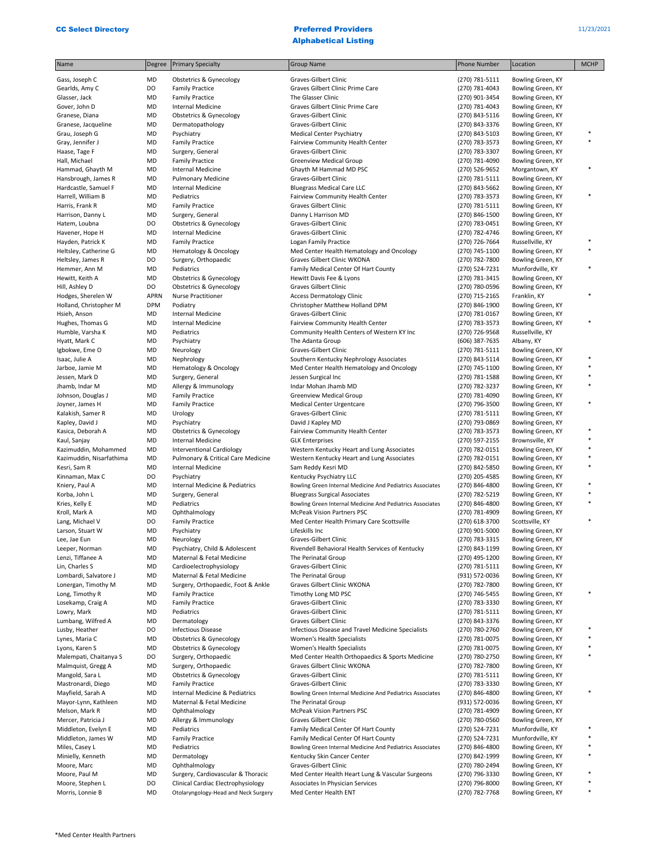| Name                                 | Degree      | <b>Primary Specialty</b>                            | <b>Group Name</b>                                                                                 | <b>Phone Number</b>              | Location                               | <b>MCHP</b> |
|--------------------------------------|-------------|-----------------------------------------------------|---------------------------------------------------------------------------------------------------|----------------------------------|----------------------------------------|-------------|
| Gass, Joseph C                       | MD          | <b>Obstetrics &amp; Gynecology</b>                  | Graves-Gilbert Clinic                                                                             | (270) 781-5111                   | Bowling Green, KY                      |             |
| Gearlds, Amy C                       | DO          | <b>Family Practice</b>                              | Graves Gilbert Clinic Prime Care                                                                  | (270) 781-4043                   | Bowling Green, KY                      |             |
| Glasser, Jack                        | MD          | <b>Family Practice</b>                              | The Glasser Clinic                                                                                | (270) 901-3454                   | Bowling Green, KY                      |             |
| Gover, John D                        | MD          | Internal Medicine                                   | Graves Gilbert Clinic Prime Care                                                                  | (270) 781-4043                   | Bowling Green, KY                      |             |
| Granese, Diana                       | MD          | Obstetrics & Gynecology                             | Graves-Gilbert Clinic                                                                             | (270) 843-5116                   | Bowling Green, KY                      |             |
| Granese, Jacqueline                  | MD          | Dermatopathology                                    | Graves-Gilbert Clinic                                                                             | (270) 843-3376                   | Bowling Green, KY                      |             |
| Grau, Joseph G                       | MD          | Psychiatry                                          | <b>Medical Center Psychiatry</b>                                                                  | (270) 843-5103                   | Bowling Green, KY                      |             |
| Gray, Jennifer J                     | MD          | <b>Family Practice</b>                              | Fairview Community Health Center                                                                  | (270) 783-3573                   | Bowling Green, KY                      | $\ast$      |
| Haase, Tage F                        | MD          | Surgery, General                                    | Graves-Gilbert Clinic                                                                             | (270) 783-3307                   | Bowling Green, KY                      |             |
| Hall, Michael                        | MD          | <b>Family Practice</b>                              | <b>Greenview Medical Group</b>                                                                    | (270) 781-4090                   | Bowling Green, KY                      |             |
| Hammad, Ghayth M                     | MD          | Internal Medicine                                   | Ghayth M Hammad MD PSC                                                                            | (270) 526-9652                   | Morgantown, KY                         | $\ast$      |
| Hansbrough, James R                  | MD          | <b>Pulmonary Medicine</b>                           | Graves-Gilbert Clinic                                                                             | (270) 781-5111                   | Bowling Green, KY                      |             |
| Hardcastle, Samuel F                 | MD          | Internal Medicine                                   | <b>Bluegrass Medical Care LLC</b>                                                                 | (270) 843-5662                   | Bowling Green, KY                      | $\ast$      |
| Harrell, William B                   | MD          | Pediatrics                                          | Fairview Community Health Center                                                                  | (270) 783-3573                   | Bowling Green, KY                      |             |
| Harris, Frank R<br>Harrison, Danny L | MD<br>MD    | <b>Family Practice</b><br>Surgery, General          | Graves Gilbert Clinic<br>Danny L Harrison MD                                                      | (270) 781-5111<br>(270) 846-1500 | Bowling Green, KY<br>Bowling Green, KY |             |
| Hatem, Loubna                        | DO          | Obstetrics & Gynecology                             | Graves-Gilbert Clinic                                                                             | (270) 783-0451                   | Bowling Green, KY                      |             |
| Havener, Hope H                      | MD          | <b>Internal Medicine</b>                            | Graves-Gilbert Clinic                                                                             | (270) 782-4746                   | Bowling Green, KY                      |             |
| Hayden, Patrick K                    | MD          | <b>Family Practice</b>                              | Logan Family Practice                                                                             | (270) 726-7664                   | Russellville, KY                       |             |
| Heltsley, Catherine G                | MD          | Hematology & Oncology                               | Med Center Health Hematology and Oncology                                                         | (270) 745-1100                   | Bowling Green, KY                      |             |
| Heltsley, James R                    | DO          | Surgery, Orthopaedic                                | Graves Gilbert Clinic WKONA                                                                       | (270) 782-7800                   | Bowling Green, KY                      |             |
| Hemmer, Ann M                        | MD          | Pediatrics                                          | Family Medical Center Of Hart County                                                              | (270) 524-7231                   | Munfordville, KY                       |             |
| Hewitt, Keith A                      | MD          | Obstetrics & Gynecology                             | Hewitt Davis Fee & Lyons                                                                          | (270) 781-3415                   | Bowling Green, KY                      |             |
| Hill, Ashley D                       | DO          | Obstetrics & Gynecology                             | Graves Gilbert Clinic                                                                             | (270) 780-0596                   | Bowling Green, KY                      |             |
| Hodges, Sherelen W                   | <b>APRN</b> | Nurse Practitioner                                  | <b>Access Dermatology Clinic</b>                                                                  | (270) 715-2165                   | Franklin, KY                           |             |
| Holland, Christopher M               | <b>DPM</b>  | Podiatry                                            | Christopher Matthew Holland DPM                                                                   | (270) 846-1900                   | Bowling Green, KY                      |             |
| Hsieh, Anson                         | MD          | Internal Medicine                                   | Graves-Gilbert Clinic                                                                             | (270) 781-0167                   | Bowling Green, KY                      |             |
| Hughes, Thomas G                     | MD          | <b>Internal Medicine</b>                            | Fairview Community Health Center                                                                  | (270) 783-3573                   | Bowling Green, KY                      |             |
| Humble, Varsha K                     | MD          | Pediatrics                                          | Community Health Centers of Western KY Inc                                                        | (270) 726-9568                   | Russellville, KY                       |             |
| Hyatt, Mark C                        | MD          | Psychiatry                                          | The Adanta Group                                                                                  | (606) 387-7635                   | Albany, KY                             |             |
| Igbokwe, Eme O<br>Isaac, Julie A     | MD<br>MD    | Neurology                                           | Graves-Gilbert Clinic                                                                             | (270) 781-5111<br>(270) 843-5114 | Bowling Green, KY                      |             |
| Jarboe, Jamie M                      | MD          | Nephrology<br>Hematology & Oncology                 | Southern Kentucky Nephrology Associates<br>Med Center Health Hematology and Oncology              | (270) 745-1100                   | Bowling Green, KY<br>Bowling Green, KY |             |
| Jessen, Mark D                       | MD          | Surgery, General                                    | Jessen Surgical Inc                                                                               | (270) 781-1588                   | Bowling Green, KY                      | $\ast$      |
| Jhamb, Indar M                       | MD          | Allergy & Immunology                                | Indar Mohan Jhamb MD                                                                              | (270) 782-3237                   | Bowling Green, KY                      | $\ast$      |
| Johnson, Douglas J                   | MD          | <b>Family Practice</b>                              | <b>Greenview Medical Group</b>                                                                    | (270) 781-4090                   | Bowling Green, KY                      |             |
| Joyner, James H                      | MD          | <b>Family Practice</b>                              | <b>Medical Center Urgentcare</b>                                                                  | (270) 796-3500                   | Bowling Green, KY                      | $\ast$      |
| Kalakish, Samer R                    | MD          | Urology                                             | Graves-Gilbert Clinic                                                                             | (270) 781-5111                   | Bowling Green, KY                      |             |
| Kapley, David J                      | MD          | Psychiatry                                          | David J Kapley MD                                                                                 | (270) 793-0869                   | Bowling Green, KY                      |             |
| Kasica, Deborah A                    | MD          | Obstetrics & Gynecology                             | Fairview Community Health Center                                                                  | (270) 783-3573                   | Bowling Green, KY                      |             |
| Kaul, Sanjay                         | MD          | Internal Medicine                                   | <b>GLK Enterprises</b>                                                                            | (270) 597-2155                   | Brownsville, KY                        |             |
| Kazimuddin, Mohammed                 | MD          | <b>Interventional Cardiology</b>                    | Western Kentucky Heart and Lung Associates                                                        | (270) 782-0151                   | Bowling Green, KY                      |             |
| Kazimuddin, Nisarfathima             | MD          | Pulmonary & Critical Care Medicine                  | Western Kentucky Heart and Lung Associates                                                        | (270) 782-0151                   | Bowling Green, KY                      |             |
| Kesri, Sam R                         | MD          | Internal Medicine                                   | Sam Reddy Kesri MD                                                                                | (270) 842-5850                   | Bowling Green, KY                      |             |
| Kinnaman, Max C                      | DO          | Psychiatry                                          | Kentucky Psychiatry LLC                                                                           | (270) 205-4585                   | Bowling Green, KY                      |             |
| Kniery, Paul A                       | MD          | Internal Medicine & Pediatrics                      | Bowling Green Internal Medicine And Pediatrics Associates                                         | (270) 846-4800                   | Bowling Green, KY                      |             |
| Korba, John L<br>Kries, Kelly E      | MD<br>MD    | Surgery, General<br>Pediatrics                      | <b>Bluegrass Surgical Associates</b><br>Bowling Green Internal Medicine And Pediatrics Associates | (270) 782-5219<br>(270) 846-4800 | Bowling Green, KY<br>Bowling Green, KY |             |
| Kroll, Mark A                        | MD          | Ophthalmology                                       | McPeak Vision Partners PSC                                                                        | (270) 781-4909                   | Bowling Green, KY                      |             |
| Lang, Michael V                      | DO          | <b>Family Practice</b>                              | Med Center Health Primary Care Scottsville                                                        | (270) 618-3700                   | Scottsville, KY                        |             |
| Larson, Stuart W                     | MD          | Psychiatry                                          | Lifeskills Inc                                                                                    | (270) 901-5000                   | Bowling Green, KY                      |             |
| Lee, Jae Eun                         | MD          | Neurology                                           | Graves-Gilbert Clinic                                                                             | (270) 783-3315                   | Bowling Green, KY                      |             |
| Leeper, Norman                       | Mυ          | Psychiatry, Child & Adolescent                      | Rivendell Behavioral Health Services of Kentucky                                                  | (270) 843-1199                   | Bowling Green, KY                      |             |
| Lenzi, Tiffanee A                    | MD          | Maternal & Fetal Medicine                           | The Perinatal Group                                                                               | (270) 495-1200                   | Bowling Green, KY                      |             |
| Lin, Charles S                       | MD          | Cardioelectrophysiology                             | Graves-Gilbert Clinic                                                                             | (270) 781-5111                   | Bowling Green, KY                      |             |
| Lombardi, Salvatore J                | MD          | Maternal & Fetal Medicine                           | The Perinatal Group                                                                               | (931) 572-0036                   | Bowling Green, KY                      |             |
| Lonergan, Timothy M                  | MD          | Surgery, Orthopaedic, Foot & Ankle                  | Graves Gilbert Clinic WKONA                                                                       | (270) 782-7800                   | Bowling Green, KY                      |             |
| Long, Timothy R                      | MD          | <b>Family Practice</b>                              | Timothy Long MD PSC                                                                               | (270) 746-5455                   | Bowling Green, KY                      | $\ast$      |
| Losekamp, Craig A                    | MD          | <b>Family Practice</b>                              | Graves-Gilbert Clinic                                                                             | (270) 783-3330                   | Bowling Green, KY                      |             |
| Lowry, Mark                          | MD          | Pediatrics                                          | Graves-Gilbert Clinic                                                                             | (270) 781-5111                   | Bowling Green, KY                      |             |
| Lumbang, Wilfred A                   | MD<br>DO    | Dermatology<br><b>Infectious Disease</b>            | Graves Gilbert Clinic                                                                             | (270) 843-3376                   | Bowling Green, KY<br>Bowling Green, KY |             |
| Lusby, Heather<br>Lynes, Maria C     | MD          | <b>Obstetrics &amp; Gynecology</b>                  | Infectious Disease and Travel Medicine Specialists<br>Women's Health Specialists                  | (270) 780-2760<br>(270) 781-0075 | Bowling Green, KY                      |             |
| Lyons, Karen S                       | MD          | <b>Obstetrics &amp; Gynecology</b>                  | Women's Health Specialists                                                                        | (270) 781-0075                   | Bowling Green, KY                      |             |
| Malempati, Chaitanya S               | DO          | Surgery, Orthopaedic                                | Med Center Health Orthopaedics & Sports Medicine                                                  | (270) 780-2750                   | Bowling Green, KY                      |             |
| Malmquist, Gregg A                   | MD          | Surgery, Orthopaedic                                | Graves Gilbert Clinic WKONA                                                                       | (270) 782-7800                   | Bowling Green, KY                      |             |
| Mangold, Sara L                      | MD          | <b>Obstetrics &amp; Gynecology</b>                  | Graves-Gilbert Clinic                                                                             | (270) 781-5111                   | Bowling Green, KY                      |             |
| Mastronardi, Diego                   | MD          | <b>Family Practice</b>                              | Graves-Gilbert Clinic                                                                             | (270) 783-3330                   | Bowling Green, KY                      |             |
| Mayfield, Sarah A                    | MD          | Internal Medicine & Pediatrics                      | Bowling Green Internal Medicine And Pediatrics Associates                                         | (270) 846-4800                   | Bowling Green, KY                      | $\ast$      |
| Mayor-Lynn, Kathleen                 | MD          | Maternal & Fetal Medicine                           | The Perinatal Group                                                                               | (931) 572-0036                   | Bowling Green, KY                      |             |
| Melson, Mark R                       | MD          | Ophthalmology                                       | McPeak Vision Partners PSC                                                                        | (270) 781-4909                   | Bowling Green, KY                      |             |
| Mercer, Patricia J                   | MD          | Allergy & Immunology                                | <b>Graves Gilbert Clinic</b>                                                                      | (270) 780-0560                   | Bowling Green, KY                      |             |
| Middleton, Evelyn E                  | MD          | Pediatrics                                          | Family Medical Center Of Hart County                                                              | (270) 524-7231                   | Munfordville, KY                       |             |
| Middleton, James W                   | MD          | <b>Family Practice</b>                              | Family Medical Center Of Hart County                                                              | (270) 524-7231                   | Munfordville, KY                       |             |
| Miles, Casey L                       | MD          | Pediatrics                                          | Bowling Green Internal Medicine And Pediatrics Associates                                         | (270) 846-4800                   | Bowling Green, KY                      |             |
| Minielly, Kenneth                    | MD          | Dermatology                                         | Kentucky Skin Cancer Center                                                                       | (270) 842-1999                   | Bowling Green, KY                      |             |
| Moore, Marc<br>Moore, Paul M         | MD<br>MD    | Ophthalmology<br>Surgery, Cardiovascular & Thoracic | Graves-Gilbert Clinic<br>Med Center Health Heart Lung & Vascular Surgeons                         | (270) 780-2494<br>(270) 796-3330 | Bowling Green, KY<br>Bowling Green, KY |             |
| Moore, Stephen L                     | DO          | Clinical Cardiac Electrophysiology                  | Associates In Physician Services                                                                  | (270) 796-8000                   | Bowling Green, KY                      |             |
| Morris, Lonnie B                     | MD          | Otolaryngology-Head and Neck Surgery                | Med Center Health ENT                                                                             | (270) 782-7768                   | Bowling Green, KY                      | $\ast$      |
|                                      |             |                                                     |                                                                                                   |                                  |                                        |             |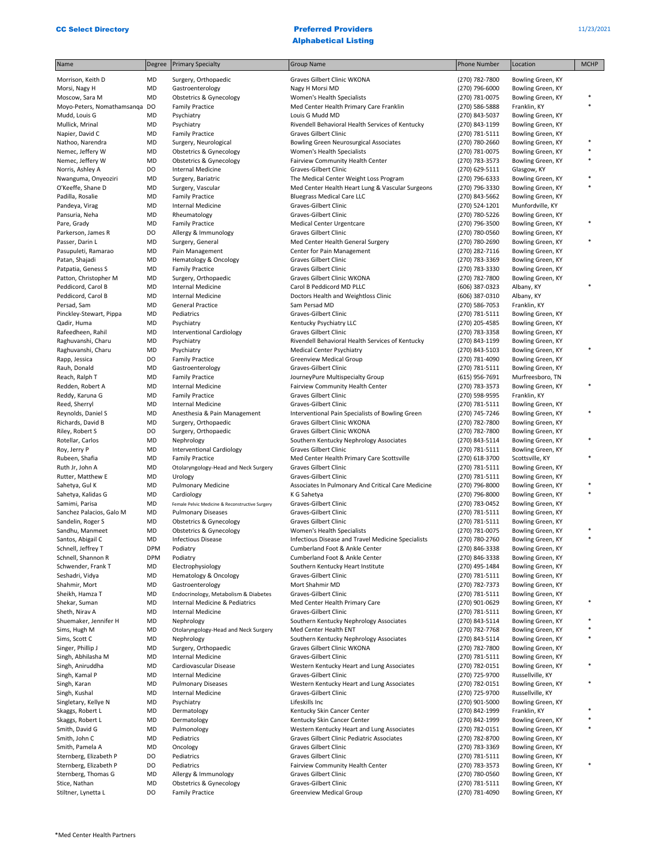| Name                                    | Degree     | <b>Primary Specialty</b>                           | <b>Group Name</b>                                                | Phone Number                     | Location                               | <b>MCHP</b> |
|-----------------------------------------|------------|----------------------------------------------------|------------------------------------------------------------------|----------------------------------|----------------------------------------|-------------|
| Morrison, Keith D                       | MD         | Surgery, Orthopaedic                               | Graves Gilbert Clinic WKONA                                      | (270) 782-7800                   | Bowling Green, KY                      |             |
| Morsi, Nagy H                           | <b>MD</b>  | Gastroenterology                                   | Nagy H Morsi MD                                                  | (270) 796-6000                   | Bowling Green, KY                      |             |
| Moscow, Sara M                          | <b>MD</b>  | Obstetrics & Gynecology                            | Women's Health Specialists                                       | (270) 781-0075                   | Bowling Green, KY                      |             |
| Moyo-Peters, Nomathamsanga              | DO         | <b>Family Practice</b>                             | Med Center Health Primary Care Franklin                          | (270) 586-5888                   | Franklin, KY                           |             |
| Mudd, Louis G                           | MD         | Psychiatry                                         | Louis G Mudd MD                                                  | (270) 843-5037                   | Bowling Green, KY                      |             |
| Mullick, Mrinal                         | MD         | Psychiatry                                         | Rivendell Behavioral Health Services of Kentucky                 | (270) 843-1199                   | Bowling Green, KY                      |             |
| Napier, David C                         | <b>MD</b>  | <b>Family Practice</b>                             | Graves Gilbert Clinic                                            | (270) 781-5111                   | Bowling Green, KY                      |             |
| Nathoo, Narendra                        | MD         | Surgery, Neurological                              | <b>Bowling Green Neurosurgical Associates</b>                    | (270) 780-2660                   | Bowling Green, KY                      |             |
| Nemec, Jeffery W                        | MD         | Obstetrics & Gynecology                            | Women's Health Specialists                                       | (270) 781-0075                   | Bowling Green, KY                      | $\ast$      |
| Nemec, Jeffery W                        | MD         | Obstetrics & Gynecology                            | Fairview Community Health Center                                 | (270) 783-3573                   | Bowling Green, KY                      |             |
| Norris, Ashley A                        | DO         | Internal Medicine                                  | Graves-Gilbert Clinic                                            | (270) 629-5111                   | Glasgow, KY                            |             |
| Nwanguma, Onyeoziri                     | MD         | Surgery, Bariatric                                 | The Medical Center Weight Loss Program                           | (270) 796-6333                   | Bowling Green, KY                      |             |
| O'Keeffe, Shane D                       | MD         | Surgery, Vascular                                  | Med Center Health Heart Lung & Vascular Surgeons                 | (270) 796-3330                   | Bowling Green, KY                      |             |
| Padilla, Rosalie                        | MD         | <b>Family Practice</b>                             | <b>Bluegrass Medical Care LLC</b>                                | (270) 843-5662                   | Bowling Green, KY                      |             |
| Pandeya, Virag                          | MD         | <b>Internal Medicine</b>                           | Graves-Gilbert Clinic                                            | (270) 524-1201                   | Munfordville, KY                       |             |
| Pansuria, Neha                          | MD         | Rheumatology                                       | Graves-Gilbert Clinic                                            | (270) 780-5226                   | Bowling Green, KY                      |             |
| Pare, Grady                             | MD         | <b>Family Practice</b>                             | <b>Medical Center Urgentcare</b>                                 | (270) 796-3500                   | Bowling Green, KY                      |             |
| Parkerson, James R                      | DO         | Allergy & Immunology                               | Graves Gilbert Clinic                                            | (270) 780-0560                   | Bowling Green, KY                      |             |
| Passer, Darin L                         | MD         | Surgery, General                                   | Med Center Health General Surgery                                | (270) 780-2690                   | Bowling Green, KY                      |             |
| Pasupuleti, Ramarao                     | MD         | Pain Management                                    | Center for Pain Management                                       | (270) 282-7116                   | Bowling Green, KY                      |             |
| Patan, Shajadi                          | MD         | Hematology & Oncology                              | Graves Gilbert Clinic                                            | (270) 783-3369                   | Bowling Green, KY                      |             |
| Patpatia, Geness S                      | MD         | <b>Family Practice</b>                             | Graves Gilbert Clinic                                            | (270) 783-3330                   | Bowling Green, KY                      |             |
| Patton, Christopher M                   | MD         | Surgery, Orthopaedic                               | Graves Gilbert Clinic WKONA                                      | (270) 782-7800                   | Bowling Green, KY                      |             |
| Peddicord, Carol B                      | MD         | Internal Medicine                                  | Carol B Peddicord MD PLLC                                        | (606) 387-0323                   | Albany, KY                             |             |
| Peddicord, Carol B                      | MD         | <b>Internal Medicine</b>                           | Doctors Health and Weightloss Clinic                             | (606) 387-0310                   | Albany, KY                             |             |
| Persad, Sam                             | MD         | <b>General Practice</b>                            | Sam Persad MD                                                    | (270) 586-7053                   | Franklin, KY                           |             |
| Pinckley-Stewart, Pippa                 | MD         | Pediatrics                                         | Graves-Gilbert Clinic                                            | (270) 781-5111                   | Bowling Green, KY                      |             |
| Qadir, Huma                             | MD         | Psychiatry                                         | Kentucky Psychiatry LLC                                          | (270) 205-4585                   | Bowling Green, KY                      |             |
| Rafeedheen, Rahil                       | MD         | Interventional Cardiology                          | Graves Gilbert Clinic                                            | (270) 783-3358                   | Bowling Green, KY                      |             |
| Raghuvanshi, Charu                      | MD         | Psychiatry                                         | Rivendell Behavioral Health Services of Kentucky                 | (270) 843-1199                   | Bowling Green, KY                      | $\ast$      |
| Raghuvanshi, Charu                      | MD         | Psychiatry                                         | <b>Medical Center Psychiatry</b>                                 | (270) 843-5103                   | Bowling Green, KY                      |             |
| Rapp, Jessica                           | DO         | <b>Family Practice</b>                             | <b>Greenview Medical Group</b>                                   | (270) 781-4090                   | Bowling Green, KY                      |             |
| Rauh, Donald                            | MD         | Gastroenterology                                   | Graves-Gilbert Clinic                                            | (270) 781-5111                   | Bowling Green, KY                      |             |
| Reach, Ralph T                          | MD<br>MD   | <b>Family Practice</b>                             | JourneyPure Multispecialty Group                                 | (615) 956-7691                   | Murfreesboro, TN                       | $\ast$      |
| Redden, Robert A                        | MD         | Internal Medicine                                  | Fairview Community Health Center                                 | (270) 783-3573                   | Bowling Green, KY                      |             |
| Reddy, Karuna G<br>Reed, Sherryl        | MD         | <b>Family Practice</b><br>Internal Medicine        | Graves Gilbert Clinic<br>Graves-Gilbert Clinic                   | (270) 598-9595                   | Franklin, KY                           |             |
| Reynolds, Daniel S                      | MD         | Anesthesia & Pain Management                       | Interventional Pain Specialists of Bowling Green                 | (270) 781-5111<br>(270) 745-7246 | Bowling Green, KY<br>Bowling Green, KY |             |
| Richards, David B                       | MD         | Surgery, Orthopaedic                               | Graves Gilbert Clinic WKONA                                      | (270) 782-7800                   | Bowling Green, KY                      |             |
| Riley, Robert S                         | DO         | Surgery, Orthopaedic                               | Graves Gilbert Clinic WKONA                                      | (270) 782-7800                   | Bowling Green, KY                      |             |
| Rotellar, Carlos                        | MD         | Nephrology                                         | Southern Kentucky Nephrology Associates                          | (270) 843-5114                   | Bowling Green, KY                      |             |
| Roy, Jerry P                            | MD         | Interventional Cardiology                          | Graves Gilbert Clinic                                            | (270) 781-5111                   | Bowling Green, KY                      |             |
| Rubeen, Shafia                          | MD         | <b>Family Practice</b>                             | Med Center Health Primary Care Scottsville                       | (270) 618-3700                   | Scottsville, KY                        |             |
| Ruth Jr, John A                         | MD         | Otolaryngology-Head and Neck Surgery               | Graves Gilbert Clinic                                            | (270) 781-5111                   | Bowling Green, KY                      |             |
| Rutter, Matthew E                       | MD         | Urology                                            | Graves-Gilbert Clinic                                            | (270) 781-5111                   | Bowling Green, KY                      |             |
| Sahetya, Gul K                          | MD         | <b>Pulmonary Medicine</b>                          | Associates In Pulmonary And Critical Care Medicine               | (270) 796-8000                   | Bowling Green, KY                      |             |
| Sahetya, Kalidas G                      | MD         | Cardiology                                         | K G Sahetya                                                      | (270) 796-8000                   | Bowling Green, KY                      | $\ast$      |
| Samimi, Parisa                          | MD         | Female Pelvic Medicine & Reconstructive Surgery    | Graves-Gilbert Clinic                                            | (270) 783-0452                   | Bowling Green, KY                      |             |
| Sanchez Palacios, Galo M                | MD         | <b>Pulmonary Diseases</b>                          | Graves-Gilbert Clinic                                            | (270) 781-5111                   | Bowling Green, KY                      |             |
| Sandelin, Roger S                       | MD         | Obstetrics & Gynecology                            | Graves Gilbert Clinic                                            | (270) 781-5111                   | Bowling Green, KY                      |             |
| Sandhu, Manmeet                         | MD         | Obstetrics & Gynecology                            | Women's Health Specialists                                       | (270) 781-0075                   | Bowling Green, KY                      |             |
| Santos, Abigail C                       | MD         | <b>Infectious Disease</b>                          | Infectious Disease and Travel Medicine Specialists               | (270) 780-2760                   | Bowling Green, KY                      | $\ast$      |
| Schnell, Jeffrey T                      | <b>DPM</b> | Podiatry                                           | Cumberland Foot & Ankle Center                                   | (270) 846-3338                   | Bowling Green, KY                      |             |
| Schnell, Shannon R                      | <b>DPM</b> | Podiatry                                           | Cumberland Foot & Ankle Center                                   | (270) 846-3338                   | Bowling Green, KY                      |             |
| Schwender, Frank T                      | MD         | Electrophysiology                                  | Southern Kentucky Heart Institute                                | (270) 495-1484                   | Bowling Green, KY                      |             |
| Seshadri, Vidya                         | MD         | Hematology & Oncology                              | Graves-Gilbert Clinic                                            | (270) 781-5111                   | Bowling Green, KY                      |             |
| Shahmir, Mort                           | MD         | Gastroenterology                                   | Mort Shahmir MD                                                  | (270) 782-7373                   | Bowling Green, KY                      |             |
| Sheikh, Hamza T                         | MD         | Endocrinology, Metabolism & Diabetes               | Graves-Gilbert Clinic                                            | (270) 781-5111                   | Bowling Green, KY                      |             |
| Shekar, Suman                           | MD         | Internal Medicine & Pediatrics                     | Med Center Health Primary Care                                   | (270) 901-0629                   | Bowling Green, KY                      |             |
| Sheth, Nirav A<br>Shuemaker, Jennifer H | MD         | <b>Internal Medicine</b>                           | <b>Graves-Gilbert Clinic</b>                                     | (270) 781-5111                   | Bowling Green, KY                      |             |
| Sims, Hugh M                            | MD         | Nephrology<br>Otolaryngology-Head and Neck Surgery | Southern Kentucky Nephrology Associates<br>Med Center Health ENT | (270) 843-5114<br>(270) 782-7768 | Bowling Green, KY                      | $\ast$      |
| Sims, Scott C                           | MD<br>MD   | Nephrology                                         | Southern Kentucky Nephrology Associates                          | (270) 843-5114                   | Bowling Green, KY<br>Bowling Green, KY |             |
| Singer, Phillip J                       | MD         | Surgery, Orthopaedic                               | Graves Gilbert Clinic WKONA                                      | (270) 782-7800                   | Bowling Green, KY                      |             |
| Singh, Abhilasha M                      | MD         | <b>Internal Medicine</b>                           | Graves-Gilbert Clinic                                            | (270) 781-5111                   | Bowling Green, KY                      |             |
| Singh, Aniruddha                        | MD         | Cardiovascular Disease                             | Western Kentucky Heart and Lung Associates                       | (270) 782-0151                   | Bowling Green, KY                      |             |
| Singh, Kamal P                          | MD         | <b>Internal Medicine</b>                           | <b>Graves-Gilbert Clinic</b>                                     | (270) 725-9700                   | Russellville, KY                       |             |
| Singh, Karan                            | MD         | <b>Pulmonary Diseases</b>                          | Western Kentucky Heart and Lung Associates                       | (270) 782-0151                   | Bowling Green, KY                      |             |
| Singh, Kushal                           | MD         | Internal Medicine                                  | Graves-Gilbert Clinic                                            | (270) 725-9700                   | Russellville, KY                       |             |
| Singletary, Kellye N                    | MD         | Psychiatry                                         | Lifeskills Inc                                                   | (270) 901-5000                   | Bowling Green, KY                      |             |
| Skaggs, Robert L                        | MD         | Dermatology                                        | Kentucky Skin Cancer Center                                      | (270) 842-1999                   | Franklin, KY                           |             |
| Skaggs, Robert L                        | MD         | Dermatology                                        | Kentucky Skin Cancer Center                                      | (270) 842-1999                   | Bowling Green, KY                      | $\ast$      |
| Smith, David G                          | MD         | Pulmonology                                        | Western Kentucky Heart and Lung Associates                       | (270) 782-0151                   | Bowling Green, KY                      |             |
| Smith, John C                           | MD         | Pediatrics                                         | Graves Gilbert Clinic Pediatric Associates                       | (270) 782-8700                   | Bowling Green, KY                      |             |
| Smith, Pamela A                         | MD         | Oncology                                           | Graves Gilbert Clinic                                            | (270) 783-3369                   | Bowling Green, KY                      |             |
| Sternberg, Elizabeth P                  | DO         | Pediatrics                                         | Graves Gilbert Clinic                                            | (270) 781-5111                   | Bowling Green, KY                      |             |
| Sternberg, Elizabeth P                  | DO         | Pediatrics                                         | Fairview Community Health Center                                 | (270) 783-3573                   | Bowling Green, KY                      |             |
| Sternberg, Thomas G                     | MD         | Allergy & Immunology                               | Graves Gilbert Clinic                                            | (270) 780-0560                   | Bowling Green, KY                      |             |
| Stice, Nathan                           | MD         | Obstetrics & Gynecology                            | Graves-Gilbert Clinic                                            | (270) 781-5111                   | Bowling Green, KY                      |             |
| Stiltner, Lynetta L                     | DO         | <b>Family Practice</b>                             | <b>Greenview Medical Group</b>                                   | (270) 781-4090                   | Bowling Green, KY                      |             |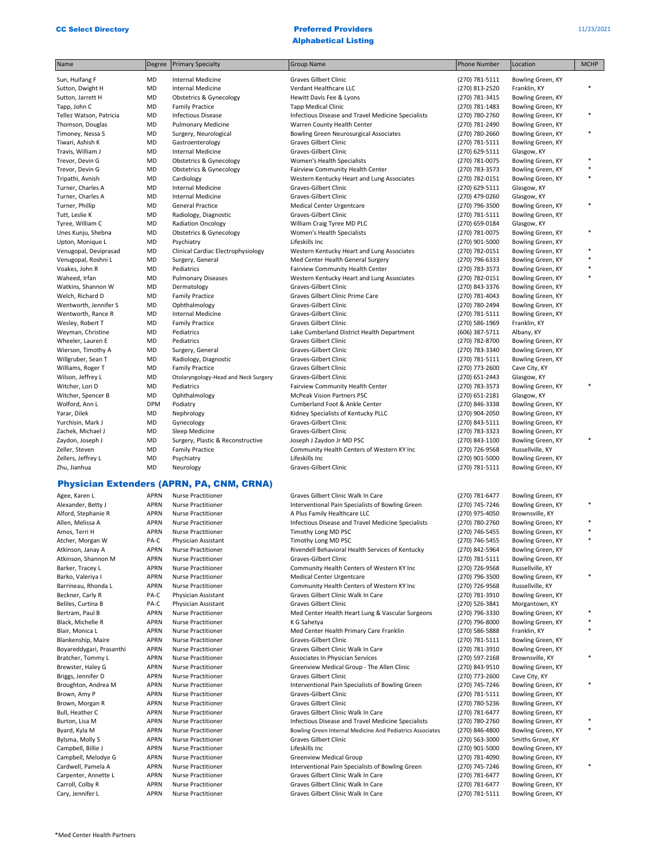## **CC Select Directory CC Select Directory** Alphabetical Listing

| Name                    | Degree     | <b>Primary Specialty</b>             | <b>Group Name</b>                                  | <b>Phone Number</b> | Location          | <b>MCHP</b> |
|-------------------------|------------|--------------------------------------|----------------------------------------------------|---------------------|-------------------|-------------|
| Sun, Huifang F          | <b>MD</b>  | <b>Internal Medicine</b>             | <b>Graves Gilbert Clinic</b>                       | (270) 781-5111      | Bowling Green, KY |             |
| Sutton, Dwight H        | MD         | <b>Internal Medicine</b>             | Verdant Healthcare LLC                             | (270) 813-2520      | Franklin, KY      | $\ast$      |
| Sutton, Jarrett H       | MD         | Obstetrics & Gynecology              | Hewitt Davis Fee & Lyons                           | (270) 781-3415      | Bowling Green, KY |             |
| Tapp, John C            | <b>MD</b>  | <b>Family Practice</b>               | <b>Tapp Medical Clinic</b>                         | (270) 781-1483      | Bowling Green, KY |             |
| Tellez Watson, Patricia | MD         | <b>Infectious Disease</b>            | Infectious Disease and Travel Medicine Specialists | (270) 780-2760      | Bowling Green, KY | $\ast$      |
| Thomson, Douglas        | <b>MD</b>  | <b>Pulmonary Medicine</b>            | Warren County Health Center                        | (270) 781-2490      | Bowling Green, KY |             |
| Timoney, Nessa S        | <b>MD</b>  | Surgery, Neurological                | <b>Bowling Green Neurosurgical Associates</b>      | (270) 780-2660      | Bowling Green, KY | $\ast$      |
| Tiwari, Ashish K        | MD         | Gastroenterology                     | Graves Gilbert Clinic                              | (270) 781-5111      | Bowling Green, KY |             |
| Travis, William J       | <b>MD</b>  | <b>Internal Medicine</b>             | <b>Graves-Gilbert Clinic</b>                       | (270) 629-5111      | Glasgow, KY       |             |
| Trevor, Devin G         | MD         | Obstetrics & Gynecology              | Women's Health Specialists                         | (270) 781-0075      | Bowling Green, KY |             |
| Trevor, Devin G         | <b>MD</b>  | <b>Obstetrics &amp; Gynecology</b>   | Fairview Community Health Center                   | (270) 783-3573      | Bowling Green, KY |             |
| Tripathi, Avnish        | MD         | Cardiology                           | Western Kentucky Heart and Lung Associates         | (270) 782-0151      | Bowling Green, KY | $\ast$      |
| Turner, Charles A       | <b>MD</b>  | <b>Internal Medicine</b>             | Graves-Gilbert Clinic                              | (270) 629-5111      | Glasgow, KY       |             |
| Turner, Charles A       | <b>MD</b>  | Internal Medicine                    | Graves-Gilbert Clinic                              | (270) 479-0260      | Glasgow, KY       |             |
| Turner, Phillip         | MD         | <b>General Practice</b>              | Medical Center Urgentcare                          | (270) 796-3500      | Bowling Green, KY | $\ast$      |
| Tutt, Leslie K          | <b>MD</b>  | Radiology, Diagnostic                | <b>Graves-Gilbert Clinic</b>                       | (270) 781-5111      | Bowling Green, KY |             |
| Tyree, William C        | MD         | <b>Radiation Oncology</b>            | William Craig Tyree MD PLC                         | (270) 659-0184      | Glasgow, KY       |             |
| Unes Kunju, Shebna      | MD         | <b>Obstetrics &amp; Gynecology</b>   | Women's Health Specialists                         | (270) 781-0075      | Bowling Green, KY | $\ast$      |
| Upton, Monique L        | <b>MD</b>  | Psychiatry                           | Lifeskills Inc                                     | (270) 901-5000      | Bowling Green, KY |             |
| Venugopal, Deviprasad   | MD         | Clinical Cardiac Electrophysiology   | Western Kentucky Heart and Lung Associates         | (270) 782-0151      | Bowling Green, KY |             |
| Venugopal, Roshni L     | MD         | Surgery, General                     | Med Center Health General Surgery                  | (270) 796-6333      | Bowling Green, KY | $\ast$      |
| Voakes, John R          | MD         | Pediatrics                           | Fairview Community Health Center                   | (270) 783-3573      | Bowling Green, KY | *           |
| Waheed, Irfan           | MD         | <b>Pulmonary Diseases</b>            | Western Kentucky Heart and Lung Associates         | (270) 782-0151      | Bowling Green, KY |             |
| Watkins, Shannon W      | <b>MD</b>  | Dermatology                          | Graves-Gilbert Clinic                              | (270) 843-3376      | Bowling Green, KY |             |
| Welch, Richard D        | <b>MD</b>  | <b>Family Practice</b>               | Graves Gilbert Clinic Prime Care                   | (270) 781-4043      | Bowling Green, KY |             |
| Wentworth, Jennifer S   | MD         | Ophthalmology                        | Graves-Gilbert Clinic                              | (270) 780-2494      | Bowling Green, KY |             |
| Wentworth, Rance R      | MD         | <b>Internal Medicine</b>             | Graves-Gilbert Clinic                              | (270) 781-5111      | Bowling Green, KY |             |
| Wesley, Robert T        | MD         | <b>Family Practice</b>               | <b>Graves Gilbert Clinic</b>                       | (270) 586-1969      | Franklin, KY      |             |
| Weyman, Christine       | <b>MD</b>  | Pediatrics                           | Lake Cumberland District Health Department         | (606) 387-5711      | Albany, KY        |             |
| Wheeler, Lauren E       | <b>MD</b>  | Pediatrics                           | <b>Graves Gilbert Clinic</b>                       | (270) 782-8700      | Bowling Green, KY |             |
| Wierson, Timothy A      | MD         | Surgery, General                     | Graves-Gilbert Clinic                              | (270) 783-3340      | Bowling Green, KY |             |
| Willgruber, Sean T      | MD         | Radiology, Diagnostic                | <b>Graves-Gilbert Clinic</b>                       | (270) 781-5111      | Bowling Green, KY |             |
| Williams, Roger T       | MD         | <b>Family Practice</b>               | Graves Gilbert Clinic                              | (270) 773-2600      | Cave City, KY     |             |
| Wilson, Jeffrey L       | <b>MD</b>  | Otolaryngology-Head and Neck Surgery | Graves-Gilbert Clinic                              | (270) 651-2443      | Glasgow, KY       |             |
| Witcher, Lori D         | MD         | Pediatrics                           | Fairview Community Health Center                   | (270) 783-3573      | Bowling Green, KY | $\ast$      |
| Witcher, Spencer B      | <b>MD</b>  | Ophthalmology                        | <b>McPeak Vision Partners PSC</b>                  | (270) 651-2181      | Glasgow, KY       |             |
| Wolford, Ann L          | <b>DPM</b> | Podiatry                             | Cumberland Foot & Ankle Center                     | (270) 846-3338      | Bowling Green, KY |             |
| Yarar, Dilek            | MD         | Nephrology                           | Kidney Specialists of Kentucky PLLC                | (270) 904-2050      | Bowling Green, KY |             |
| Yurchisin, Mark J       | MD         | Gynecology                           | Graves-Gilbert Clinic                              | (270) 843-5111      | Bowling Green, KY |             |
| Zachek, Michael J       | MD         | Sleep Medicine                       | Graves-Gilbert Clinic                              | (270) 783-3323      | Bowling Green, KY |             |
| Zaydon, Joseph J        | MD         | Surgery, Plastic & Reconstructive    | Joseph J Zaydon Jr MD PSC                          | (270) 843-1100      | Bowling Green, KY | $\ast$      |
| Zeller, Steven          | MD         | <b>Family Practice</b>               | Community Health Centers of Western KY Inc         | (270) 726-9568      | Russellville, KY  |             |
| Zellers, Jeffrey L      | MD         | Psychiatry                           | Lifeskills Inc                                     | (270) 901-5000      | Bowling Green, KY |             |
| Zhu, Jianhua            | <b>MD</b>  | Neurology                            | <b>Graves-Gilbert Clinic</b>                       | (270) 781-5111      | Bowling Green, KY |             |

# Physician Extenders (APRN, PA, CNM, CRNA)

Alford, Stephanie R

APRN Nurse Practitioner Atcher, Morgan W PA-C Physician Assistant Timothy Long MD PSC (270) 756-6455 Bowling MD PSC (270) 746-6455 Bowling Green, Archives and APRN Nurse Practitioner Atkinson, Shannon M APRN Nurse Practitioner Graves-Gilbert Clinic (270) 761-411 Bowling Graves-Gilbert Clinic (270) 781-5111 Bowling Graves-Gilbert Clinic (270) 781-5111 Bowling Graves-Gilbert Clinic (270) 781-5111 Bowling PA-C Physician Assistant<br>A PRN Nurse Practitioner Black, Michelle R APRN Nurse Practitioner<br>Blair. Monica L APRN Nurse Practitioner Briggs, Jennifer D **APRN** Nurse Practitioner **Graves Gilbert Clinic (270)** Graves Gilbert Clinic (270) 773-2600 Cave City, Cave City, Cave Coughton, Andrea M Brown, Amy P APRN Nurse Practitioner Graves-Gilbert Clinic (270) 791-511 Brown, Morgan R<br>Brown, Morgan R APRN Nurse Practitioner Graves Gilbert Clinic Bull, Bull, Heather C APRN Nurse Practitioner Bylsma, Molly S APRN Nurse Practitioner Graves Gilbert Carry Contains Graves Gilbert Clinic (270) 563-4000 Smiths Graves Gilbert Clinic Clinic (270) 563-4000 Smiths Graves Gilbert Clinic Clinic Clinic Clinic Clinic Clinic APRN Nurse Practitioner

Agee, Karen L APRN APRN Nurse Practitioner Graves Gilbert Clinic Walk In Care (270) 761-647<br>Alexander, Betty J APRN Nurse Practitioner (270) 781-6477 Bowling Green, Specialists of B APRN Nurse Practitioner **Interventional Pain Specialists of Bowling Green**<br>
Δ Plus Family Healthcare 11 C<br>
Δ Plus Family Healthcare 11 C Allen, Melissa A APRN Nurse Practitioner **Infectious Disease and Travel Medicine Specialists** (270) 780-2760 Bowling Green, Apple and Travel Medicine Specialists (270) 780-2760 Bowling Green, KY \* 780-2760 Bowling Green, A Atkinson, Janay A **ANCI ARRI ARRIVER ARY ANG ARY AT A ARRIVER ARY ARY ARY ARRIVER ARY ARRIVER ARRIVER ARRIVER** BO Barker, Tracey L **APRN** Nurse Practitioner Community Health Centers of Western KY Inc (270) Barko, Valeriya I APRN Nurse Practitioner Medical Center Urgentcare Barrineau, Rhonda L APRN Nurse Practitioner Community Health Centers of Western KY Inc (270)726-056 Reckner, Carly R<br>Beckner, Carly R PA-C Physician Assistant Graves Gilbert Clinic Walk In Care Beckner, Carly R PA-C Physician Assistant Graves Gilbert Clinic Walk In Care (270) 781-3910 Bowling Green, KY Bertram, Paul B APRN Nurse Practitioner Med Center Health Heart Lung & Vascular Surgeons<br>
Black, Michelle R APRN Nurse Practitioner KG Sahetya Blair, Monica L APRN Nurse Practitioner Med Center Health Primary Care Franklin<br>Blankenship, Maire APRN Nurse Practitioner Graves-Gilbert Clinic Blankenship, Maire APRN Nurse Practitioner Graves-Gilbert Clinic (270) 781-5111 Bowling Green, KY Boyareddygari, Prasanthi APRN Nurse Practitioner Graves Gilbert Clinic Walk In Care (270) 781-401 Bowling Graves Graves Graves Graves Graves Graves Graves Graves Graves Graves Bowling Graves Graves Bowling Bowling Graves B Bratcher, Tommy L<br>Brewster, Haley G **APRN** Nurse Practitioner **Acceleration Services (270)** 597-2168 Brownsville Brownsville, APRN Nurse Practitioner Brewster, Haley G **APRN** Nurse Practitioner Greenview Medical Group - The Allen Clinic (270) 843-9510 Bowling Green, Greenview Medical Group - The Allen Clinic Green, Kyren, Kyren, Kyren, Kyren, Kyren, APRN Broughton, Andrea M APRN Nurse Practitioner Interventional Pain Specialists of Bowling Green<br>
Brown, Amy P APRN Nurse Practitioner (270) 745-7246 Graves-Gilbert Clinic Brown, Morgan R APRN Nurse Practitioner Graves Gilbert Clinic (270) 76 and Serves Gilbert Clinic Malk In Care<br>
Bull, Heather C Burton, Lisa M **APRN** Nurse Practitioner **Infectious Disease and Travel Medicine Specialists (270) 780-2760 Bowling Green Internal Medicine And Pediatrics Assoc<br>Byard, Kyla M <b>APRN** Nurse Practitioner **Bowling Green** Inter Byard, Kyla M APRN Nurse Practitioner **Bowling Green Internal Medicine And Pediatrics Associates** (270) 846-4800 Bowling Green, And Medicine And Pediatrics Associates (270) 846-4800 Bowling Graves Gilbert Clinic Clinic **An** Campbell, Melodye G APRN Nurse Practitioner Greenview Medical Group (270) 6 Campbell, Melodye Greenview Medical Group (270) 761-4090 Bowling Green, Campbell, Campbell, Campbell, Campbell, Campbell, Campbell, Campbell, Camp Cardwell, Pamela A **APRN** Nurse Practitioner **Interventional Pain Specialists of Bowling Green** Carpenter, Annette L APRN Nurse Practitioner Graves Gilbert Clinic Walk In Care Carroll, Colby R APRN Nurse Practitioner Graves Gilbert Clinic Walk In Care Cary, Jennifer L APRN Nurse Practitioner Graves Gilbert Clinic Walk In Care (270) 781-5111 Bowling Green, KY

| (270) 651-2443 | Glasgow, KY       |   |
|----------------|-------------------|---|
| (270) 783-3573 | Bowling Green, KY | * |
| (270) 651-2181 | Glasgow, KY       |   |
| (270) 846-3338 | Bowling Green, KY |   |
| (270) 904-2050 | Bowling Green, KY |   |
| (270) 843-5111 | Bowling Green, KY |   |
| (270) 783-3323 | Bowling Green, KY |   |
| (270) 843-1100 | Bowling Green, KY | * |
| (270) 726-9568 | Russellville, KY  |   |
| (270) 901-5000 | Bowling Green, KY |   |
| (270) 781-5111 | Bowling Green, KY |   |
|                |                   |   |
|                |                   |   |
| (270) 781-6477 | Bowling Green, KY |   |
| (270) 745-7246 | Bowling Green, KY | * |
| (270) 975-4050 | Brownsville, KY   |   |
| (270) 780-2760 | Bowling Green, KY | * |
| (270) 746-5455 | Bowling Green, KY | * |
| (270) 746-5455 | Bowling Green, KY | * |
| (270) 842-5964 | Bowling Green, KY |   |
| (270) 781-5111 | Bowling Green, KY |   |
| (270) 726-9568 | Russellville, KY  |   |
| (270) 796-3500 | Bowling Green, KY | × |
| (270) 726-9568 | Russellville, KY  |   |
| (270) 781-3910 | Bowling Green, KY |   |
| (270) 526-3841 | Morgantown, KY    |   |
| (270) 796-3330 | Bowling Green, KY | * |
| (270) 796-8000 | Bowling Green, KY | * |
| (270) 586-5888 | Franklin, KY      | * |
| (270) 781-5111 | Bowling Green, KY |   |
| (270) 781-3910 | Bowling Green, KY |   |
| (270) 597-2168 | Brownsville, KY   | * |
| (270) 843-9510 | Bowling Green, KY |   |
| (270) 773-2600 | Cave City, KY     |   |
| (270) 745-7246 | Bowling Green, KY | * |
| (270) 781-5111 | Bowling Green, KY |   |
| (270) 780-5236 | Bowling Green, KY |   |
| (270) 781-6477 | Bowling Green, KY |   |
| (270) 780-2760 | Bowling Green, KY |   |
| (270) 846-4800 | Bowling Green, KY | * |
| (270) 563-3000 | Smiths Grove, KY  |   |
| (270) 901-5000 | Bowling Green, KY |   |
| (270) 781-4090 | Bowling Green, KY |   |
| (270) 745-7246 | Bowling Green, KY |   |
| (270) 781-6477 | Bowling Green, KY |   |
| (270) 781-6477 | Bowling Green, KY |   |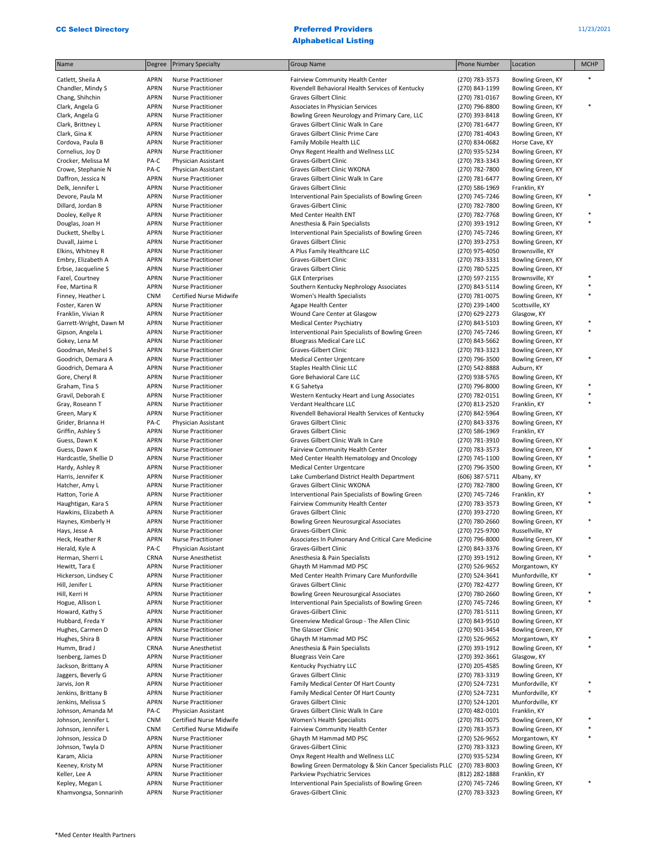| Name                   | Degree      | <b>Primary Specialty</b>  | <b>Group Name</b>                                        | <b>Phone Number</b> | Location          | <b>MCHP</b> |
|------------------------|-------------|---------------------------|----------------------------------------------------------|---------------------|-------------------|-------------|
| Catlett, Sheila A      | APRN        | <b>Nurse Practitioner</b> | Fairview Community Health Center                         | (270) 783-3573      | Bowling Green, KY | $\ast$      |
| Chandler, Mindy S      | APRN        | Nurse Practitioner        | Rivendell Behavioral Health Services of Kentucky         | (270) 843-1199      | Bowling Green, KY |             |
| Chang, Shihchin        | APRN        | <b>Nurse Practitioner</b> | <b>Graves Gilbert Clinic</b>                             | (270) 781-0167      | Bowling Green, KY |             |
| Clark, Angela G        | <b>APRN</b> | <b>Nurse Practitioner</b> | Associates In Physician Services                         | (270) 796-8800      | Bowling Green, KY | $\ast$      |
| Clark, Angela G        | APRN        | <b>Nurse Practitioner</b> | Bowling Green Neurology and Primary Care, LLC            | (270) 393-8418      | Bowling Green, KY |             |
| Clark, Brittney L      | <b>APRN</b> | <b>Nurse Practitioner</b> | Graves Gilbert Clinic Walk In Care                       | (270) 781-6477      | Bowling Green, KY |             |
| Clark, Gina K          | <b>APRN</b> | <b>Nurse Practitioner</b> | Graves Gilbert Clinic Prime Care                         | (270) 781-4043      | Bowling Green, KY |             |
| Cordova, Paula B       | <b>APRN</b> | Nurse Practitioner        | Family Mobile Health LLC                                 | (270) 834-0682      | Horse Cave, KY    |             |
| Cornelius, Joy D       | <b>APRN</b> | <b>Nurse Practitioner</b> | Onyx Regent Health and Wellness LLC                      | (270) 935-5234      | Bowling Green, KY |             |
| Crocker, Melissa M     | PA-C        | Physician Assistant       | Graves-Gilbert Clinic                                    | (270) 783-3343      | Bowling Green, KY |             |
| Crowe, Stephanie N     | PA-C        | Physician Assistant       | Graves Gilbert Clinic WKONA                              | (270) 782-7800      | Bowling Green, KY |             |
| Daffron, Jessica N     | <b>APRN</b> | Nurse Practitioner        | Graves Gilbert Clinic Walk In Care                       | (270) 781-6477      | Bowling Green, KY |             |
| Delk, Jennifer L       | <b>APRN</b> | <b>Nurse Practitioner</b> | Graves Gilbert Clinic                                    | (270) 586-1969      | Franklin, KY      |             |
| Devore, Paula M        | APRN        | Nurse Practitioner        | Interventional Pain Specialists of Bowling Green         | (270) 745-7246      | Bowling Green, KY |             |
| Dillard, Jordan B      | <b>APRN</b> | <b>Nurse Practitioner</b> | Graves-Gilbert Clinic                                    | (270) 782-7800      | Bowling Green, KY |             |
| Dooley, Kellye R       | <b>APRN</b> | Nurse Practitioner        | Med Center Health ENT                                    | (270) 782-7768      | Bowling Green, KY |             |
| Douglas, Joan H        | <b>APRN</b> | Nurse Practitioner        | Anesthesia & Pain Specialists                            | (270) 393-1912      | Bowling Green, KY | *           |
| Duckett, Shelby L      | <b>APRN</b> | Nurse Practitioner        | Interventional Pain Specialists of Bowling Green         | (270) 745-7246      | Bowling Green, KY |             |
| Duvall, Jaime L        | <b>APRN</b> | Nurse Practitioner        | Graves Gilbert Clinic                                    | (270) 393-2753      | Bowling Green, KY |             |
| Elkins, Whitney R      | APRN        | <b>Nurse Practitioner</b> | A Plus Family Healthcare LLC                             | (270) 975-4050      | Brownsville, KY   |             |
| Embry, Elizabeth A     | <b>APRN</b> | Nurse Practitioner        | Graves-Gilbert Clinic                                    | (270) 783-3331      | Bowling Green, KY |             |
| Erbse, Jacqueline S    | APRN        | <b>Nurse Practitioner</b> | Graves Gilbert Clinic                                    | (270) 780-5225      | Bowling Green, KY |             |
| Fazel, Courtney        | <b>APRN</b> | Nurse Practitioner        | <b>GLK Enterprises</b>                                   | (270) 597-2155      | Brownsville, KY   |             |
| Fee, Martina R         | <b>APRN</b> | <b>Nurse Practitioner</b> | Southern Kentucky Nephrology Associates                  | (270) 843-5114      | Bowling Green, KY | $\ast$      |
| Finney, Heather L      | <b>CNM</b>  | Certified Nurse Midwife   | Women's Health Specialists                               | (270) 781-0075      | Bowling Green, KY | *           |
| Foster, Karen W        | APRN        | <b>Nurse Practitioner</b> | Agape Health Center                                      | (270) 239-1400      | Scottsville, KY   |             |
| Franklin, Vivian R     | <b>APRN</b> | Nurse Practitioner        | Wound Care Center at Glasgow                             | (270) 629-2273      | Glasgow, KY       |             |
| Garrett-Wright, Dawn M | <b>APRN</b> | <b>Nurse Practitioner</b> | Medical Center Psychiatry                                | (270) 843-5103      | Bowling Green, KY |             |
| Gipson, Angela L       | <b>APRN</b> | Nurse Practitioner        | Interventional Pain Specialists of Bowling Green         | (270) 745-7246      | Bowling Green, KY | $\ast$      |
| Gokey, Lena M          | APRN        | <b>Nurse Practitioner</b> | <b>Bluegrass Medical Care LLC</b>                        | (270) 843-5662      | Bowling Green, KY |             |
| Goodman, Meshel S      | <b>APRN</b> | <b>Nurse Practitioner</b> | Graves-Gilbert Clinic                                    | (270) 783-3323      | Bowling Green, KY |             |
| Goodrich, Demara A     | <b>APRN</b> | Nurse Practitioner        | Medical Center Urgentcare                                | (270) 796-3500      | Bowling Green, KY |             |
| Goodrich, Demara A     | <b>APRN</b> | Nurse Practitioner        | <b>Staples Health Clinic LLC</b>                         | (270) 542-8888      | Auburn, KY        |             |
| Gore, Cheryl R         | <b>APRN</b> | Nurse Practitioner        | Gore Behavioral Care LLC                                 | (270) 938-5765      | Bowling Green, KY |             |
| Graham, Tina S         | <b>APRN</b> | Nurse Practitioner        | K G Sahetya                                              | (270) 796-8000      | Bowling Green, KY |             |
| Gravil, Deborah E      | <b>APRN</b> | <b>Nurse Practitioner</b> | Western Kentucky Heart and Lung Associates               | (270) 782-0151      | Bowling Green, KY | *           |
| Gray, Roseann T        | <b>APRN</b> | Nurse Practitioner        | Verdant Healthcare LLC                                   | (270) 813-2520      | Franklin, KY      |             |
| Green, Mary K          | <b>APRN</b> | Nurse Practitioner        | Rivendell Behavioral Health Services of Kentucky         | (270) 842-5964      | Bowling Green, KY |             |
| Grider, Brianna H      | PA-C        | Physician Assistant       | Graves Gilbert Clinic                                    | (270) 843-3376      | Bowling Green, KY |             |
| Griffin, Ashley S      | <b>APRN</b> | Nurse Practitioner        | Graves Gilbert Clinic                                    | (270) 586-1969      | Franklin, KY      |             |
| Guess, Dawn K          | <b>APRN</b> | Nurse Practitioner        | Graves Gilbert Clinic Walk In Care                       | (270) 781-3910      | Bowling Green, KY |             |
| Guess, Dawn K          | <b>APRN</b> | <b>Nurse Practitioner</b> | Fairview Community Health Center                         | (270) 783-3573      | Bowling Green, KY |             |
| Hardcastle, Shellie D  | APRN        | <b>Nurse Practitioner</b> | Med Center Health Hematology and Oncology                | (270) 745-1100      | Bowling Green, KY | *           |
| Hardy, Ashley R        | <b>APRN</b> | Nurse Practitioner        | Medical Center Urgentcare                                | (270) 796-3500      | Bowling Green, KY | $\ast$      |
| Harris, Jennifer K     | APRN        | <b>Nurse Practitioner</b> | Lake Cumberland District Health Department               | (606) 387-5711      | Albany, KY        |             |
| Hatcher, Amy L         | <b>APRN</b> | Nurse Practitioner        | Graves Gilbert Clinic WKONA                              | (270) 782-7800      | Bowling Green, KY |             |
| Hatton, Torie A        | APRN        | <b>Nurse Practitioner</b> | Interventional Pain Specialists of Bowling Green         | (270) 745-7246      | Franklin, KY      |             |
| Haughtigan, Kara S     | <b>APRN</b> | <b>Nurse Practitioner</b> | Fairview Community Health Center                         | (270) 783-3573      | Bowling Green, KY |             |
| Hawkins, Elizabeth A   | <b>APRN</b> | <b>Nurse Practitioner</b> | Graves Gilbert Clinic                                    | (270) 393-2720      | Bowling Green, KY |             |
| Haynes, Kimberly H     | <b>APRN</b> | Nurse Practitioner        | <b>Bowling Green Neurosurgical Associates</b>            | (270) 780-2660      | Bowling Green, KY |             |
| Hays, Jesse A          | APRN        | <b>Nurse Practitioner</b> | Graves-Gilbert Clinic                                    | (270) 725-9700      | Russellville, KY  |             |
| Heck, Heather R        | <b>APRN</b> | <b>Nurse Practitioner</b> | Associates In Pulmonary And Critical Care Medicine       | (270) 796-8000      | Bowling Green, KY |             |
| Herald, Kyle A         | PA-C        | Physician Assistant       | Graves-Gilbert Clinic                                    | (270) 843-3376      | Bowling Green, KY |             |
| Herman, Sherri L       | CRNA        | Nurse Anesthetist         | Anesthesia & Pain Specialists                            | (270) 393-1912      | Bowling Green, KY |             |
| Hewitt, Tara E         | <b>APRN</b> | <b>Nurse Practitioner</b> | Ghayth M Hammad MD PSC                                   | (270) 526-9652      | Morgantown, KY    |             |
| Hickerson, Lindsey C   | <b>APRN</b> | <b>Nurse Practitioner</b> | Med Center Health Primary Care Munfordville              | (270) 524-3641      | Munfordville, KY  |             |
| Hill, Jenifer L        | <b>APRN</b> | <b>Nurse Practitioner</b> | Graves Gilbert Clinic                                    | (270) 782-4277      | Bowling Green, KY |             |
| Hill, Kerri H          | <b>APRN</b> | <b>Nurse Practitioner</b> | <b>Bowling Green Neurosurgical Associates</b>            | (270) 780-2660      | Bowling Green, KY |             |
| Hogue, Allison L       | <b>APRN</b> | <b>Nurse Practitioner</b> | Interventional Pain Specialists of Bowling Green         | (270) 745-7246      | Bowling Green, KY | *           |
| Howard, Kathy S        | <b>APRN</b> | <b>Nurse Practitioner</b> | Graves-Gilbert Clinic                                    | (270) 781-5111      | Bowling Green, KY |             |
| Hubbard, Freda Y       | <b>APRN</b> | Nurse Practitioner        | Greenview Medical Group - The Allen Clinic               | (270) 843-9510      | Bowling Green, KY |             |
| Hughes, Carmen D       | <b>APRN</b> | <b>Nurse Practitioner</b> | The Glasser Clinic                                       | (270) 901-3454      | Bowling Green, KY |             |
| Hughes, Shira B        | <b>APRN</b> | <b>Nurse Practitioner</b> | Ghayth M Hammad MD PSC                                   | (270) 526-9652      | Morgantown, KY    |             |
| Humm, Brad J           | CRNA        | Nurse Anesthetist         | Anesthesia & Pain Specialists                            | (270) 393-1912      | Bowling Green, KY |             |
| Isenberg, James D      | <b>APRN</b> | <b>Nurse Practitioner</b> | <b>Bluegrass Vein Care</b>                               | (270) 392-3661      | Glasgow, KY       |             |
| Jackson, Brittany A    | <b>APRN</b> | <b>Nurse Practitioner</b> | Kentucky Psychiatry LLC                                  | (270) 205-4585      | Bowling Green, KY |             |
| Jaggers, Beverly G     | <b>APRN</b> | <b>Nurse Practitioner</b> | Graves Gilbert Clinic                                    | (270) 783-3319      | Bowling Green, KY |             |
| Jarvis, Jon R          | <b>APRN</b> | <b>Nurse Practitioner</b> | Family Medical Center Of Hart County                     | (270) 524-7231      | Munfordville, KY  |             |
| Jenkins, Brittany B    | <b>APRN</b> | <b>Nurse Practitioner</b> | Family Medical Center Of Hart County                     | (270) 524-7231      | Munfordville, KY  |             |
| Jenkins, Melissa S     | <b>APRN</b> | <b>Nurse Practitioner</b> | Graves Gilbert Clinic                                    | (270) 524-1201      | Munfordville, KY  |             |
| Johnson, Amanda M      | PA-C        | Physician Assistant       | Graves Gilbert Clinic Walk In Care                       | (270) 482-0101      | Franklin, KY      |             |
| Johnson, Jennifer L    | <b>CNM</b>  | Certified Nurse Midwife   | Women's Health Specialists                               | (270) 781-0075      | Bowling Green, KY |             |
| Johnson, Jennifer L    | <b>CNM</b>  | Certified Nurse Midwife   | Fairview Community Health Center                         | (270) 783-3573      | Bowling Green, KY |             |
| Johnson, Jessica D     | <b>APRN</b> | Nurse Practitioner        | Ghayth M Hammad MD PSC                                   | (270) 526-9652      | Morgantown, KY    |             |
| Johnson, Twyla D       | <b>APRN</b> | Nurse Practitioner        | Graves-Gilbert Clinic                                    | (270) 783-3323      | Bowling Green, KY |             |
| Karam, Alicia          | <b>APRN</b> | Nurse Practitioner        | Onyx Regent Health and Wellness LLC                      | (270) 935-5234      | Bowling Green, KY |             |
| Keeney, Kristy M       | <b>APRN</b> | Nurse Practitioner        | Bowling Green Dermatology & Skin Cancer Specialists PLLC | (270) 783-8003      | Bowling Green, KY |             |
| Keller, Lee A          | <b>APRN</b> | Nurse Practitioner        | Parkview Psychiatric Services                            | (812) 282-1888      | Franklin, KY      |             |
| Kepley, Megan L        | <b>APRN</b> | Nurse Practitioner        | Interventional Pain Specialists of Bowling Green         | (270) 745-7246      | Bowling Green, KY |             |
| Khamvongsa, Sonnarinh  | <b>APRN</b> | <b>Nurse Practitioner</b> | Graves-Gilbert Clinic                                    | (270) 783-3323      | Bowling Green, KY |             |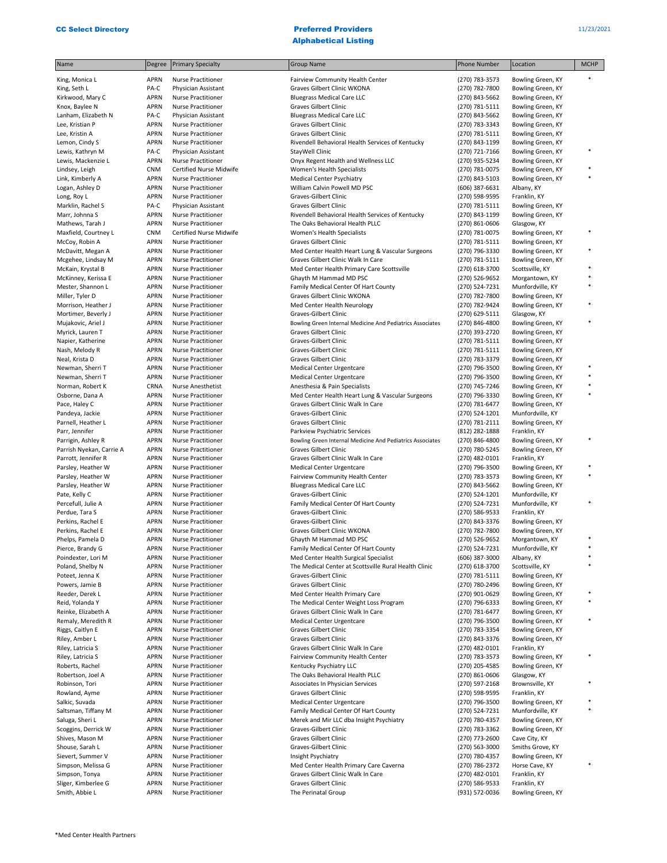| Name                                     | Degree                     | <b>Primary Specialty</b>                               | <b>Group Name</b>                                             | <b>Phone Number</b>              | Location                               | <b>MCHP</b> |
|------------------------------------------|----------------------------|--------------------------------------------------------|---------------------------------------------------------------|----------------------------------|----------------------------------------|-------------|
| King, Monica L                           | <b>APRN</b>                | Nurse Practitioner                                     | Fairview Community Health Center                              | (270) 783-3573                   | Bowling Green, KY                      | $\ast$      |
| King, Seth L                             | PA-C                       | Physician Assistant                                    | <b>Graves Gilbert Clinic WKONA</b>                            | (270) 782-7800                   | Bowling Green, KY                      |             |
| Kirkwood, Mary C                         | <b>APRN</b>                | Nurse Practitioner                                     | <b>Bluegrass Medical Care LLC</b>                             | (270) 843-5662                   | Bowling Green, KY                      |             |
| Knox, Baylee N                           | <b>APRN</b>                | Nurse Practitioner                                     | Graves Gilbert Clinic                                         | (270) 781-5111                   | Bowling Green, KY                      |             |
| Lanham, Elizabeth N                      | PA-C                       | Physician Assistant                                    | <b>Bluegrass Medical Care LLC</b>                             | (270) 843-5662                   | Bowling Green, KY                      |             |
| Lee, Kristian P                          | <b>APRN</b>                | Nurse Practitioner                                     | Graves Gilbert Clinic                                         | (270) 783-3343                   | Bowling Green, KY                      |             |
| Lee, Kristin A                           | <b>APRN</b>                | Nurse Practitioner                                     | <b>Graves Gilbert Clinic</b>                                  | (270) 781-5111                   | Bowling Green, KY                      |             |
| Lemon, Cindy S                           | <b>APRN</b>                | <b>Nurse Practitioner</b>                              | Rivendell Behavioral Health Services of Kentucky              | (270) 843-1199                   | Bowling Green, KY                      |             |
| Lewis, Kathryn M                         | PA-C                       | Physician Assistant                                    | StayWell Clinic                                               | (270) 721-7166                   | Bowling Green, KY                      |             |
| Lewis, Mackenzie L                       | <b>APRN</b>                | <b>Nurse Practitioner</b>                              | Onyx Regent Health and Wellness LLC                           | (270) 935-5234                   | Bowling Green, KY                      |             |
| Lindsey, Leigh                           | <b>CNM</b>                 | Certified Nurse Midwife                                | Women's Health Specialists                                    | (270) 781-0075                   | Bowling Green, KY                      |             |
| Link, Kimberly A                         | <b>APRN</b>                | <b>Nurse Practitioner</b>                              | <b>Medical Center Psychiatry</b>                              | (270) 843-5103                   | Bowling Green, KY                      | $\ast$      |
| Logan, Ashley D                          | <b>APRN</b>                | Nurse Practitioner                                     | William Calvin Powell MD PSC                                  | (606) 387-6631                   | Albany, KY                             |             |
| Long, Roy L                              | <b>APRN</b>                | <b>Nurse Practitioner</b>                              | <b>Graves-Gilbert Clinic</b>                                  | (270) 598-9595                   | Franklin, KY                           |             |
| Marklin, Rachel S                        | PA-C                       | Physician Assistant                                    | Graves Gilbert Clinic                                         | (270) 781-5111                   | Bowling Green, KY                      |             |
| Marr, Johnna S                           | <b>APRN</b>                | <b>Nurse Practitioner</b>                              | Rivendell Behavioral Health Services of Kentucky              | (270) 843-1199                   | Bowling Green, KY                      |             |
| Mathews, Tarah J<br>Maxfield, Courtney L | <b>APRN</b><br><b>CNM</b>  | Nurse Practitioner<br><b>Certified Nurse Midwife</b>   | The Oaks Behavioral Health PLLC<br>Women's Health Specialists | (270) 861-0606<br>(270) 781-0075 | Glasgow, KY<br>Bowling Green, KY       | $\ast$      |
| McCoy, Robin A                           | <b>APRN</b>                | Nurse Practitioner                                     | Graves Gilbert Clinic                                         | (270) 781-5111                   | Bowling Green, KY                      |             |
| McDavitt, Megan A                        | <b>APRN</b>                | Nurse Practitioner                                     | Med Center Health Heart Lung & Vascular Surgeons              | (270) 796-3330                   | Bowling Green, KY                      |             |
| Mcgehee, Lindsay M                       | <b>APRN</b>                | <b>Nurse Practitioner</b>                              | Graves Gilbert Clinic Walk In Care                            | (270) 781-5111                   | Bowling Green, KY                      |             |
| McKain, Krystal B                        | <b>APRN</b>                | <b>Nurse Practitioner</b>                              | Med Center Health Primary Care Scottsville                    | (270) 618-3700                   | Scottsville, KY                        |             |
| McKinney, Kerissa E                      | <b>APRN</b>                | <b>Nurse Practitioner</b>                              | Ghayth M Hammad MD PSC                                        | (270) 526-9652                   | Morgantown, KY                         |             |
| Mester, Shannon L                        | <b>APRN</b>                | <b>Nurse Practitioner</b>                              | Family Medical Center Of Hart County                          | (270) 524-7231                   | Munfordville, KY                       |             |
| Miller, Tyler D                          | <b>APRN</b>                | <b>Nurse Practitioner</b>                              | Graves Gilbert Clinic WKONA                                   | (270) 782-7800                   | Bowling Green, KY                      |             |
| Morrison, Heather J                      | <b>APRN</b>                | <b>Nurse Practitioner</b>                              | Med Center Health Neurology                                   | (270) 782-9424                   | Bowling Green, KY                      |             |
| Mortimer, Beverly J                      | <b>APRN</b>                | <b>Nurse Practitioner</b>                              | Graves-Gilbert Clinic                                         | (270) 629-5111                   | Glasgow, KY                            |             |
| Mujakovic, Ariel J                       | <b>APRN</b>                | <b>Nurse Practitioner</b>                              | Bowling Green Internal Medicine And Pediatrics Associates     | (270) 846-4800                   | Bowling Green, KY                      | *           |
| Myrick, Lauren T                         | <b>APRN</b>                | <b>Nurse Practitioner</b>                              | <b>Graves Gilbert Clinic</b>                                  | (270) 393-2720                   | Bowling Green, KY                      |             |
| Napier, Katherine                        | <b>APRN</b>                | <b>Nurse Practitioner</b>                              | Graves-Gilbert Clinic                                         | (270) 781-5111                   | Bowling Green, KY                      |             |
| Nash, Melody R                           | <b>APRN</b>                | <b>Nurse Practitioner</b>                              | Graves-Gilbert Clinic                                         | (270) 781-5111                   | Bowling Green, KY                      |             |
| Neal, Krista D                           | <b>APRN</b>                | Nurse Practitioner                                     | Graves Gilbert Clinic                                         | (270) 783-3379                   | Bowling Green, KY                      |             |
| Newman, Sherri T                         | <b>APRN</b>                | <b>Nurse Practitioner</b>                              | Medical Center Urgentcare                                     | (270) 796-3500                   | Bowling Green, KY                      |             |
| Newman, Sherri T                         | <b>APRN</b>                | <b>Nurse Practitioner</b>                              | <b>Medical Center Urgentcare</b>                              | (270) 796-3500                   | Bowling Green, KY                      | *           |
| Norman, Robert K                         | CRNA                       | <b>Nurse Anesthetist</b>                               | Anesthesia & Pain Specialists                                 | (270) 745-7246                   | Bowling Green, KY                      | $\ast$<br>* |
| Osborne, Dana A                          | <b>APRN</b>                | <b>Nurse Practitioner</b>                              | Med Center Health Heart Lung & Vascular Surgeons              | (270) 796-3330                   | Bowling Green, KY                      |             |
| Pace, Haley C                            | <b>APRN</b>                | <b>Nurse Practitioner</b>                              | Graves Gilbert Clinic Walk In Care                            | (270) 781-6477                   | Bowling Green, KY                      |             |
| Pandeya, Jackie<br>Parnell, Heather L    | <b>APRN</b><br><b>APRN</b> | <b>Nurse Practitioner</b><br><b>Nurse Practitioner</b> | Graves-Gilbert Clinic<br><b>Graves Gilbert Clinic</b>         | (270) 524-1201<br>(270) 781-2111 | Munfordville, KY<br>Bowling Green, KY  |             |
| Parr, Jennifer                           | <b>APRN</b>                | <b>Nurse Practitioner</b>                              | Parkview Psychiatric Services                                 | (812) 282-1888                   | Franklin, KY                           |             |
| Parrigin, Ashley R                       | <b>APRN</b>                | <b>Nurse Practitioner</b>                              | Bowling Green Internal Medicine And Pediatrics Associates     | (270) 846-4800                   | Bowling Green, KY                      | $\ast$      |
| Parrish Nyekan, Carrie A                 | <b>APRN</b>                | <b>Nurse Practitioner</b>                              | Graves Gilbert Clinic                                         | (270) 780-5245                   | Bowling Green, KY                      |             |
| Parrott, Jennifer R                      | <b>APRN</b>                | Nurse Practitioner                                     | Graves Gilbert Clinic Walk In Care                            | (270) 482-0101                   | Franklin, KY                           |             |
| Parsley, Heather W                       | <b>APRN</b>                | <b>Nurse Practitioner</b>                              | Medical Center Urgentcare                                     | (270) 796-3500                   | Bowling Green, KY                      |             |
| Parsley, Heather W                       | <b>APRN</b>                | Nurse Practitioner                                     | Fairview Community Health Center                              | (270) 783-3573                   | Bowling Green, KY                      | $\ast$      |
| Parsley, Heather W                       | <b>APRN</b>                | <b>Nurse Practitioner</b>                              | <b>Bluegrass Medical Care LLC</b>                             | (270) 843-5662                   | Bowling Green, KY                      |             |
| Pate, Kelly C                            | <b>APRN</b>                | <b>Nurse Practitioner</b>                              | Graves-Gilbert Clinic                                         | (270) 524-1201                   | Munfordville, KY                       |             |
| Percefull, Julie A                       | <b>APRN</b>                | <b>Nurse Practitioner</b>                              | Family Medical Center Of Hart County                          | (270) 524-7231                   | Munfordville, KY                       |             |
| Perdue, Tara S                           | <b>APRN</b>                | <b>Nurse Practitioner</b>                              | Graves-Gilbert Clinic                                         | (270) 586-9533                   | Franklin, KY                           |             |
| Perkins, Rachel E                        | <b>APRN</b>                | <b>Nurse Practitioner</b>                              | <b>Graves-Gilbert Clinic</b>                                  | (270) 843-3376                   | Bowling Green, KY                      |             |
| Perkins, Rachel E                        | <b>APRN</b>                | <b>Nurse Practitioner</b>                              | Graves Gilbert Clinic WKONA                                   | (270) 782-7800                   | Bowling Green, KY                      |             |
| Phelps, Pamela D                         | <b>APRN</b>                | <b>Nurse Practitioner</b>                              | Ghayth M Hammad MD PSC                                        | (270) 526-9652                   | Morgantown, KY                         | $\ast$      |
| Pierce, Brandy G                         | <b>APRN</b>                | Nurse Practitioner                                     | Family Medical Center Of Hart County                          | (270) 524-7231                   | Munfordville, KY                       |             |
| Poindexter, Lori M                       | <b>APRN</b>                | <b>Nurse Practitioner</b>                              | Med Center Health Surgical Specialist                         | (606) 387-3000                   | Albany, KY                             |             |
| Poland, Shelby N                         | <b>APRN</b>                | <b>Nurse Practitioner</b>                              | The Medical Center at Scottsville Rural Health Clinic         | (270) 618-3700                   | Scottsville, KY                        |             |
| Poteet, Jenna K<br>Powers, Jamie B       | APRN<br><b>APRN</b>        | Nurse Practitioner<br><b>Nurse Practitioner</b>        | Graves-Gilbert Clinic<br><b>Graves Gilbert Clinic</b>         | (270) 781-5111<br>(270) 780-2496 | Bowling Green, KY<br>Bowling Green, KY |             |
| Reeder, Derek L                          | <b>APRN</b>                | <b>Nurse Practitioner</b>                              | Med Center Health Primary Care                                | (270) 901-0629                   | Bowling Green, KY                      |             |
| Reid, Yolanda Y                          | APRN                       | <b>Nurse Practitioner</b>                              | The Medical Center Weight Loss Program                        | (270) 796-6333                   | Bowling Green, KY                      |             |
| Reinke, Elizabeth A                      | <b>APRN</b>                | <b>Nurse Practitioner</b>                              | Graves Gilbert Clinic Walk In Care                            | (270) 781-6477                   | Bowling Green, KY                      |             |
| Remaly, Meredith R                       | <b>APRN</b>                | <b>Nurse Practitioner</b>                              | <b>Medical Center Urgentcare</b>                              | (270) 796-3500                   | Bowling Green, KY                      |             |
| Riggs, Caitlyn E                         | APRN                       | Nurse Practitioner                                     | Graves Gilbert Clinic                                         | (270) 783-3354                   | Bowling Green, KY                      |             |
| Riley, Amber L                           | APRN                       | <b>Nurse Practitioner</b>                              | Graves Gilbert Clinic                                         | (270) 843-3376                   | Bowling Green, KY                      |             |
| Riley, Latricia S                        | APRN                       | <b>Nurse Practitioner</b>                              | Graves Gilbert Clinic Walk In Care                            | (270) 482-0101                   | Franklin, KY                           |             |
| Riley, Latricia S                        | APRN                       | Nurse Practitioner                                     | Fairview Community Health Center                              | (270) 783-3573                   | Bowling Green, KY                      | *           |
| Roberts, Rachel                          | APRN                       | <b>Nurse Practitioner</b>                              | Kentucky Psychiatry LLC                                       | (270) 205-4585                   | Bowling Green, KY                      |             |
| Robertson, Joel A                        | APRN                       | Nurse Practitioner                                     | The Oaks Behavioral Health PLLC                               | (270) 861-0606                   | Glasgow, KY                            |             |
| Robinson, Tori                           | <b>APRN</b>                | Nurse Practitioner                                     | Associates In Physician Services                              | (270) 597-2168                   | Brownsville, KY                        |             |
| Rowland, Ayme                            | APRN                       | Nurse Practitioner                                     | Graves Gilbert Clinic                                         | (270) 598-9595                   | Franklin, KY                           |             |
| Salkic, Suvada                           | <b>APRN</b>                | Nurse Practitioner                                     | <b>Medical Center Urgentcare</b>                              | (270) 796-3500                   | Bowling Green, KY                      |             |
| Saltsman, Tiffany M                      | APRN                       | Nurse Practitioner                                     | Family Medical Center Of Hart County                          | (270) 524-7231                   | Munfordville, KY                       | $\ast$      |
| Saluga, Sheri L                          | <b>APRN</b>                | Nurse Practitioner                                     | Merek and Mir LLC dba Insight Psychiatry                      | (270) 780-4357                   | Bowling Green, KY                      |             |
| Scoggins, Derrick W                      | APRN                       | Nurse Practitioner                                     | Graves-Gilbert Clinic                                         | (270) 783-3362                   | Bowling Green, KY                      |             |
| Shives, Mason M                          | APRN                       | Nurse Practitioner                                     | Graves Gilbert Clinic                                         | (270) 773-2600                   | Cave City, KY                          |             |
| Shouse, Sarah L                          | APRN                       | Nurse Practitioner                                     | Graves-Gilbert Clinic                                         | (270) 563-3000                   | Smiths Grove, KY                       |             |
| Sievert, Summer V                        | <b>APRN</b>                | Nurse Practitioner                                     | Insight Psychiatry                                            | (270) 780-4357                   | Bowling Green, KY                      |             |
| Simpson, Melissa G                       | APRN                       | <b>Nurse Practitioner</b>                              | Med Center Health Primary Care Caverna                        | (270) 786-2372                   | Horse Cave, KY                         |             |
| Simpson, Tonya<br>Sliger, Kimberlee G    | <b>APRN</b>                | <b>Nurse Practitioner</b>                              | Graves Gilbert Clinic Walk In Care                            | (270) 482-0101                   | Franklin, KY                           |             |
| Smith, Abbie L                           | APRN<br>APRN               | <b>Nurse Practitioner</b><br><b>Nurse Practitioner</b> | Graves Gilbert Clinic                                         | (270) 586-9533                   | Franklin, KY                           |             |
|                                          |                            |                                                        | The Perinatal Group                                           | (931) 572-0036                   | Bowling Green, KY                      |             |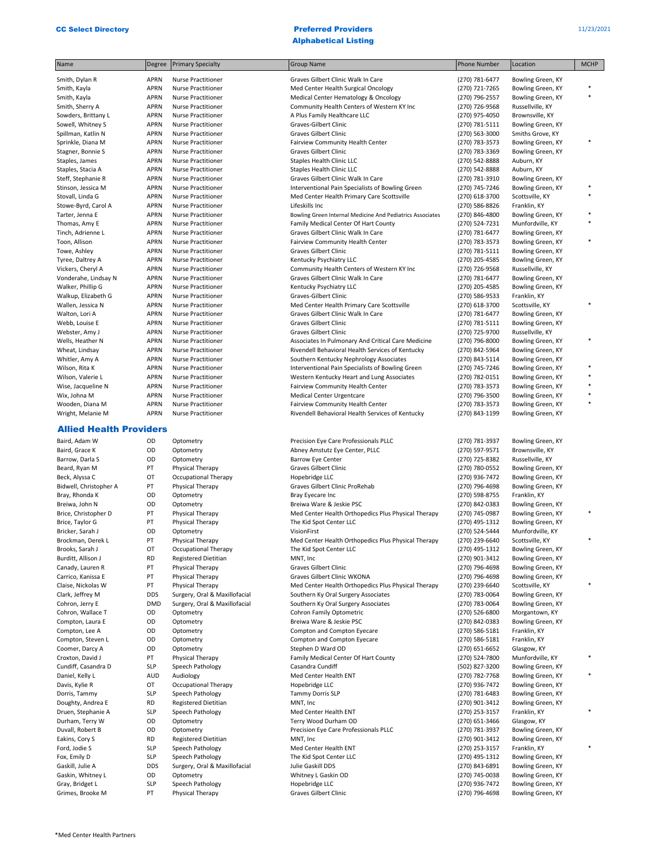| Name                                  | Degree                     | <b>Primary Specialty</b>                          | <b>Group Name</b>                                         | <b>Phone Number</b>              | Location                               | <b>MCHP</b> |
|---------------------------------------|----------------------------|---------------------------------------------------|-----------------------------------------------------------|----------------------------------|----------------------------------------|-------------|
| Smith, Dylan R                        | <b>APRN</b>                | <b>Nurse Practitioner</b>                         | Graves Gilbert Clinic Walk In Care                        | (270) 781-6477                   | Bowling Green, KY                      |             |
| Smith, Kayla                          | <b>APRN</b>                | <b>Nurse Practitioner</b>                         | Med Center Health Surgical Oncology                       | (270) 721-7265                   | Bowling Green, KY                      |             |
| Smith, Kayla                          | <b>APRN</b>                | <b>Nurse Practitioner</b>                         | Medical Center Hematology & Oncology                      | (270) 796-2557                   | Bowling Green, KY                      | $\ast$      |
| Smith, Sherry A                       | <b>APRN</b>                | <b>Nurse Practitioner</b>                         | Community Health Centers of Western KY Inc                | (270) 726-9568                   | Russellville, KY                       |             |
| Sowders, Brittany L                   | <b>APRN</b>                | <b>Nurse Practitioner</b>                         | A Plus Family Healthcare LLC                              | (270) 975-4050                   | Brownsville, KY                        |             |
| Sowell, Whitney S                     | <b>APRN</b>                | <b>Nurse Practitioner</b>                         | Graves-Gilbert Clinic                                     | (270) 781-5111                   | Bowling Green, KY                      |             |
| Spillman, Katlin N                    | <b>APRN</b>                | <b>Nurse Practitioner</b>                         | <b>Graves Gilbert Clinic</b>                              | (270) 563-3000                   | Smiths Grove, KY                       |             |
| Sprinkle, Diana M                     | <b>APRN</b>                | <b>Nurse Practitioner</b>                         | Fairview Community Health Center                          | (270) 783-3573                   | Bowling Green, KY                      | $\ast$      |
| Stagner, Bonnie S                     | <b>APRN</b>                | <b>Nurse Practitioner</b>                         | Graves Gilbert Clinic                                     | (270) 783-3369                   | Bowling Green, KY                      |             |
| Staples, James                        | <b>APRN</b>                | <b>Nurse Practitioner</b>                         | Staples Health Clinic LLC                                 | (270) 542-8888                   | Auburn, KY                             |             |
| Staples, Stacia A                     | <b>APRN</b>                | <b>Nurse Practitioner</b>                         | <b>Staples Health Clinic LLC</b>                          | (270) 542-8888                   | Auburn, KY                             |             |
| Steff, Stephanie R                    | <b>APRN</b>                | <b>Nurse Practitioner</b>                         | Graves Gilbert Clinic Walk In Care                        | (270) 781-3910                   | Bowling Green, KY                      |             |
| Stinson, Jessica M                    | APRN                       | <b>Nurse Practitioner</b>                         | Interventional Pain Specialists of Bowling Green          | (270) 745-7246                   | Bowling Green, KY                      |             |
| Stovall, Linda G                      | <b>APRN</b>                | <b>Nurse Practitioner</b>                         | Med Center Health Primary Care Scottsville                | (270) 618-3700                   | Scottsville, KY                        | $\ast$      |
| Stowe-Byrd, Carol A                   | <b>APRN</b>                | <b>Nurse Practitioner</b>                         | Lifeskills Inc                                            | (270) 586-8826                   | Franklin, KY                           |             |
| Tarter, Jenna E                       | <b>APRN</b>                | <b>Nurse Practitioner</b>                         | Bowling Green Internal Medicine And Pediatrics Associates | (270) 846-4800                   | Bowling Green, KY                      |             |
| Thomas, Amy E                         | <b>APRN</b>                | <b>Nurse Practitioner</b>                         | Family Medical Center Of Hart County                      | (270) 524-7231                   | Munfordville, KY                       | $\ast$      |
| Tinch, Adrienne L                     | APRN                       | <b>Nurse Practitioner</b>                         | Graves Gilbert Clinic Walk In Care                        | (270) 781-6477                   | Bowling Green, KY                      |             |
| Toon, Allison                         | <b>APRN</b>                | <b>Nurse Practitioner</b>                         | Fairview Community Health Center                          | (270) 783-3573                   | Bowling Green, KY                      |             |
| Towe, Ashley                          | <b>APRN</b>                | <b>Nurse Practitioner</b>                         | Graves Gilbert Clinic                                     | (270) 781-5111                   | Bowling Green, KY                      |             |
| Tyree, Daltrey A                      | <b>APRN</b>                | <b>Nurse Practitioner</b>                         | Kentucky Psychiatry LLC                                   | (270) 205-4585                   | Bowling Green, KY                      |             |
| Vickers, Cheryl A                     | <b>APRN</b>                | <b>Nurse Practitioner</b>                         | Community Health Centers of Western KY Inc                | (270) 726-9568                   | Russellville, KY                       |             |
| Vonderahe, Lindsay N                  | <b>APRN</b>                | <b>Nurse Practitioner</b>                         | Graves Gilbert Clinic Walk In Care                        | (270) 781-6477                   | Bowling Green, KY                      |             |
| Walker, Phillip G                     | <b>APRN</b>                | <b>Nurse Practitioner</b>                         | Kentucky Psychiatry LLC                                   | (270) 205-4585                   | Bowling Green, KY                      |             |
| Walkup, Elizabeth G                   | <b>APRN</b>                | <b>Nurse Practitioner</b>                         | Graves-Gilbert Clinic                                     | (270) 586-9533                   | Franklin, KY                           |             |
| Wallen, Jessica N                     | APRN                       | <b>Nurse Practitioner</b>                         | Med Center Health Primary Care Scottsville                | (270) 618-3700                   | Scottsville, KY                        |             |
| Walton, Lori A<br>Webb, Louise E      | <b>APRN</b>                | <b>Nurse Practitioner</b>                         | Graves Gilbert Clinic Walk In Care                        | (270) 781-6477                   | Bowling Green, KY                      |             |
| Webster, Amy J                        | <b>APRN</b><br><b>APRN</b> | Nurse Practitioner<br><b>Nurse Practitioner</b>   | <b>Graves Gilbert Clinic</b><br>Graves Gilbert Clinic     | (270) 781-5111                   | Bowling Green, KY<br>Russellville, KY  |             |
| Wells, Heather N                      | <b>APRN</b>                | Nurse Practitioner                                | Associates In Pulmonary And Critical Care Medicine        | (270) 725-9700<br>(270) 796-8000 | Bowling Green, KY                      |             |
|                                       | <b>APRN</b>                | Nurse Practitioner                                | Rivendell Behavioral Health Services of Kentucky          | (270) 842-5964                   | Bowling Green, KY                      |             |
| Wheat, Lindsay<br>Whitler, Amy A      | <b>APRN</b>                | Nurse Practitioner                                | Southern Kentucky Nephrology Associates                   | (270) 843-5114                   | Bowling Green, KY                      |             |
| Wilson, Rita K                        | <b>APRN</b>                | Nurse Practitioner                                | Interventional Pain Specialists of Bowling Green          | (270) 745-7246                   | Bowling Green, KY                      |             |
| Wilson, Valerie L                     | APRN                       | <b>Nurse Practitioner</b>                         | Western Kentucky Heart and Lung Associates                | (270) 782-0151                   | Bowling Green, KY                      |             |
| Wise, Jacqueline N                    | <b>APRN</b>                | Nurse Practitioner                                | Fairview Community Health Center                          | (270) 783-3573                   | Bowling Green, KY                      |             |
| Wix, Johna M                          | <b>APRN</b>                | <b>Nurse Practitioner</b>                         | Medical Center Urgentcare                                 | (270) 796-3500                   | Bowling Green, KY                      |             |
| Wooden, Diana M                       | <b>APRN</b>                | Nurse Practitioner                                | Fairview Community Health Center                          | (270) 783-3573                   | Bowling Green, KY                      | $\ast$      |
| Wright, Melanie M                     | <b>APRN</b>                | <b>Nurse Practitioner</b>                         | Rivendell Behavioral Health Services of Kentucky          | (270) 843-1199                   | Bowling Green, KY                      |             |
| <b>Allied Health Providers</b>        |                            |                                                   |                                                           |                                  |                                        |             |
| Baird, Adam W                         | OD                         | Optometry                                         | Precision Eye Care Professionals PLLC                     | (270) 781-3937                   | Bowling Green, KY                      |             |
| Baird, Grace K                        | OD                         | Optometry                                         | Abney Amstutz Eye Center, PLLC                            | (270) 597-9571                   | Brownsville, KY                        |             |
| Barrow, Darla S                       | OD                         | Optometry                                         | <b>Barrow Eye Center</b>                                  | (270) 725-8382                   | Russellville, KY                       |             |
| Beard, Ryan M                         | PT                         | Physical Therapy                                  | <b>Graves Gilbert Clinic</b>                              | (270) 780-0552                   | Bowling Green, KY                      |             |
| Beck, Alyssa C                        | OT                         | Occupational Therapy                              | Hopebridge LLC                                            | (270) 936-7472                   | Bowling Green, KY                      |             |
| Bidwell, Christopher A                | PT                         | Physical Therapy                                  | Graves Gilbert Clinic ProRehab                            | (270) 796-4698                   | Bowling Green, KY                      |             |
| Bray, Rhonda K                        | OD                         | Optometry                                         | Bray Eyecare Inc                                          | (270) 598-8755                   | Franklin, KY                           |             |
| Breiwa, John N                        | OD                         | Optometry                                         | Breiwa Ware & Jeskie PSC                                  | (270) 842-0383                   | Bowling Green, KY                      |             |
| Brice, Christopher D                  | PT                         | Physical Therapy                                  | Med Center Health Orthopedics Plus Physical Therapy       | (270) 745-0987                   | Bowling Green, KY                      |             |
| Brice, Taylor G                       | PT                         | Physical Therapy                                  | The Kid Spot Center LLC                                   | (270) 495-1312                   | Bowling Green, KY                      |             |
| Bricker, Sarah J                      | OD                         | Optometry                                         | VisionFirst                                               | (270) 524-5444                   | Munfordville, KY                       |             |
| Brockman, Derek L                     | PT                         | Physical Therapy<br>Occupational Therapy          | Med Center Health Orthopedics Plus Physical Therapy       | (270) 239-6640                   | Scottsville, KY<br>Bowling Green, KY   |             |
| Brooks, Sarah J<br>Burditt, Allison J | OT<br><b>RD</b>            | <b>Registered Dietitian</b>                       | The Kid Spot Center LLC<br>MNT, Inc                       | (270) 495-1312<br>(270) 901-3412 | Bowling Green, KY                      |             |
| Canady, Lauren R                      | PT                         | Physical Therapy                                  | Graves Gilbert Clinic                                     | (270) 796-4698                   | Bowling Green, KY                      |             |
| Carrico, Kanissa E                    | PT                         | Physical Therapy                                  | Graves Gilbert Clinic WKONA                               | (270) 796-4698                   | Bowling Green, KY                      |             |
| Claise, Nickolas W                    | PT                         | Physical Therapy                                  | Med Center Health Orthopedics Plus Physical Therapy       | (270) 239-6640                   | Scottsville, KY                        | *           |
| Clark, Jeffrey M                      | <b>DDS</b>                 | Surgery, Oral & Maxillofacial                     | Southern Ky Oral Surgery Associates                       | (270) 783-0064                   | Bowling Green, KY                      |             |
| Cohron, Jerry E                       | <b>DMD</b>                 | Surgery, Oral & Maxillofacial                     | Southern Ky Oral Surgery Associates                       | (270) 783-0064                   | Bowling Green, KY                      |             |
| Cohron, Wallace T                     | OD                         | Optometry                                         | Cohron Family Optometric                                  | (270) 526-6800                   | Morgantown, KY                         |             |
| Compton, Laura E                      | OD                         | Optometry                                         | Breiwa Ware & Jeskie PSC                                  | (270) 842-0383                   | Bowling Green, KY                      |             |
| Compton, Lee A                        | OD                         | Optometry                                         | Compton and Compton Eyecare                               | (270) 586-5181                   | Franklin, KY                           |             |
| Compton, Steven L                     | OD                         | Optometry                                         | Compton and Compton Eyecare                               | (270) 586-5181                   | Franklin, KY                           |             |
| Coomer, Darcy A                       | OD                         | Optometry                                         | Stephen D Ward OD                                         | (270) 651-6652                   | Glasgow, KY                            |             |
| Croxton, David J                      | PT                         | Physical Therapy                                  | Family Medical Center Of Hart County                      | (270) 524-7800                   | Munfordville, KY                       |             |
| Cundiff, Casandra D                   | <b>SLP</b>                 | Speech Pathology                                  | Casandra Cundiff                                          | (502) 827-3200                   | Bowling Green, KY                      |             |
| Daniel, Kelly L                       | <b>AUD</b>                 | Audiology                                         | Med Center Health ENT                                     | (270) 782-7768                   | Bowling Green, KY                      | $\ast$      |
| Davis, Kylie R                        | OT                         | Occupational Therapy                              | Hopebridge LLC                                            | (270) 936-7472                   | Bowling Green, KY                      |             |
| Dorris, Tammy                         | <b>SLP</b>                 | Speech Pathology                                  | <b>Tammy Dorris SLP</b>                                   | (270) 781-6483                   | Bowling Green, KY                      |             |
| Doughty, Andrea E                     | <b>RD</b>                  | <b>Registered Dietitian</b>                       | MNT, Inc                                                  | (270) 901-3412                   | Bowling Green, KY                      |             |
| Druen, Stephanie A                    | <b>SLP</b>                 | Speech Pathology                                  | Med Center Health ENT                                     | (270) 253-3157                   | Franklin, KY                           | $\ast$      |
| Durham, Terry W                       | OD                         | Optometry                                         | Terry Wood Durham OD                                      | (270) 651-3466                   | Glasgow, KY                            |             |
| Duvall, Robert B                      | OD                         | Optometry                                         | Precision Eye Care Professionals PLLC                     | (270) 781-3937                   | Bowling Green, KY                      |             |
| Eakins, Cory S                        | <b>RD</b>                  | <b>Registered Dietitian</b>                       | MNT, Inc                                                  | (270) 901-3412                   | Bowling Green, KY                      |             |
| Ford, Jodie S                         | <b>SLP</b>                 | Speech Pathology                                  | Med Center Health ENT                                     | (270) 253-3157                   | Franklin, KY                           |             |
| Fox, Emily D                          | <b>SLP</b>                 | Speech Pathology<br>Surgery, Oral & Maxillofacial | The Kid Spot Center LLC                                   | (270) 495-1312                   | Bowling Green, KY<br>Bowling Green, KY |             |
| Gaskill, Julie A<br>Gaskin, Whitney L | <b>DDS</b><br>OD           | Optometry                                         | Julie Gaskill DDS<br>Whitney L Gaskin OD                  | (270) 843-6891<br>(270) 745-0038 | Bowling Green, KY                      |             |
| Gray, Bridget L                       | <b>SLP</b>                 | Speech Pathology                                  | Hopebridge LLC                                            | (270) 936-7472                   | Bowling Green, KY                      |             |
| Grimes, Brooke M                      | PT                         | Physical Therapy                                  | Graves Gilbert Clinic                                     | (270) 796-4698                   | Bowling Green, KY                      |             |
|                                       |                            |                                                   |                                                           |                                  |                                        |             |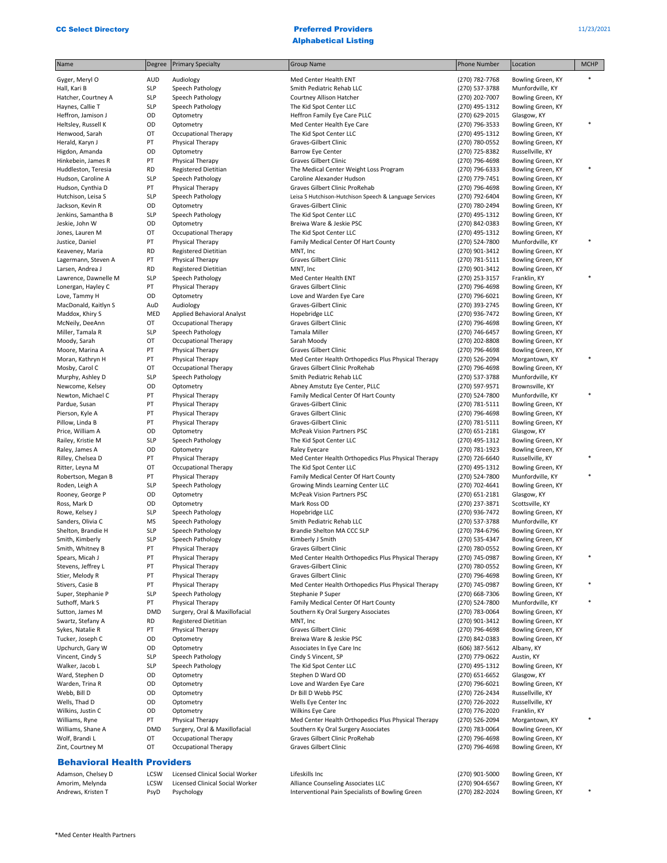| Name                                      | Degree                   | <b>Primary Specialty</b>                 | Group Name                                                          | Phone Number                     | Location                               | <b>MCHP</b> |
|-------------------------------------------|--------------------------|------------------------------------------|---------------------------------------------------------------------|----------------------------------|----------------------------------------|-------------|
| Gyger, Meryl O                            | <b>AUD</b>               | Audiology                                | Med Center Health ENT                                               | (270) 782-7768                   | Bowling Green, KY                      | *           |
| Hall, Kari B                              | <b>SLP</b>               | Speech Pathology                         | Smith Pediatric Rehab LLC                                           | (270) 537-3788                   | Munfordville, KY                       |             |
| Hatcher, Courtney A                       | <b>SLP</b>               | Speech Pathology                         | Courtney Allison Hatcher                                            | (270) 202-7007                   | Bowling Green, KY                      |             |
| Haynes, Callie T                          | <b>SLP</b>               | Speech Pathology                         | The Kid Spot Center LLC                                             | (270) 495-1312                   | Bowling Green, KY                      |             |
| Heffron, Jamison J                        | OD                       | Optometry                                | Heffron Family Eye Care PLLC                                        | (270) 629-2015                   | Glasgow, KY                            |             |
| Heltsley, Russell K                       | OD                       | Optometry                                | Med Center Health Eye Care                                          | (270) 796-3533                   | Bowling Green, KY                      |             |
| Henwood, Sarah                            | OT                       | Occupational Therapy                     | The Kid Spot Center LLC                                             | (270) 495-1312                   | Bowling Green, KY                      |             |
| Herald, Karyn J                           | PT                       | Physical Therapy                         | Graves-Gilbert Clinic                                               | (270) 780-0552                   | Bowling Green, KY                      |             |
| Higdon, Amanda                            | OD                       | Optometry                                | <b>Barrow Eye Center</b>                                            | (270) 725-8382                   | Russellville, KY                       |             |
| Hinkebein, James R                        | PT                       | Physical Therapy                         | Graves Gilbert Clinic                                               | (270) 796-4698                   | Bowling Green, KY                      | $\ast$      |
| Huddleston, Teresia<br>Hudson, Caroline A | <b>RD</b><br><b>SLP</b>  | Registered Dietitian<br>Speech Pathology | The Medical Center Weight Loss Program<br>Caroline Alexander Hudson | (270) 796-6333<br>(270) 779-7451 | Bowling Green, KY<br>Bowling Green, KY |             |
| Hudson, Cynthia D                         | PT                       | Physical Therapy                         | Graves Gilbert Clinic ProRehab                                      | (270) 796-4698                   | Bowling Green, KY                      |             |
| Hutchison, Leisa S                        | <b>SLP</b>               | Speech Pathology                         | Leisa S Hutchison-Hutchison Speech & Language Services              | (270) 792-6404                   | Bowling Green, KY                      |             |
| Jackson, Kevin R                          | OD                       | Optometry                                | Graves-Gilbert Clinic                                               | (270) 780-2494                   | Bowling Green, KY                      |             |
| Jenkins, Samantha B                       | <b>SLP</b>               | Speech Pathology                         | The Kid Spot Center LLC                                             | (270) 495-1312                   | Bowling Green, KY                      |             |
| Jeskie, John W                            | OD                       | Optometry                                | Breiwa Ware & Jeskie PSC                                            | (270) 842-0383                   | Bowling Green, KY                      |             |
| Jones, Lauren M                           | OT                       | Occupational Therapy                     | The Kid Spot Center LLC                                             | (270) 495-1312                   | Bowling Green, KY                      |             |
| Justice, Daniel                           | PT                       | Physical Therapy                         | Family Medical Center Of Hart County                                | (270) 524-7800                   | Munfordville, KY                       | *           |
| Keaveney, Maria                           | <b>RD</b>                | Registered Dietitian                     | MNT, Inc                                                            | (270) 901-3412                   | Bowling Green, KY                      |             |
| Lagermann, Steven A                       | PT                       | Physical Therapy                         | Graves Gilbert Clinic                                               | (270) 781-5111                   | Bowling Green, KY                      |             |
| Larsen, Andrea J                          | RD                       | Registered Dietitian                     | MNT, Inc                                                            | (270) 901-3412                   | Bowling Green, KY                      |             |
| Lawrence, Dawnelle M                      | <b>SLP</b>               | Speech Pathology                         | Med Center Health ENT                                               | (270) 253-3157                   | Franklin, KY                           |             |
| Lonergan, Hayley C                        | PT                       | Physical Therapy                         | <b>Graves Gilbert Clinic</b>                                        | (270) 796-4698                   | Bowling Green, KY                      |             |
| Love, Tammy H<br>MacDonald, Kaitlyn S     | OD<br>AuD                | Optometry<br>Audiology                   | Love and Warden Eye Care<br>Graves-Gilbert Clinic                   | (270) 796-6021<br>(270) 393-2745 | Bowling Green, KY<br>Bowling Green, KY |             |
| Maddox, Khiry S                           | MED                      | Applied Behavioral Analyst               | Hopebridge LLC                                                      | (270) 936-7472                   | Bowling Green, KY                      |             |
| McNeily, DeeAnn                           | OT                       | <b>Occupational Therapy</b>              | Graves Gilbert Clinic                                               | (270) 796-4698                   | Bowling Green, KY                      |             |
| Miller, Tamala R                          | <b>SLP</b>               | Speech Pathology                         | Tamala Miller                                                       | (270) 746-6457                   | Bowling Green, KY                      |             |
| Moody, Sarah                              | OT                       | Occupational Therapy                     | Sarah Moody                                                         | (270) 202-8808                   | Bowling Green, KY                      |             |
| Moore, Marina A                           | PT                       | Physical Therapy                         | Graves Gilbert Clinic                                               | (270) 796-4698                   | Bowling Green, KY                      |             |
| Moran, Kathryn H                          | PT                       | Physical Therapy                         | Med Center Health Orthopedics Plus Physical Therapy                 | (270) 526-2094                   | Morgantown, KY                         | *           |
| Mosby, Carol C                            | OT                       | <b>Occupational Therapy</b>              | Graves Gilbert Clinic ProRehab                                      | (270) 796-4698                   | Bowling Green, KY                      |             |
| Murphy, Ashley D                          | <b>SLP</b>               | Speech Pathology                         | Smith Pediatric Rehab LLC                                           | (270) 537-3788                   | Munfordville, KY                       |             |
| Newcome, Kelsey                           | OD                       | Optometry                                | Abney Amstutz Eye Center, PLLC                                      | (270) 597-9571                   | Brownsville, KY                        |             |
| Newton, Michael C                         | PT                       | Physical Therapy                         | Family Medical Center Of Hart County                                | (270) 524-7800                   | Munfordville, KY                       |             |
| Pardue, Susan                             | PT                       | Physical Therapy                         | Graves-Gilbert Clinic                                               | (270) 781-5111                   | Bowling Green, KY                      |             |
| Pierson, Kyle A                           | PT<br>PT                 | Physical Therapy                         | Graves Gilbert Clinic                                               | (270) 796-4698                   | Bowling Green, KY                      |             |
| Pillow, Linda B<br>Price, William A       | OD                       | Physical Therapy<br>Optometry            | Graves-Gilbert Clinic<br>McPeak Vision Partners PSC                 | (270) 781-5111<br>(270) 651-2181 | Bowling Green, KY<br>Glasgow, KY       |             |
| Railey, Kristie M                         | <b>SLP</b>               | Speech Pathology                         | The Kid Spot Center LLC                                             | (270) 495-1312                   | Bowling Green, KY                      |             |
| Raley, James A                            | OD                       | Optometry                                | Raley Eyecare                                                       | (270) 781-1923                   | Bowling Green, KY                      |             |
| Rilley, Chelsea D                         | PT                       | Physical Therapy                         | Med Center Health Orthopedics Plus Physical Therapy                 | (270) 726-6640                   | Russellville, KY                       | *           |
| Ritter, Leyna M                           | OT                       | Occupational Therapy                     | The Kid Spot Center LLC                                             | (270) 495-1312                   | Bowling Green, KY                      |             |
| Robertson, Megan B                        | PT                       | Physical Therapy                         | Family Medical Center Of Hart County                                | (270) 524-7800                   | Munfordville, KY                       |             |
| Roden, Leigh A                            | <b>SLP</b>               | Speech Pathology                         | Growing Minds Learning Center LLC                                   | (270) 702-4641                   | Bowling Green, KY                      |             |
| Rooney, George P                          | OD                       | Optometry                                | <b>McPeak Vision Partners PSC</b>                                   | (270) 651-2181                   | Glasgow, KY                            |             |
| Ross, Mark D                              | OD                       | Optometry                                | Mark Ross OD                                                        | (270) 237-3871                   | Scottsville, KY                        |             |
| Rowe, Kelsey J                            | <b>SLP</b>               | Speech Pathology                         | Hopebridge LLC                                                      | (270) 936-7472                   | Bowling Green, KY                      |             |
| Sanders, Olivia C                         | <b>MS</b>                | Speech Pathology                         | Smith Pediatric Rehab LLC                                           | (270) 537-3788                   | Munfordville, KY                       |             |
| Shelton, Brandie H                        | <b>SLP</b>               | Speech Pathology                         | Brandie Shelton MA CCC SLP                                          | (270) 784-6796                   | Bowling Green, KY                      |             |
| Smith, Kimberly<br>Smith, Whitney B       | <b>SLP</b><br>PT         | Speech Pathology<br>Physical Therapy     | Kimberly J Smith<br>Graves Gilbert Clinic                           | (270) 535-4347<br>(270) 780-0552 | Bowling Green, KY                      |             |
| Spears, Micah J                           | PT                       | Physical Therapy                         | Med Center Health Orthopedics Plus Physical Therapy                 | (270) 745-0987                   | Bowling Green, KY<br>Bowling Green, KY | *           |
| Stevens, Jeffrey L                        | PT                       | Physical Therapy                         | Graves-Gilbert Clinic                                               | (270) 780-0552                   | Bowling Green, KY                      |             |
| Stier, Melody R                           | PT                       | Physical Therapy                         | Graves Gilbert Clinic                                               | (270) 796-4698                   | Bowling Green, KY                      |             |
| Stivers, Casie B                          | PT                       | Physical Therapy                         | Med Center Health Orthopedics Plus Physical Therapy                 | (270) 745-0987                   | Bowling Green, KY                      |             |
| Super, Stephanie P                        | <b>SLP</b>               | Speech Pathology                         | Stephanie P Super                                                   | (270) 668-7306                   | Bowling Green, KY                      |             |
| Suthoff, Mark S                           | PT                       | Physical Therapy                         | Family Medical Center Of Hart County                                | (270) 524-7800                   | Munfordville, KY                       | *           |
| Sutton, James M                           | <b>DMD</b>               | Surgery, Oral & Maxillofacial            | Southern Ky Oral Surgery Associates                                 | (270) 783-0064                   | Bowling Green, KY                      |             |
| Swartz, Stefany A                         | RD                       | Registered Dietitian                     | MNT, Inc                                                            | (270) 901-3412                   | Bowling Green, KY                      |             |
| Sykes, Natalie R                          | PT                       | Physical Therapy                         | Graves Gilbert Clinic                                               | (270) 796-4698                   | Bowling Green, KY                      |             |
| Tucker, Joseph C                          | OD                       | Optometry                                | Breiwa Ware & Jeskie PSC                                            | (270) 842-0383                   | Bowling Green, KY                      |             |
| Upchurch, Gary W                          | OD                       | Optometry                                | Associates In Eye Care Inc                                          | (606) 387-5612                   | Albany, KY                             |             |
| Vincent, Cindy S<br>Walker, Jacob L       | <b>SLP</b><br><b>SLP</b> | Speech Pathology<br>Speech Pathology     | Cindy S Vincent, SP<br>The Kid Spot Center LLC                      | (270) 779-0622<br>(270) 495-1312 | Austin, KY<br>Bowling Green, KY        |             |
| Ward, Stephen D                           | OD                       | Optometry                                | Stephen D Ward OD                                                   | (270) 651-6652                   | Glasgow, KY                            |             |
| Warden, Trina R                           | OD                       | Optometry                                | Love and Warden Eye Care                                            | (270) 796-6021                   | Bowling Green, KY                      |             |
| Webb, Bill D                              | OD                       | Optometry                                | Dr Bill D Webb PSC                                                  | (270) 726-2434                   | Russellville, KY                       |             |
| Wells, Thad D                             | OD                       | Optometry                                | Wells Eye Center Inc                                                | (270) 726-2022                   | Russellville, KY                       |             |
| Wilkins, Justin C                         | OD                       | Optometry                                | Wilkins Eye Care                                                    | (270) 776-2020                   | Franklin, KY                           |             |
| Williams, Ryne                            | PT                       | Physical Therapy                         | Med Center Health Orthopedics Plus Physical Therapy                 | (270) 526-2094                   | Morgantown, KY                         |             |
| Williams, Shane A                         | DMD                      | Surgery, Oral & Maxillofacial            | Southern Ky Oral Surgery Associates                                 | (270) 783-0064                   | Bowling Green, KY                      |             |
| Wolf, Brandi L                            | OT                       | Occupational Therapy                     | Graves Gilbert Clinic ProRehab                                      | (270) 796-4698                   | Bowling Green, KY                      |             |
| Zint, Courtney M                          | OT                       | Occupational Therapy                     | Graves Gilbert Clinic                                               | (270) 796-4698                   | Bowling Green, KY                      |             |
| <b>Behavioral Health Providers</b>        |                          |                                          |                                                                     |                                  |                                        |             |
| Adamson, Chelsey D                        | LCSW                     | Licensed Clinical Social Worker          | Lifeskills Inc                                                      | (270) 901-5000                   | Bowling Green, KY                      |             |
| Amorim, Melynda                           | LCSW                     | Licensed Clinical Social Worker          | Alliance Counseling Associates LLC                                  | (270) 904-6567                   | Bowling Green, KY                      |             |
| Andrews, Kristen T                        | PsyD                     | Psychology                               | Interventional Pain Specialists of Bowling Green                    | (270) 282-2024                   | Bowling Green, KY                      | $\ast$      |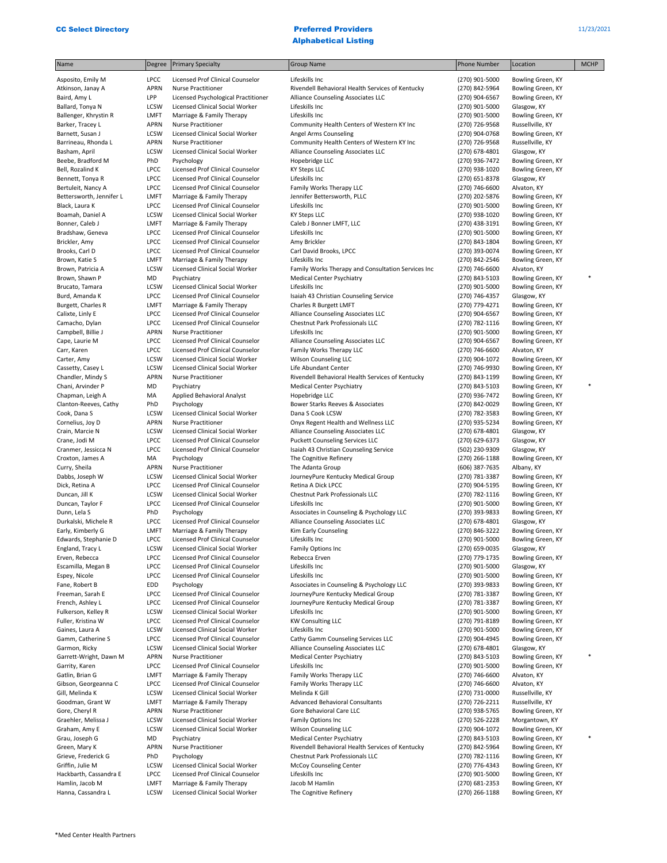| Name                                       | Degree              | <b>Primary Specialty</b>                                            | <b>Group Name</b>                                                                    | <b>Phone Number</b>              | Location                               | <b>MCHP</b> |
|--------------------------------------------|---------------------|---------------------------------------------------------------------|--------------------------------------------------------------------------------------|----------------------------------|----------------------------------------|-------------|
| Asposito, Emily M                          | <b>LPCC</b>         | Licensed Prof Clinical Counselor                                    | Lifeskills Inc                                                                       | (270) 901-5000                   | Bowling Green, KY                      |             |
| Atkinson, Janay A                          | <b>APRN</b>         | <b>Nurse Practitioner</b>                                           | Rivendell Behavioral Health Services of Kentucky                                     | (270) 842-5964                   | Bowling Green, KY                      |             |
| Baird, Amy L                               | LPP                 | Licensed Psychological Practitioner                                 | Alliance Counseling Associates LLC                                                   | (270) 904-6567                   | Bowling Green, KY                      |             |
| Ballard, Tonya N                           | LCSW                | Licensed Clinical Social Worker                                     | Lifeskills Inc                                                                       | (270) 901-5000                   | Glasgow, KY                            |             |
| Ballenger, Khrystin R                      | LMFT                | Marriage & Family Therapy                                           | Lifeskills Inc                                                                       | (270) 901-5000                   | Bowling Green, KY                      |             |
| Barker, Tracey L                           | APRN                | <b>Nurse Practitioner</b>                                           | Community Health Centers of Western KY Inc                                           | (270) 726-9568                   | Russellville, KY                       |             |
| Barnett, Susan J                           | LCSW                | Licensed Clinical Social Worker                                     | Angel Arms Counseling                                                                | (270) 904-0768                   | Bowling Green, KY                      |             |
| Barrineau, Rhonda L                        | <b>APRN</b>         | <b>Nurse Practitioner</b>                                           | Community Health Centers of Western KY Inc                                           | (270) 726-9568                   | Russellville, KY                       |             |
| Basham, April                              | LCSW                | Licensed Clinical Social Worker                                     | Alliance Counseling Associates LLC                                                   | (270) 678-4801                   | Glasgow, KY                            |             |
| Beebe, Bradford M                          | PhD                 | Psychology                                                          | Hopebridge LLC                                                                       | (270) 936-7472                   | Bowling Green, KY                      |             |
| Bell, Rozalind K                           | <b>LPCC</b>         | Licensed Prof Clinical Counselor                                    | <b>KY Steps LLC</b>                                                                  | (270) 938-1020                   | Bowling Green, KY                      |             |
| Bennett, Tonya R                           | <b>LPCC</b>         | Licensed Prof Clinical Counselor                                    | Lifeskills Inc                                                                       | (270) 651-8378                   | Glasgow, KY                            |             |
| Bertuleit, Nancy A                         | <b>LPCC</b>         | <b>Licensed Prof Clinical Counselor</b>                             | Family Works Therapy LLC<br>Jennifer Bettersworth, PLLC                              | (270) 746-6600                   | Alvaton, KY                            |             |
| Bettersworth, Jennifer L<br>Black, Laura K | LMFT<br><b>LPCC</b> | Marriage & Family Therapy<br>Licensed Prof Clinical Counselor       | Lifeskills Inc                                                                       | (270) 202-5876                   | Bowling Green, KY                      |             |
| Boamah, Daniel A                           | LCSW                | Licensed Clinical Social Worker                                     | <b>KY Steps LLC</b>                                                                  | (270) 901-5000<br>(270) 938-1020 | Bowling Green, KY<br>Bowling Green, KY |             |
| Bonner, Caleb J                            | LMFT                | Marriage & Family Therapy                                           | Caleb J Bonner LMFT, LLC                                                             | (270) 438-3191                   | Bowling Green, KY                      |             |
| Bradshaw, Geneva                           | <b>LPCC</b>         | Licensed Prof Clinical Counselor                                    | Lifeskills Inc                                                                       | (270) 901-5000                   | Bowling Green, KY                      |             |
| Brickler, Amy                              | <b>LPCC</b>         | Licensed Prof Clinical Counselor                                    | Amy Brickler                                                                         | (270) 843-1804                   | Bowling Green, KY                      |             |
| Brooks, Carl D                             | <b>LPCC</b>         | Licensed Prof Clinical Counselor                                    | Carl David Brooks, LPCC                                                              | (270) 393-0074                   | Bowling Green, KY                      |             |
| Brown, Katie S                             | LMFT                | Marriage & Family Therapy                                           | Lifeskills Inc                                                                       | (270) 842-2546                   | Bowling Green, KY                      |             |
| Brown, Patricia A                          | LCSW                | Licensed Clinical Social Worker                                     | Family Works Therapy and Consultation Services Inc                                   | (270) 746-6600                   | Alvaton, KY                            |             |
| Brown, Shawn P                             | MD                  | Psychiatry                                                          | <b>Medical Center Psychiatry</b>                                                     | (270) 843-5103                   | Bowling Green, KY                      | *           |
| Brucato, Tamara                            | LCSW                | Licensed Clinical Social Worker                                     | Lifeskills Inc                                                                       | (270) 901-5000                   | Bowling Green, KY                      |             |
| Burd, Amanda K                             | <b>LPCC</b>         | Licensed Prof Clinical Counselor                                    | Isaiah 43 Christian Counseling Service                                               | (270) 746-4357                   | Glasgow, KY                            |             |
| Burgett, Charles R                         | LMFT                | Marriage & Family Therapy                                           | Charles R Burgett LMFT                                                               | (270) 779-4271                   | Bowling Green, KY                      |             |
| Calixte, Linly E                           | <b>LPCC</b>         | Licensed Prof Clinical Counselor                                    | Alliance Counseling Associates LLC                                                   | (270) 904-6567                   | Bowling Green, KY                      |             |
| Camacho, Dylan                             | <b>LPCC</b>         | Licensed Prof Clinical Counselor                                    | Chestnut Park Professionals LLC                                                      | (270) 782-1116                   | Bowling Green, KY                      |             |
| Campbell, Billie J                         | <b>APRN</b>         | Nurse Practitioner                                                  | Lifeskills Inc                                                                       | (270) 901-5000                   | Bowling Green, KY                      |             |
| Cape, Laurie M                             | <b>LPCC</b>         | Licensed Prof Clinical Counselor                                    | Alliance Counseling Associates LLC                                                   | (270) 904-6567                   | Bowling Green, KY                      |             |
| Carr, Karen                                | <b>LPCC</b>         | Licensed Prof Clinical Counselor                                    | Family Works Therapy LLC                                                             | (270) 746-6600                   | Alvaton, KY                            |             |
| Carter, Amy                                | LCSW                | Licensed Clinical Social Worker                                     | Wilson Counseling LLC                                                                | (270) 904-1072                   | Bowling Green, KY                      |             |
| Cassetty, Casey L                          | LCSW<br><b>APRN</b> | Licensed Clinical Social Worker<br><b>Nurse Practitioner</b>        | Life Abundant Center                                                                 | (270) 746-9930<br>(270) 843-1199 | Bowling Green, KY                      |             |
| Chandler, Mindy S<br>Chani, Arvinder P     | MD                  | Psychiatry                                                          | Rivendell Behavioral Health Services of Kentucky<br><b>Medical Center Psychiatry</b> | (270) 843-5103                   | Bowling Green, KY<br>Bowling Green, KY | *           |
| Chapman, Leigh A                           | MA                  | Applied Behavioral Analyst                                          | Hopebridge LLC                                                                       | (270) 936-7472                   | Bowling Green, KY                      |             |
| Clanton-Reeves, Cathy                      | PhD                 | Psychology                                                          | Bower Starks Reeves & Associates                                                     | (270) 842-0029                   | Bowling Green, KY                      |             |
| Cook, Dana S                               | LCSW                | Licensed Clinical Social Worker                                     | Dana S Cook LCSW                                                                     | (270) 782-3583                   | Bowling Green, KY                      |             |
| Cornelius, Joy D                           | <b>APRN</b>         | <b>Nurse Practitioner</b>                                           | Onyx Regent Health and Wellness LLC                                                  | (270) 935-5234                   | Bowling Green, KY                      |             |
| Crain, Marcie N                            | LCSW                | Licensed Clinical Social Worker                                     | Alliance Counseling Associates LLC                                                   | (270) 678-4801                   | Glasgow, KY                            |             |
| Crane, Jodi M                              | <b>LPCC</b>         | Licensed Prof Clinical Counselor                                    | <b>Puckett Counseling Services LLC</b>                                               | (270) 629-6373                   | Glasgow, KY                            |             |
| Cranmer, Jessicca N                        | <b>LPCC</b>         | Licensed Prof Clinical Counselor                                    | Isaiah 43 Christian Counseling Service                                               | (502) 230-9309                   | Glasgow, KY                            |             |
| Croxton, James A                           | МA                  | Psychology                                                          | The Cognitive Refinery                                                               | (270) 266-1188                   | Bowling Green, KY                      |             |
| Curry, Sheila                              | APRN                | Nurse Practitioner                                                  | The Adanta Group                                                                     | (606) 387-7635                   | Albany, KY                             |             |
| Dabbs, Joseph W                            | <b>LCSW</b>         | Licensed Clinical Social Worker                                     | JourneyPure Kentucky Medical Group                                                   | (270) 781-3387                   | Bowling Green, KY                      |             |
| Dick, Retina A                             | <b>LPCC</b>         | Licensed Prof Clinical Counselor                                    | Retina A Dick LPCC                                                                   | (270) 904-5195                   | Bowling Green, KY                      |             |
| Duncan, Jill K                             | LCSW                | Licensed Clinical Social Worker                                     | Chestnut Park Professionals LLC                                                      | (270) 782-1116                   | Bowling Green, KY                      |             |
| Duncan, Taylor F                           | <b>LPCC</b>         | Licensed Prof Clinical Counselor                                    | Lifeskills Inc                                                                       | (270) 901-5000                   | Bowling Green, KY                      |             |
| Dunn, Lela S                               | PhD                 | Psychology                                                          | Associates in Counseling & Psychology LLC                                            | (270) 393-9833                   | Bowling Green, KY                      |             |
| Durkalski, Michele R                       | <b>LPCC</b><br>LMFT | Licensed Prof Clinical Counselor<br>Marriage & Family Therapy       | Alliance Counseling Associates LLC<br>Kim Early Counseling                           | (270) 678-4801                   | Glasgow, KY                            |             |
| Early, Kimberly G<br>Edwards, Stephanie D  | <b>LPCC</b>         | Licensed Prof Clinical Counselor                                    | Lifeskills Inc                                                                       | (270) 846-3222<br>(270) 901-5000 | Bowling Green, KY<br>Bowling Green, KY |             |
| England, Tracy L                           | <b>LCSW</b>         | Licensed Clinical Social Worker                                     | Family Options Inc                                                                   | (270) 659-0035                   | Glasgow, KY                            |             |
| Erven, Rebecca                             | <b>LPCC</b>         | Licensed Prof Clinical Counselor                                    | Rebecca Erven                                                                        | (270) 779-1735                   | Bowling Green, KY                      |             |
| Escamilla, Megan B                         | <b>LPCC</b>         | <b>Licensed Prof Clinical Counselor</b>                             | Lifeskills Inc                                                                       | (270) 901-5000                   | Glasgow, KY                            |             |
| Espey, Nicole                              | <b>LPCC</b>         | Licensed Prof Clinical Counselor                                    | Lifeskills Inc                                                                       | (270) 901-5000                   | Bowling Green, KY                      |             |
| Fane, Robert B                             | EDD                 | Psychology                                                          | Associates in Counseling & Psychology LLC                                            | (270) 393-9833                   | Bowling Green, KY                      |             |
| Freeman, Sarah E                           | <b>LPCC</b>         | Licensed Prof Clinical Counselor                                    | JourneyPure Kentucky Medical Group                                                   | (270) 781-3387                   | Bowling Green, KY                      |             |
| French, Ashley L                           | <b>LPCC</b>         | Licensed Prof Clinical Counselor                                    | JourneyPure Kentucky Medical Group                                                   | (270) 781-3387                   | Bowling Green, KY                      |             |
| Fulkerson, Kelley R                        | LCSW                | Licensed Clinical Social Worker                                     | Lifeskills Inc                                                                       | (270) 901-5000                   | Bowling Green, KY                      |             |
| Fuller, Kristina W                         | <b>LPCC</b>         | Licensed Prof Clinical Counselor                                    | <b>KW Consulting LLC</b>                                                             | (270) 791-8189                   | Bowling Green, KY                      |             |
| Gaines, Laura A                            | <b>LCSW</b>         | Licensed Clinical Social Worker                                     | Lifeskills Inc                                                                       | (270) 901-5000                   | Bowling Green, KY                      |             |
| Gamm, Catherine S                          | <b>LPCC</b>         | Licensed Prof Clinical Counselor                                    | Cathy Gamm Counseling Services LLC                                                   | (270) 904-4945                   | Bowling Green, KY                      |             |
| Garmon, Ricky                              | LCSW                | Licensed Clinical Social Worker                                     | Alliance Counseling Associates LLC                                                   | (270) 678-4801                   | Glasgow, KY                            |             |
| Garrett-Wright, Dawn M                     | APRN                | <b>Nurse Practitioner</b>                                           | <b>Medical Center Psychiatry</b>                                                     | (270) 843-5103                   | Bowling Green, KY                      | *           |
| Garrity, Karen                             | <b>LPCC</b>         | Licensed Prof Clinical Counselor                                    | Lifeskills Inc                                                                       | (270) 901-5000                   | Bowling Green, KY                      |             |
| Gatlin, Brian G                            | LMFT                | Marriage & Family Therapy                                           | Family Works Therapy LLC                                                             | (270) 746-6600                   | Alvaton, KY                            |             |
| Gibson, Georgeanna C<br>Gill, Melinda K    | <b>LPCC</b><br>LCSW | Licensed Prof Clinical Counselor<br>Licensed Clinical Social Worker | Family Works Therapy LLC<br>Melinda K Gill                                           | (270) 746-6600<br>(270) 731-0000 | Alvaton, KY<br>Russellville, KY        |             |
| Goodman, Grant W                           | LMFT                | Marriage & Family Therapy                                           | Advanced Behavioral Consultants                                                      | (270) 726-2211                   | Russellville, KY                       |             |
| Gore, Cheryl R                             | APRN                | Nurse Practitioner                                                  | Gore Behavioral Care LLC                                                             | (270) 938-5765                   | Bowling Green, KY                      |             |
| Graehler, Melissa J                        | <b>LCSW</b>         | Licensed Clinical Social Worker                                     | Family Options Inc                                                                   | (270) 526-2228                   | Morgantown, KY                         |             |
| Graham, Amy E                              | LCSW                | Licensed Clinical Social Worker                                     | Wilson Counseling LLC                                                                | (270) 904-1072                   | Bowling Green, KY                      |             |
| Grau, Joseph G                             | MD                  | Psychiatry                                                          | <b>Medical Center Psychiatry</b>                                                     | (270) 843-5103                   | Bowling Green, KY                      | *           |
| Green, Mary K                              | APRN                | Nurse Practitioner                                                  | Rivendell Behavioral Health Services of Kentucky                                     | (270) 842-5964                   | Bowling Green, KY                      |             |
| Grieve, Frederick G                        | PhD                 | Psychology                                                          | Chestnut Park Professionals LLC                                                      | (270) 782-1116                   | Bowling Green, KY                      |             |
| Griffin, Julie M                           | LCSW                | Licensed Clinical Social Worker                                     | McCoy Counseling Center                                                              | (270) 776-4343                   | Bowling Green, KY                      |             |
| Hackbarth, Cassandra E                     | <b>LPCC</b>         | Licensed Prof Clinical Counselor                                    | Lifeskills Inc                                                                       | (270) 901-5000                   | Bowling Green, KY                      |             |
| Hamlin, Jacob M                            | LMFT                | Marriage & Family Therapy                                           | Jacob M Hamlin                                                                       | (270) 681-2353                   | Bowling Green, KY                      |             |
| Hanna, Cassandra L                         | LCSW                | Licensed Clinical Social Worker                                     | The Cognitive Refinery                                                               | (270) 266-1188                   | Bowling Green, KY                      |             |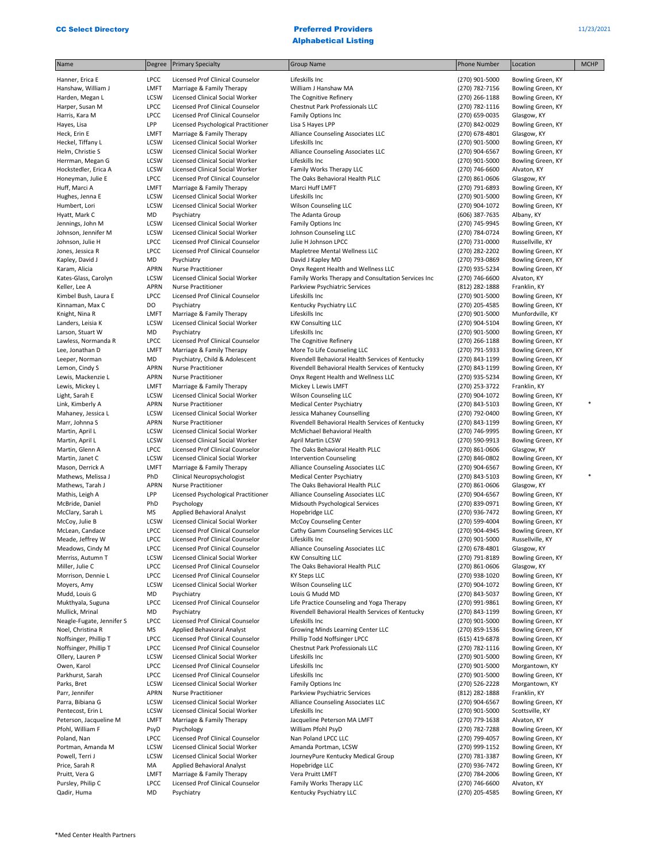| Name                                         | Degree              | <b>Primary Specialty</b>                                             | <b>Group Name</b>                                                    | <b>Phone Number</b>              | Location                               | <b>MCHP</b> |
|----------------------------------------------|---------------------|----------------------------------------------------------------------|----------------------------------------------------------------------|----------------------------------|----------------------------------------|-------------|
| Hanner, Erica E                              | <b>LPCC</b>         | Licensed Prof Clinical Counselor                                     | Lifeskills Inc                                                       | (270) 901-5000                   | Bowling Green, KY                      |             |
| Hanshaw, William J                           | LMFT                | Marriage & Family Therapy                                            | William J Hanshaw MA                                                 | (270) 782-7156                   | Bowling Green, KY                      |             |
| Harden, Megan L                              | LCSW                | Licensed Clinical Social Worker                                      | The Cognitive Refinery                                               | (270) 266-1188                   | Bowling Green, KY                      |             |
| Harper, Susan M                              | <b>LPCC</b>         | Licensed Prof Clinical Counselor                                     | Chestnut Park Professionals LLC                                      | (270) 782-1116                   | Bowling Green, KY                      |             |
| Harris, Kara M                               | <b>LPCC</b>         | <b>Licensed Prof Clinical Counselor</b>                              | <b>Family Options Inc</b>                                            | (270) 659-0035                   | Glasgow, KY                            |             |
| Hayes, Lisa                                  | LPP                 | Licensed Psychological Practitioner                                  | Lisa S Hayes LPP                                                     | (270) 842-0029                   | Bowling Green, KY                      |             |
| Heck, Erin E                                 | LMFT                | Marriage & Family Therapy                                            | Alliance Counseling Associates LLC                                   | (270) 678-4801                   | Glasgow, KY                            |             |
| Heckel, Tiffany L                            | <b>LCSW</b>         | Licensed Clinical Social Worker                                      | Lifeskills Inc                                                       | (270) 901-5000                   | Bowling Green, KY                      |             |
| Helm, Christie S<br>Herrman, Megan G         | LCSW<br>LCSW        | Licensed Clinical Social Worker<br>Licensed Clinical Social Worker   | Alliance Counseling Associates LLC<br>Lifeskills Inc                 | (270) 904-6567<br>(270) 901-5000 | Bowling Green, KY<br>Bowling Green, KY |             |
| Hockstedler, Erica A                         | LCSW                | Licensed Clinical Social Worker                                      | Family Works Therapy LLC                                             | (270) 746-6600                   | Alvaton, KY                            |             |
| Honeyman, Julie E                            | <b>LPCC</b>         | Licensed Prof Clinical Counselor                                     | The Oaks Behavioral Health PLLC                                      | (270) 861-0606                   | Glasgow, KY                            |             |
| Huff, Marci A                                | LMFT                | Marriage & Family Therapy                                            | Marci Huff LMFT                                                      | (270) 791-6893                   | Bowling Green, KY                      |             |
| Hughes, Jenna E                              | LCSW                | Licensed Clinical Social Worker                                      | Lifeskills Inc                                                       | (270) 901-5000                   | Bowling Green, KY                      |             |
| Humbert, Lori                                | LCSW                | Licensed Clinical Social Worker                                      | Wilson Counseling LLC                                                | (270) 904-1072                   | Bowling Green, KY                      |             |
| Hyatt, Mark C                                | MD<br>LCSW          | Psychiatry<br>Licensed Clinical Social Worker                        | The Adanta Group                                                     | (606) 387-7635<br>(270) 745-9945 | Albany, KY                             |             |
| Jennings, John M<br>Johnson, Jennifer M      | LCSW                | Licensed Clinical Social Worker                                      | Family Options Inc<br>Johnson Counseling LLC                         | (270) 784-0724                   | Bowling Green, KY<br>Bowling Green, KY |             |
| Johnson, Julie H                             | <b>LPCC</b>         | Licensed Prof Clinical Counselor                                     | Julie H Johnson LPCC                                                 | (270) 731-0000                   | Russellville, KY                       |             |
| Jones, Jessica R                             | <b>LPCC</b>         | Licensed Prof Clinical Counselor                                     | Mapletree Mental Wellness LLC                                        | (270) 282-2202                   | Bowling Green, KY                      |             |
| Kapley, David J                              | MD                  | Psychiatry                                                           | David J Kapley MD                                                    | (270) 793-0869                   | Bowling Green, KY                      |             |
| Karam, Alicia                                | APRN                | <b>Nurse Practitioner</b>                                            | Onyx Regent Health and Wellness LLC                                  | (270) 935-5234                   | Bowling Green, KY                      |             |
| Kates-Glass, Carolyn                         | LCSW                | Licensed Clinical Social Worker                                      | Family Works Therapy and Consultation Services Inc                   | (270) 746-6600                   | Alvaton, KY                            |             |
| Keller, Lee A                                | <b>APRN</b>         | <b>Nurse Practitioner</b>                                            | Parkview Psychiatric Services                                        | (812) 282-1888                   | Franklin, KY                           |             |
| Kimbel Bush, Laura E                         | <b>LPCC</b><br>DO   | Licensed Prof Clinical Counselor                                     | Lifeskills Inc                                                       | (270) 901-5000<br>(270) 205-4585 | Bowling Green, KY                      |             |
| Kinnaman, Max C<br>Knight, Nina R            | LMFT                | Psychiatry<br>Marriage & Family Therapy                              | Kentucky Psychiatry LLC<br>Lifeskills Inc                            | (270) 901-5000                   | Bowling Green, KY<br>Munfordville, KY  |             |
| Landers, Leisia K                            | LCSW                | Licensed Clinical Social Worker                                      | <b>KW Consulting LLC</b>                                             | (270) 904-5104                   | Bowling Green, KY                      |             |
| Larson, Stuart W                             | MD                  | Psychiatry                                                           | Lifeskills Inc                                                       | (270) 901-5000                   | Bowling Green, KY                      |             |
| Lawless, Normanda R                          | <b>LPCC</b>         | Licensed Prof Clinical Counselor                                     | The Cognitive Refinery                                               | (270) 266-1188                   | Bowling Green, KY                      |             |
| Lee, Jonathan D                              | LMFT                | Marriage & Family Therapy                                            | More To Life Counseling LLC                                          | (270) 791-5933                   | Bowling Green, KY                      |             |
| Leeper, Norman                               | MD                  | Psychiatry, Child & Adolescent                                       | Rivendell Behavioral Health Services of Kentucky                     | (270) 843-1199                   | Bowling Green, KY                      |             |
| Lemon, Cindy S                               | APRN                | <b>Nurse Practitioner</b>                                            | Rivendell Behavioral Health Services of Kentucky                     | (270) 843-1199                   | Bowling Green, KY                      |             |
| Lewis, Mackenzie L                           | <b>APRN</b><br>LMFT | <b>Nurse Practitioner</b>                                            | Onyx Regent Health and Wellness LLC                                  | (270) 935-5234                   | Bowling Green, KY                      |             |
| Lewis, Mickey L<br>Light, Sarah E            | LCSW                | Marriage & Family Therapy<br>Licensed Clinical Social Worker         | Mickey L Lewis LMFT<br>Wilson Counseling LLC                         | (270) 253-3722<br>(270) 904-1072 | Franklin, KY<br>Bowling Green, KY      |             |
| Link, Kimberly A                             | <b>APRN</b>         | <b>Nurse Practitioner</b>                                            | Medical Center Psychiatry                                            | (270) 843-5103                   | Bowling Green, KY                      | $\ast$      |
| Mahaney, Jessica L                           | LCSW                | Licensed Clinical Social Worker                                      | Jessica Mahaney Counselling                                          | (270) 792-0400                   | Bowling Green, KY                      |             |
| Marr, Johnna S                               | <b>APRN</b>         | <b>Nurse Practitioner</b>                                            | Rivendell Behavioral Health Services of Kentucky                     | (270) 843-1199                   | Bowling Green, KY                      |             |
| Martin, April L                              | LCSW                | Licensed Clinical Social Worker                                      | McMichael Behavioral Health                                          | (270) 746-9995                   | Bowling Green, KY                      |             |
| Martin, April L                              | LCSW                | Licensed Clinical Social Worker                                      | <b>April Martin LCSW</b>                                             | (270) 590-9913                   | Bowling Green, KY                      |             |
| Martin, Glenn A                              | <b>LPCC</b>         | Licensed Prof Clinical Counselor                                     | The Oaks Behavioral Health PLLC                                      | (270) 861-0606                   | Glasgow, KY                            |             |
| Martin, Janet C<br>Mason, Derrick A          | LCSW<br>LMFT        | Licensed Clinical Social Worker<br>Marriage & Family Therapy         | <b>Intervention Counseling</b><br>Alliance Counseling Associates LLC | (270) 846-0802<br>(270) 904-6567 | Bowling Green, KY<br>Bowling Green, KY |             |
| Mathews, Melissa J                           | PhD                 | Clinical Neuropsychologist                                           | Medical Center Psychiatry                                            | (270) 843-5103                   | Bowling Green, KY                      | *           |
| Mathews, Tarah J                             | <b>APRN</b>         | <b>Nurse Practitioner</b>                                            | The Oaks Behavioral Health PLLC                                      | (270) 861-0606                   | Glasgow, KY                            |             |
| Mathis, Leigh A                              | LPP                 | Licensed Psychological Practitioner                                  | Alliance Counseling Associates LLC                                   | (270) 904-6567                   | Bowling Green, KY                      |             |
| McBride, Daniel                              | PhD                 | Psychology                                                           | Midsouth Psychological Services                                      | (270) 839-0971                   | Bowling Green, KY                      |             |
| McClary, Sarah L                             | ΜS                  | Applied Behavioral Analyst                                           | Hopebridge LLC                                                       | (270) 936-7472                   | Bowling Green, KY                      |             |
| McCoy, Julie B                               | LCSW                | Licensed Clinical Social Worker                                      | <b>McCoy Counseling Center</b>                                       | (270) 599-4004                   | Bowling Green, KY                      |             |
| McLean, Candace<br>Meade, Jeffrey W          | <b>LPCC</b><br>LPCC | Licensed Prof Clinical Counselor<br>Licensed Prof Clinical Counselor | Cathy Gamm Counseling Services LLC<br>Lifeskills Inc                 | (270) 904-4945<br>(270) 901-5000 | Bowling Green, KY<br>Russellville, KY  |             |
| Meadows, Cindy M                             | LPCC                | Licensed Prof Clinical Counselor                                     | Alliance Counseling Associates LLC                                   | (270) 678-4801                   | Glasgow, KY                            |             |
| Merriss, Autumn T                            | LCSW                | Licensed Clinical Social Worker                                      | <b>KW Consulting LLC</b>                                             | (270) 791-8189                   | Bowling Green, KY                      |             |
| Miller, Julie C                              | <b>LPCC</b>         | Licensed Prof Clinical Counselor                                     | The Oaks Behavioral Health PLLC                                      | (270) 861-0606                   | Glasgow, KY                            |             |
| Morrison, Dennie L                           | <b>LPCC</b>         | Licensed Prof Clinical Counselor                                     | <b>KY Steps LLC</b>                                                  | (270) 938-1020                   | Bowling Green, KY                      |             |
| Moyers, Amy                                  | LCSW                | Licensed Clinical Social Worker                                      | Wilson Counseling LLC                                                | (270) 904-1072                   | Bowling Green, KY                      |             |
| Mudd, Louis G                                | MD                  | Psychiatry                                                           | Louis G Mudd MD                                                      | (270) 843-5037                   | Bowling Green, KY                      |             |
| Mukthyala, Suguna                            | <b>LPCC</b>         | Licensed Prof Clinical Counselor<br>Psychiatry                       | Life Practice Counseling and Yoga Therapy                            | (270) 991-9861                   | Bowling Green, KY                      |             |
| Mullick, Mrinal<br>Neagle-Fugate, Jennifer S | MD<br><b>LPCC</b>   | Licensed Prof Clinical Counselor                                     | Rivendell Behavioral Health Services of Kentucky<br>Lifeskills Inc   | (270) 843-1199<br>(270) 901-5000 | Bowling Green, KY<br>Bowling Green, KY |             |
| Noel, Christina R                            | ΜS                  | <b>Applied Behavioral Analyst</b>                                    | Growing Minds Learning Center LLC                                    | (270) 859-1536                   | Bowling Green, KY                      |             |
| Noffsinger, Phillip T                        | <b>LPCC</b>         | Licensed Prof Clinical Counselor                                     | Phillip Todd Noffsinger LPCC                                         | (615) 419-6878                   | Bowling Green, KY                      |             |
| Noffsinger, Phillip T                        | <b>LPCC</b>         | Licensed Prof Clinical Counselor                                     | Chestnut Park Professionals LLC                                      | (270) 782-1116                   | Bowling Green, KY                      |             |
| Ollery, Lauren P                             | LCSW                | Licensed Clinical Social Worker                                      | Lifeskills Inc                                                       | (270) 901-5000                   | Bowling Green, KY                      |             |
| Owen, Karol                                  | <b>LPCC</b>         | Licensed Prof Clinical Counselor                                     | Lifeskills Inc                                                       | (270) 901-5000                   | Morgantown, KY                         |             |
| Parkhurst, Sarah                             | <b>LPCC</b>         | Licensed Prof Clinical Counselor                                     | Lifeskills Inc                                                       | (270) 901-5000                   | Bowling Green, KY                      |             |
| Parks, Bret                                  | LCSW                | Licensed Clinical Social Worker                                      | Family Options Inc                                                   | (270) 526-2228                   | Morgantown, KY                         |             |
| Parr, Jennifer<br>Parra, Bibiana G           | APRN<br>LCSW        | <b>Nurse Practitioner</b><br>Licensed Clinical Social Worker         | Parkview Psychiatric Services<br>Alliance Counseling Associates LLC  | (812) 282-1888<br>(270) 904-6567 | Franklin, KY<br>Bowling Green, KY      |             |
| Pentecost, Erin L                            | LCSW                | Licensed Clinical Social Worker                                      | Lifeskills Inc                                                       | (270) 901-5000                   | Scottsville, KY                        |             |
| Peterson, Jacqueline M                       | LMFT                | Marriage & Family Therapy                                            | Jacqueline Peterson MA LMFT                                          | (270) 779-1638                   | Alvaton, KY                            |             |
| Pfohl, William F                             | PsyD                | Psychology                                                           | William Pfohl PsyD                                                   | (270) 782-7288                   | Bowling Green, KY                      |             |
| Poland, Nan                                  | <b>LPCC</b>         | Licensed Prof Clinical Counselor                                     | Nan Poland LPCC LLC                                                  | (270) 799-4057                   | Bowling Green, KY                      |             |
| Portman, Amanda M                            | <b>LCSW</b>         | Licensed Clinical Social Worker                                      | Amanda Portman, LCSW                                                 | (270) 999-1152                   | Bowling Green, KY                      |             |
| Powell, Terri J                              | LCSW                | Licensed Clinical Social Worker                                      | JourneyPure Kentucky Medical Group                                   | (270) 781-3387                   | Bowling Green, KY                      |             |
| Price, Sarah R                               | МA                  | Applied Behavioral Analyst                                           | Hopebridge LLC                                                       | (270) 936-7472                   | Bowling Green, KY                      |             |
| Pruitt, Vera G<br>Pursley, Philip C          | LMFT<br><b>LPCC</b> | Marriage & Family Therapy<br>Licensed Prof Clinical Counselor        | Vera Pruitt LMFT<br>Family Works Therapy LLC                         | (270) 784-2006<br>(270) 746-6600 | Bowling Green, KY<br>Alvaton, KY       |             |
| Qadir, Huma                                  | MD                  | Psychiatry                                                           | Kentucky Psychiatry LLC                                              | (270) 205-4585                   | Bowling Green, KY                      |             |
|                                              |                     |                                                                      |                                                                      |                                  |                                        |             |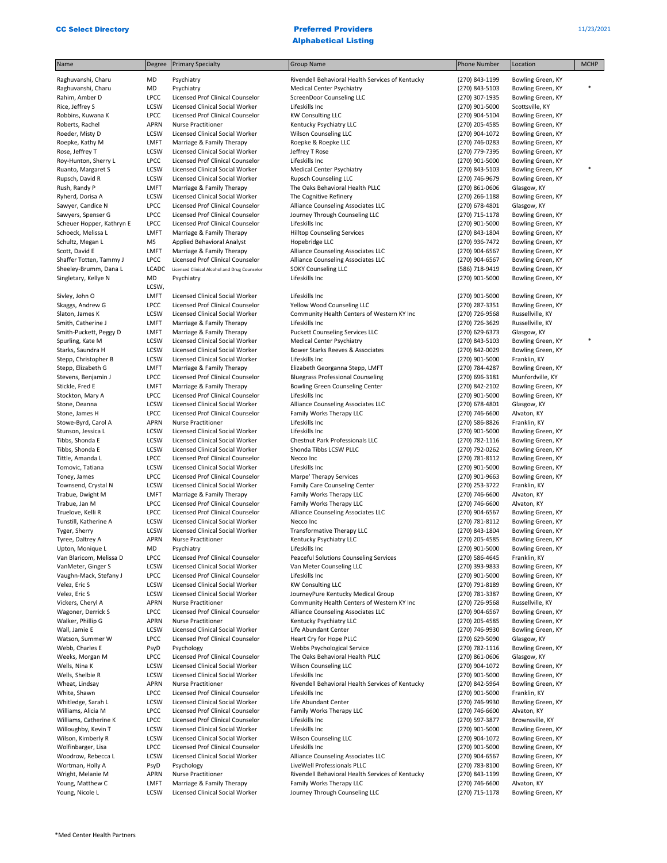| Name                               | Degree              | <b>Primary Specialty</b>                                      | <b>Group Name</b>                                                  | <b>Phone Number</b>              | Location                               | <b>MCHP</b> |
|------------------------------------|---------------------|---------------------------------------------------------------|--------------------------------------------------------------------|----------------------------------|----------------------------------------|-------------|
| Raghuvanshi, Charu                 | MD                  | Psychiatry                                                    | Rivendell Behavioral Health Services of Kentucky                   | (270) 843-1199                   | Bowling Green, KY                      |             |
| Raghuvanshi, Charu                 | MD                  | Psychiatry                                                    | <b>Medical Center Psychiatry</b>                                   | (270) 843-5103                   | Bowling Green, KY                      | $\ast$      |
| Rahim, Amber D                     | LPCC                | Licensed Prof Clinical Counselor                              | ScreenDoor Counseling LLC                                          | (270) 307-1935                   | Bowling Green, KY                      |             |
| Rice, Jeffrey S                    | <b>LCSW</b>         | Licensed Clinical Social Worker                               | Lifeskills Inc                                                     | (270) 901-5000                   | Scottsville, KY                        |             |
| Robbins, Kuwana K                  | LPCC                | Licensed Prof Clinical Counselor                              | <b>KW Consulting LLC</b>                                           | (270) 904-5104                   | Bowling Green, KY                      |             |
| Roberts, Rachel                    | <b>APRN</b>         | <b>Nurse Practitioner</b>                                     | Kentucky Psychiatry LLC                                            | (270) 205-4585                   | Bowling Green, KY                      |             |
| Roeder, Misty D                    | <b>LCSW</b>         | Licensed Clinical Social Worker                               | <b>Wilson Counseling LLC</b>                                       | (270) 904-1072                   | Bowling Green, KY                      |             |
| Roepke, Kathy M                    | LMFT                | Marriage & Family Therapy                                     | Roepke & Roepke LLC                                                | (270) 746-0283                   | Bowling Green, KY                      |             |
| Rose, Jeffrey T                    | <b>LCSW</b>         | Licensed Clinical Social Worker                               | Jeffrey T Rose                                                     | (270) 779-7395                   | Bowling Green, KY                      |             |
| Roy-Hunton, Sherry L               | <b>LPCC</b>         | Licensed Prof Clinical Counselor                              | Lifeskills Inc                                                     | (270) 901-5000                   | Bowling Green, KY                      |             |
| Ruanto, Margaret S                 | <b>LCSW</b>         | Licensed Clinical Social Worker                               | Medical Center Psychiatry                                          | (270) 843-5103                   | Bowling Green, KY                      | $\ast$      |
| Rupsch, David R                    | LCSW                | Licensed Clinical Social Worker                               | Rupsch Counseling LLC                                              | (270) 746-9679                   | Bowling Green, KY                      |             |
| Rush, Randy P                      | LMFT                | Marriage & Family Therapy                                     | The Oaks Behavioral Health PLLC                                    | (270) 861-0606                   | Glasgow, KY                            |             |
| Ryherd, Dorisa A                   | LCSW                | Licensed Clinical Social Worker                               | The Cognitive Refinery                                             | (270) 266-1188                   | Bowling Green, KY                      |             |
| Sawyer, Candice N                  | LPCC                | Licensed Prof Clinical Counselor                              | Alliance Counseling Associates LLC                                 | (270) 678-4801                   | Glasgow, KY                            |             |
| Sawyers, Spenser G                 | <b>LPCC</b>         | Licensed Prof Clinical Counselor                              | Journey Through Counseling LLC                                     | (270) 715-1178                   | Bowling Green, KY                      |             |
| Scheuer Hopper, Kathryn E          | LPCC                | Licensed Prof Clinical Counselor                              | Lifeskills Inc                                                     | (270) 901-5000                   | Bowling Green, KY                      |             |
| Schoeck, Melissa L                 | LMFT                | Marriage & Family Therapy                                     | <b>Hilltop Counseling Services</b>                                 | (270) 843-1804                   | Bowling Green, KY                      |             |
| Schultz, Megan L                   | MS                  | Applied Behavioral Analyst                                    | Hopebridge LLC                                                     | (270) 936-7472                   | Bowling Green, KY                      |             |
| Scott, David E                     | LMFT                | Marriage & Family Therapy                                     | Alliance Counseling Associates LLC                                 | (270) 904-6567                   | Bowling Green, KY                      |             |
| Shaffer Totten, Tammy J            | <b>LPCC</b>         | Licensed Prof Clinical Counselor                              | Alliance Counseling Associates LLC                                 | (270) 904-6567                   | Bowling Green, KY                      |             |
| Sheeley-Brumm, Dana L              | LCADC               | Licensed Clinical Alcohol and Drug Counselor                  | <b>SOKY Counseling LLC</b>                                         | (586) 718-9419                   | Bowling Green, KY                      |             |
| Singletary, Kellye N               | MD                  | Psychiatry                                                    | Lifeskills Inc                                                     | (270) 901-5000                   | Bowling Green, KY                      |             |
|                                    | LCSW,<br>LMFT       | <b>Licensed Clinical Social Worker</b>                        | Lifeskills Inc                                                     | (270) 901-5000                   | Bowling Green, KY                      |             |
| Sivley, John O<br>Skaggs, Andrew G | LPCC                | Licensed Prof Clinical Counselor                              | Yellow Wood Counseling LLC                                         | (270) 287-3351                   | Bowling Green, KY                      |             |
| Slaton, James K                    | LCSW                | Licensed Clinical Social Worker                               | Community Health Centers of Western KY Inc                         | (270) 726-9568                   | Russellville, KY                       |             |
| Smith, Catherine J                 | LMFT                | Marriage & Family Therapy                                     | Lifeskills Inc                                                     | (270) 726-3629                   | Russellville, KY                       |             |
| Smith-Puckett, Peggy D             | LMFT                | Marriage & Family Therapy                                     | <b>Puckett Counseling Services LLC</b>                             | (270) 629-6373                   | Glasgow, KY                            |             |
| Spurling, Kate M                   | LCSW                | Licensed Clinical Social Worker                               | <b>Medical Center Psychiatry</b>                                   | (270) 843-5103                   | Bowling Green, KY                      |             |
| Starks, Saundra H                  | <b>LCSW</b>         | Licensed Clinical Social Worker                               | Bower Starks Reeves & Associates                                   | (270) 842-0029                   | Bowling Green, KY                      |             |
| Stepp, Christopher B               | <b>LCSW</b>         | Licensed Clinical Social Worker                               | Lifeskills Inc                                                     | (270) 901-5000                   | Franklin, KY                           |             |
| Stepp, Elizabeth G                 | LMFT                | Marriage & Family Therapy                                     | Elizabeth Georganna Stepp, LMFT                                    | (270) 784-4287                   | Bowling Green, KY                      |             |
| Stevens, Benjamin J                | <b>LPCC</b>         | Licensed Prof Clinical Counselor                              | <b>Bluegrass Professional Counseling</b>                           | (270) 696-3181                   | Munfordville, KY                       |             |
| Stickle, Fred E                    | LMFT                | Marriage & Family Therapy                                     | Bowling Green Counseling Center                                    | (270) 842-2102                   | Bowling Green, KY                      |             |
| Stockton, Mary A                   | LPCC                | Licensed Prof Clinical Counselor                              | Lifeskills Inc                                                     | (270) 901-5000                   | Bowling Green, KY                      |             |
| Stone, Deanna                      | <b>LCSW</b>         | Licensed Clinical Social Worker                               | Alliance Counseling Associates LLC                                 | (270) 678-4801                   | Glasgow, KY                            |             |
| Stone, James H                     | <b>LPCC</b>         | Licensed Prof Clinical Counselor                              | Family Works Therapy LLC                                           | (270) 746-6600                   | Alvaton, KY                            |             |
| Stowe-Byrd, Carol A                | <b>APRN</b>         | Nurse Practitioner                                            | Lifeskills Inc                                                     | (270) 586-8826                   | Franklin, KY                           |             |
| Stunson, Jessica L                 | <b>LCSW</b>         | Licensed Clinical Social Worker                               | Lifeskills Inc                                                     | (270) 901-5000                   | Bowling Green, KY                      |             |
| Tibbs, Shonda E                    | LCSW                | Licensed Clinical Social Worker                               | Chestnut Park Professionals LLC                                    | (270) 782-1116                   | Bowling Green, KY                      |             |
| Tibbs, Shonda E                    | <b>LCSW</b>         | Licensed Clinical Social Worker                               | Shonda Tibbs LCSW PLLC                                             | (270) 792-0262                   | Bowling Green, KY                      |             |
| Tittle, Amanda L                   | LPCC                | Licensed Prof Clinical Counselor                              | Necco Inc                                                          | (270) 781-8112                   | Bowling Green, KY                      |             |
| Tomovic, Tatiana                   | <b>LCSW</b>         | Licensed Clinical Social Worker                               | Lifeskills Inc                                                     | (270) 901-5000                   | Bowling Green, KY                      |             |
| Toney, James                       | <b>LPCC</b>         | Licensed Prof Clinical Counselor                              | Marpe' Therapy Services                                            | (270) 901-9663                   | Bowling Green, KY                      |             |
| Townsend, Crystal N                | <b>LCSW</b>         | Licensed Clinical Social Worker                               | Family Care Counseling Center                                      | (270) 253-3722                   | Franklin, KY                           |             |
| Trabue, Dwight M                   | LMFT                | Marriage & Family Therapy                                     | Family Works Therapy LLC                                           | (270) 746-6600                   | Alvaton, KY                            |             |
| Trabue, Jan M                      | <b>LPCC</b>         | Licensed Prof Clinical Counselor                              | Family Works Therapy LLC                                           | (270) 746-6600                   | Alvaton, KY                            |             |
| Truelove, Kelli R                  | LPCC                | Licensed Prof Clinical Counselor                              | Alliance Counseling Associates LLC                                 | (270) 904-6567                   | Bowling Green, KY                      |             |
| Tunstill, Katherine A              | <b>LCSW</b>         | Licensed Clinical Social Worker                               | Necco Inc                                                          | (270) 781-8112                   | Bowling Green, KY                      |             |
| Tyger, Sherry                      | <b>LCSW</b>         | Licensed Clinical Social Worker                               | Transformative Therapy LLC                                         | (270) 843-1804                   | Bowling Green, KY                      |             |
| Tyree, Daltrey A                   | <b>APRN</b>         | <b>Nurse Practitioner</b>                                     | Kentucky Psychiatry LLC                                            | (270) 205-4585                   | Bowling Green, KY                      |             |
| Upton, Monique L                   | MD                  | Psychiatry                                                    | Lifeskills Inc                                                     | (270) 901-5000                   | Bowling Green, KY                      |             |
| Van Blaricom, Melissa D            | <b>LPCC</b>         | Licensed Prof Clinical Counselor                              | Peaceful Solutions Counseling Services                             | (270) 586-4645                   | Franklin, KY                           |             |
| VanMeter, Ginger S                 | <b>LCSW</b>         | Licensed Clinical Social Worker                               | Van Meter Counseling LLC                                           | (270) 393-9833                   | Bowling Green, KY                      |             |
| Vaughn-Mack, Stefany J             | <b>LPCC</b>         | Licensed Prof Clinical Counselor                              | Lifeskills Inc                                                     | (270) 901-5000                   | Bowling Green, KY                      |             |
| Velez, Eric S                      | LCSW                | Licensed Clinical Social Worker                               | <b>KW Consulting LLC</b>                                           | (270) 791-8189                   | Bowling Green, KY                      |             |
| Velez, Eric S                      | LCSW                | Licensed Clinical Social Worker                               | JourneyPure Kentucky Medical Group                                 | (270) 781-3387                   | Bowling Green, KY                      |             |
| Vickers, Cheryl A                  | <b>APRN</b>         | <b>Nurse Practitioner</b>                                     | Community Health Centers of Western KY Inc                         | (270) 726-9568                   | Russellville, KY                       |             |
| Wagoner, Derrick S                 | <b>LPCC</b>         | Licensed Prof Clinical Counselor                              | Alliance Counseling Associates LLC                                 | (270) 904-6567                   | Bowling Green, KY                      |             |
| Walker, Phillip G                  | <b>APRN</b>         | Nurse Practitioner                                            | Kentucky Psychiatry LLC                                            | (270) 205-4585                   | Bowling Green, KY                      |             |
| Wall, Jamie E                      | LCSW                | Licensed Clinical Social Worker                               | Life Abundant Center                                               | (270) 746-9930                   | Bowling Green, KY                      |             |
| Watson, Summer W                   | <b>LPCC</b>         | Licensed Prof Clinical Counselor                              | Heart Cry for Hope PLLC                                            | (270) 629-5090                   | Glasgow, KY                            |             |
| Webb, Charles E                    | PsyD                | Psychology                                                    | Webbs Psychological Service                                        | (270) 782-1116                   | Bowling Green, KY                      |             |
| Weeks, Morgan M                    | <b>LPCC</b>         | Licensed Prof Clinical Counselor                              | The Oaks Behavioral Health PLLC<br><b>Wilson Counseling LLC</b>    | (270) 861-0606                   | Glasgow, KY                            |             |
| Wells, Nina K                      | LCSW                | Licensed Clinical Social Worker                               |                                                                    | (270) 904-1072                   | Bowling Green, KY                      |             |
| Wells, Shelbie R                   | LCSW<br><b>APRN</b> | Licensed Clinical Social Worker                               | Lifeskills Inc<br>Rivendell Behavioral Health Services of Kentucky | (270) 901-5000<br>(270) 842-5964 | Bowling Green, KY<br>Bowling Green, KY |             |
| Wheat, Lindsay<br>White, Shawn     | <b>LPCC</b>         | <b>Nurse Practitioner</b><br>Licensed Prof Clinical Counselor | Lifeskills Inc                                                     | (270) 901-5000                   | Franklin, KY                           |             |
| Whitledge, Sarah L                 | <b>LCSW</b>         | Licensed Clinical Social Worker                               | Life Abundant Center                                               | (270) 746-9930                   | Bowling Green, KY                      |             |
| Williams, Alicia M                 | <b>LPCC</b>         | Licensed Prof Clinical Counselor                              | Family Works Therapy LLC                                           | (270) 746-6600                   | Alvaton, KY                            |             |
| Williams, Catherine K              | <b>LPCC</b>         | Licensed Prof Clinical Counselor                              | Lifeskills Inc                                                     | (270) 597-3877                   | Brownsville, KY                        |             |
| Willoughby, Kevin T                | LCSW                | Licensed Clinical Social Worker                               | Lifeskills Inc                                                     | (270) 901-5000                   | Bowling Green, KY                      |             |
| Wilson, Kimberly R                 | <b>LCSW</b>         | Licensed Clinical Social Worker                               | Wilson Counseling LLC                                              | (270) 904-1072                   | Bowling Green, KY                      |             |
| Wolfinbarger, Lisa                 | <b>LPCC</b>         | Licensed Prof Clinical Counselor                              | Lifeskills Inc                                                     | (270) 901-5000                   | Bowling Green, KY                      |             |
| Woodrow, Rebecca L                 | LCSW                | Licensed Clinical Social Worker                               | Alliance Counseling Associates LLC                                 | (270) 904-6567                   | Bowling Green, KY                      |             |
| Wortman, Holly A                   | PsyD                | Psychology                                                    | LiveWell Professionals PLLC                                        | (270) 783-8100                   | Bowling Green, KY                      |             |
| Wright, Melanie M                  | <b>APRN</b>         | <b>Nurse Practitioner</b>                                     | Rivendell Behavioral Health Services of Kentucky                   | (270) 843-1199                   | Bowling Green, KY                      |             |
| Young, Matthew C                   | LMFT                | Marriage & Family Therapy                                     | Family Works Therapy LLC                                           | (270) 746-6600                   | Alvaton, KY                            |             |
| Young, Nicole L                    | LCSW                | Licensed Clinical Social Worker                               | Journey Through Counseling LLC                                     | (270) 715-1178                   | Bowling Green, KY                      |             |
|                                    |                     |                                                               |                                                                    |                                  |                                        |             |